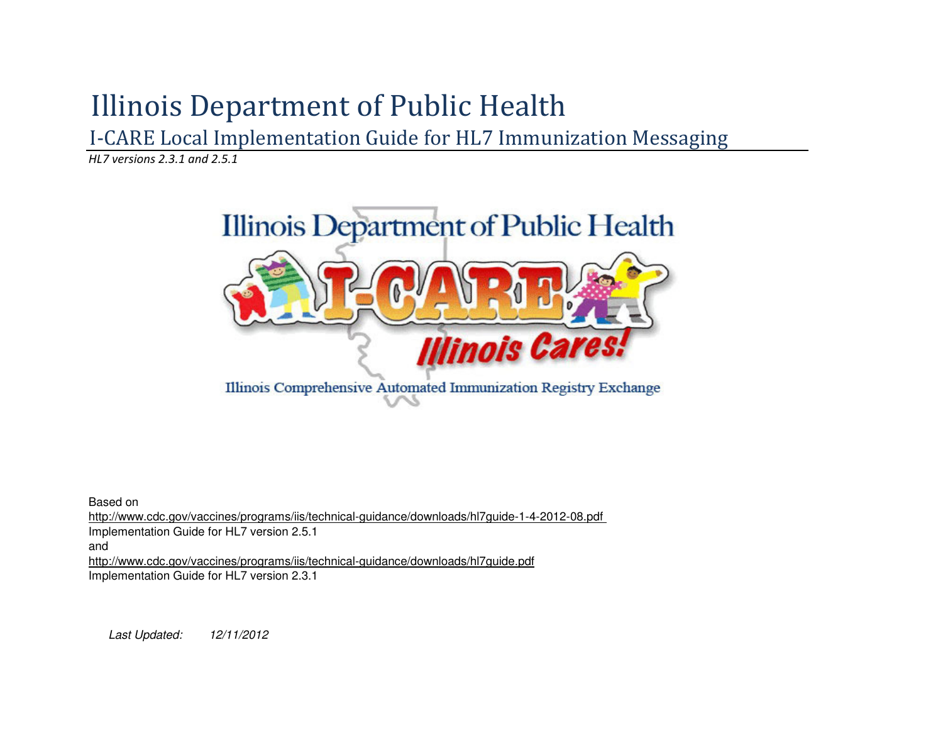# Illinois Department of Public Health

I-CARE Local Implementation Guide for HL7 Immunization Messaging

HL7 versions 2.3.1 and 2.5.1



Based on

 http://www.cdc.gov/vaccines/programs/iis/technical-guidance/downloads/hl7guide-1-4-2012-08.pdf Implementation Guide for HL7 version 2.5.1

and

 http://www.cdc.gov/vaccines/programs/iis/technical-guidance/downloads/hl7guide.pdfImplementation Guide for HL7 version 2.3.1

Last Updated: 12/11/2012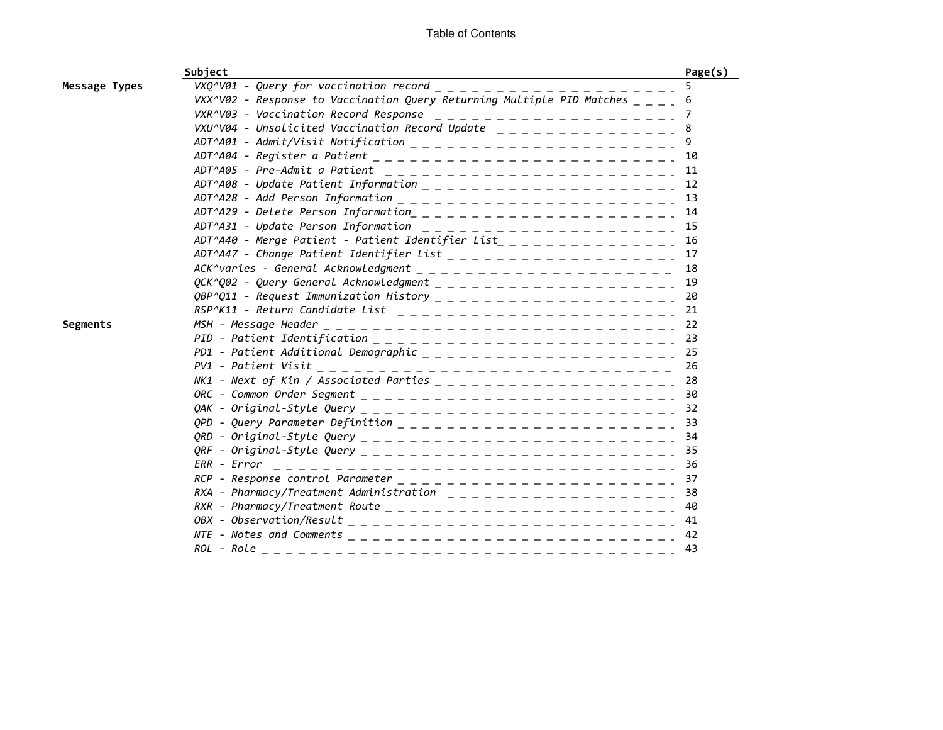|               | Subject                                                                                   | Page(s)  |
|---------------|-------------------------------------------------------------------------------------------|----------|
| Message Types | $VXQ^NQ1$ - Query for vaccination record $=$ $=$ $=$<br>. _ _ _ _ _ _ _ _ _ _ _ _         |          |
|               | VXX^V02 - Response to Vaccination Query Returning Multiple PID Matches $\_ - \_ -$        | 6        |
|               |                                                                                           | $\prime$ |
|               | VXU^V04 - Unsolicited Vaccination Record Update $- - - - - - - - - - - - -$               |          |
|               |                                                                                           |          |
|               |                                                                                           |          |
|               | ADT^A05 - Pre-Admit a Patient _________________________________11                         |          |
|               |                                                                                           |          |
|               |                                                                                           | 13       |
|               |                                                                                           | 14       |
|               | ADT^A31 - Update Person Information $- - - - - - - - - - - - - - - - - - -$               | 15       |
|               | ADT^A40 - Merge Patient - Patient Identifier List_ _ _ _ _ _ _ _ _ _ _ _ _ _ _            | 16       |
|               |                                                                                           | 17       |
|               |                                                                                           | 18       |
|               |                                                                                           | 19       |
|               |                                                                                           | 20       |
|               | $RSP^{\wedge}K11$ - Return Candidate List $- - - - - - - - - - - - - - - - - - - - - - -$ | 21       |
| Segments      |                                                                                           | 22       |
|               |                                                                                           | 23       |
|               | PD1 - Patient Additional Demographic $- - - - - - - - - - - - - - - - - -$                | 25       |
|               |                                                                                           | 26       |
|               |                                                                                           | 28       |
|               |                                                                                           | 30       |
|               |                                                                                           | 32       |
|               |                                                                                           | 33       |
|               |                                                                                           | 34       |
|               |                                                                                           | 35       |
|               |                                                                                           | -36      |
|               |                                                                                           | -37      |
|               | RXA - Pharmacy/Treatment Administration $- - - - - - - - - - - - - - - -$                 | 38       |
|               |                                                                                           | 40       |
|               |                                                                                           | 41       |
|               |                                                                                           | 42       |
|               |                                                                                           | 43       |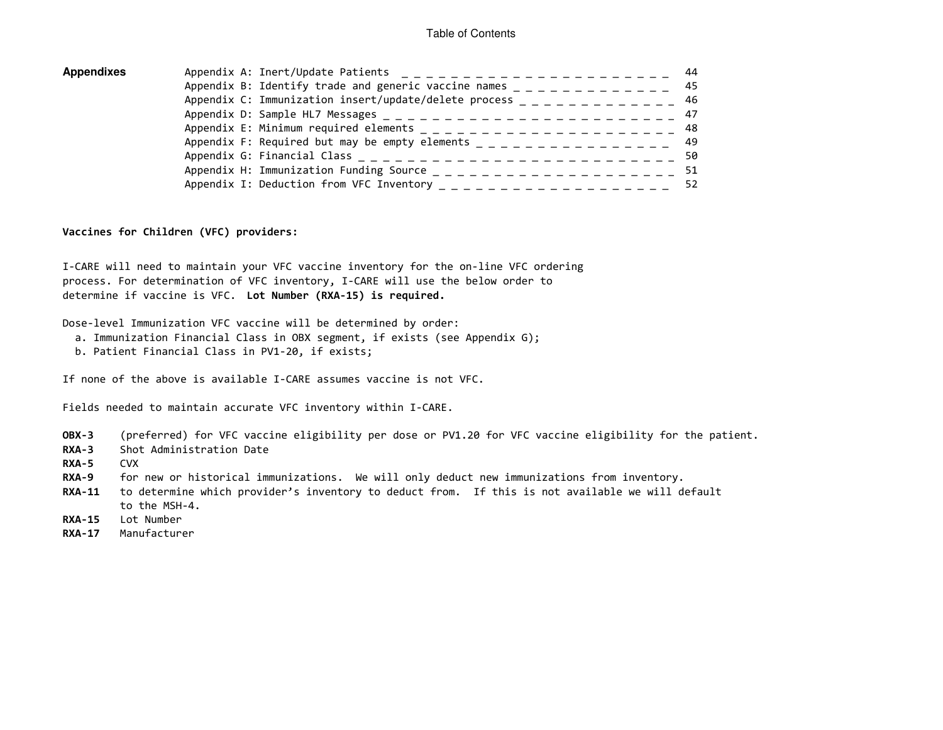| Appendixes | Appendix A: Inert/Update Patients $- - - - - - - - - - - - - - - - - - -$          |  |
|------------|------------------------------------------------------------------------------------|--|
|            |                                                                                    |  |
|            | Appendix C: Immunization insert/update/delete process $-$ - - - - - - - - - - - 46 |  |
|            |                                                                                    |  |
|            |                                                                                    |  |
|            | Appendix F: Required but may be empty elements $222 = 222 = 222 = 222 = 222$       |  |
|            |                                                                                    |  |
|            |                                                                                    |  |
|            | Appendix I: Deduction from VFC Inventory $- - - - - - - - - - - - - - - - = $      |  |
|            |                                                                                    |  |

Vaccines for Children (VFC) providers:

I-CARE will need to maintain your VFC vaccine inventory for the on-line VFC ordering process. For determination of VFC inventory, I-CARE will use the below order to determine if vaccine is VFC. Lot Number (RXA-15) is required.

Dose-level Immunization VFC vaccine will be determined by order:

- a. Immunization Financial Class in OBX segment, if exists (see Appendix G);
- b. Patient Financial Class in PV1-20, if exists;

If none of the above is available I-CARE assumes vaccine is not VFC.

Fields needed to maintain accurate VFC inventory within I-CARE.

- OBX-3 (preferred) for VFC vaccine eligibility per dose or PV1.20 for VFC vaccine eligibility for the patient.
- RXA-3 Shot Administration Date
- RXA-5 CVX
- RXA-9 for new or historical immunizations. We will only deduct new immunizations from inventory.
- RXA-11 to determine which provider's inventory to deduct from. If this is not available we will defaultto the MSH-4.
- RXA-15 Lot Number
- RXA-17 Manufacturer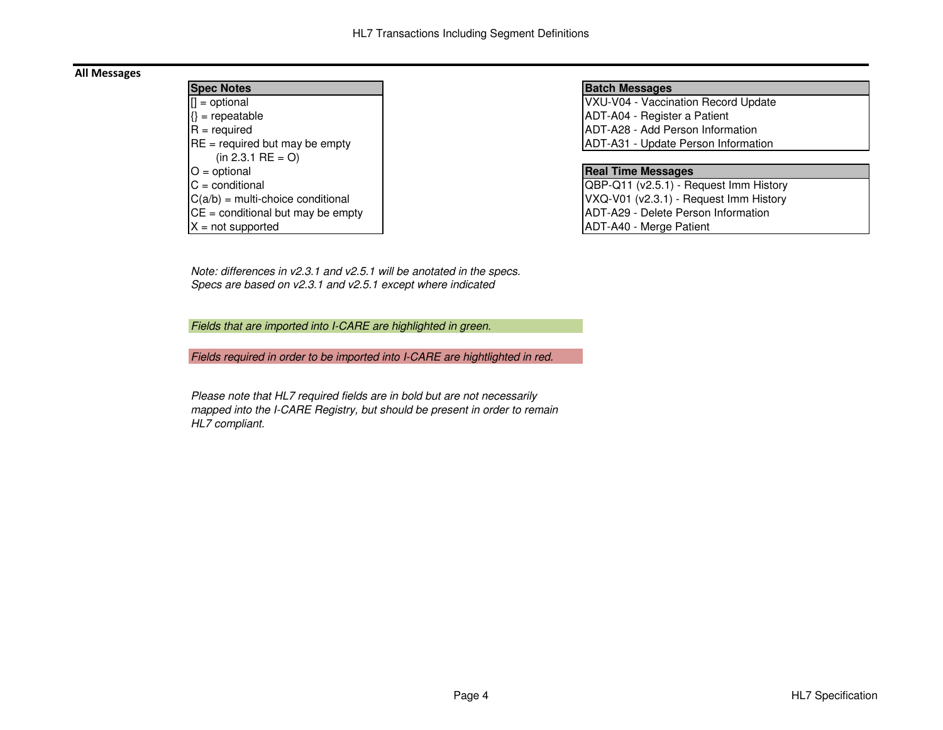## All Messages

| <b>Spec Notes</b>                   |
|-------------------------------------|
| $\vert \vert$ = optional            |
| $\{\}$ = repeatable                 |
| $R = required$                      |
| $RE = required$ but may be empty    |
| $(in 2.3.1 RE = O)$                 |
| $O =$ optional                      |
| $C =$ conditional                   |
| $C(a/b)$ = multi-choice conditional |
| $CE =$ conditional but may be empty |
| $X = not supported$                 |

#### **Batch Messages**

 VXU-V04 - Vaccination Record UpdateADT-A04 - Register a Patient ADT-A28 - Add Person Informationy [1994] ADT-A31 - Update Person Information

## **Real Time Messages**

 QBP-Q11 (v2.5.1) - Request Imm History VXQ-V01 (v2.3.1) - Request Imm HistoryADT-A29 - Delete Person InformationADT-A40 - Merge Patient

Note: differences in v2.3.1 and v2.5.1 will be anotated in the specs.Specs are based on v2.3.1 and v2.5.1 except where indicated

Fields that are imported into I-CARE are highlighted in green.

Fields required in order to be imported into I-CARE are hightlighted in red.

Please note that HL7 required fields are in bold but are not necessarily mapped into the I-CARE Registry, but should be present in order to remain HL7 compliant.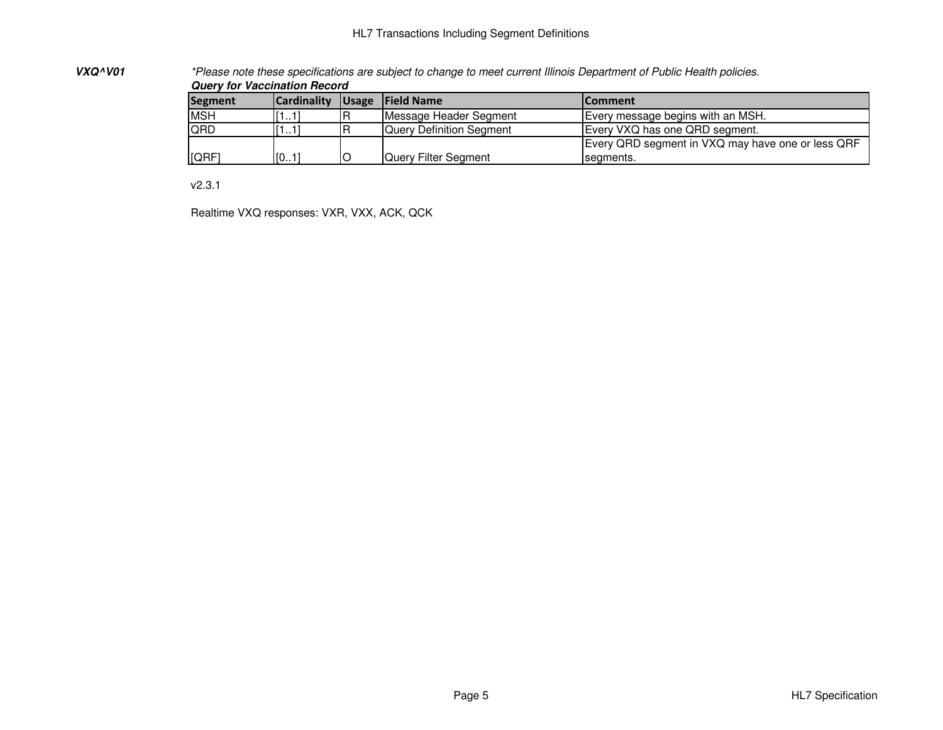## HL7 Transactions Including Segment Definitions

**VXQ^V01**

 \*Please note these specifications are subject to change to meet current Illinois Department of Public Health policies. **Query for Vaccination Record**

| <b>Segment</b> | <b>Cardinality</b> | Usage | <b>Field Name</b>               | <b>IComment</b>                                   |  |
|----------------|--------------------|-------|---------------------------------|---------------------------------------------------|--|
| <b>MSH</b>     | 11.11              |       | Message Header Segment          | Every message begins with an MSH.                 |  |
| <b>QRD</b>     | l 1…11             |       | <b>Query Definition Seament</b> | Every VXQ has one QRD segment.                    |  |
|                |                    |       |                                 | Every QRD segment in VXQ may have one or less QRF |  |
| [QRF'          | [01]               |       | Query Filter Segment            | segments.                                         |  |

v2.3.1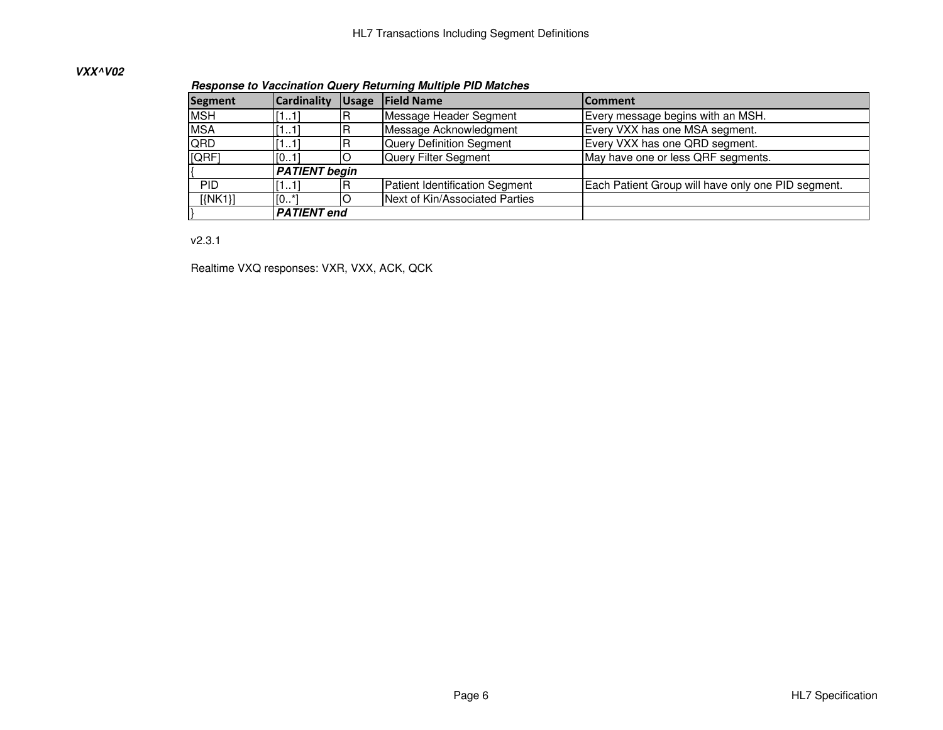## **VXX^V02**

**Response to Vaccination Query Returning Multiple PID Matches**

| Segment    | <b>Cardinality</b>   | <b>Usage</b> | <b>Field Name</b>              | lComment                                           |
|------------|----------------------|--------------|--------------------------------|----------------------------------------------------|
| <b>MSH</b> | [11]                 |              | Message Header Segment         | Every message begins with an MSH.                  |
| <b>MSA</b> | [11]                 |              | Message Acknowledgment         | Every VXX has one MSA segment.                     |
| QRD        | [11]                 |              | Query Definition Segment       | Every VXX has one QRD segment.                     |
| [QRF]      | [01]                 |              | Query Filter Segment           | May have one or less QRF segments.                 |
|            | <b>PATIENT begin</b> |              |                                |                                                    |
| <b>PID</b> | [11]                 |              | Patient Identification Segment | Each Patient Group will have only one PID segment. |
| [NK1]      | $[0^*]$              |              | Next of Kin/Associated Parties |                                                    |
|            | <b>PATIENT</b> end   |              |                                |                                                    |

v2.3.1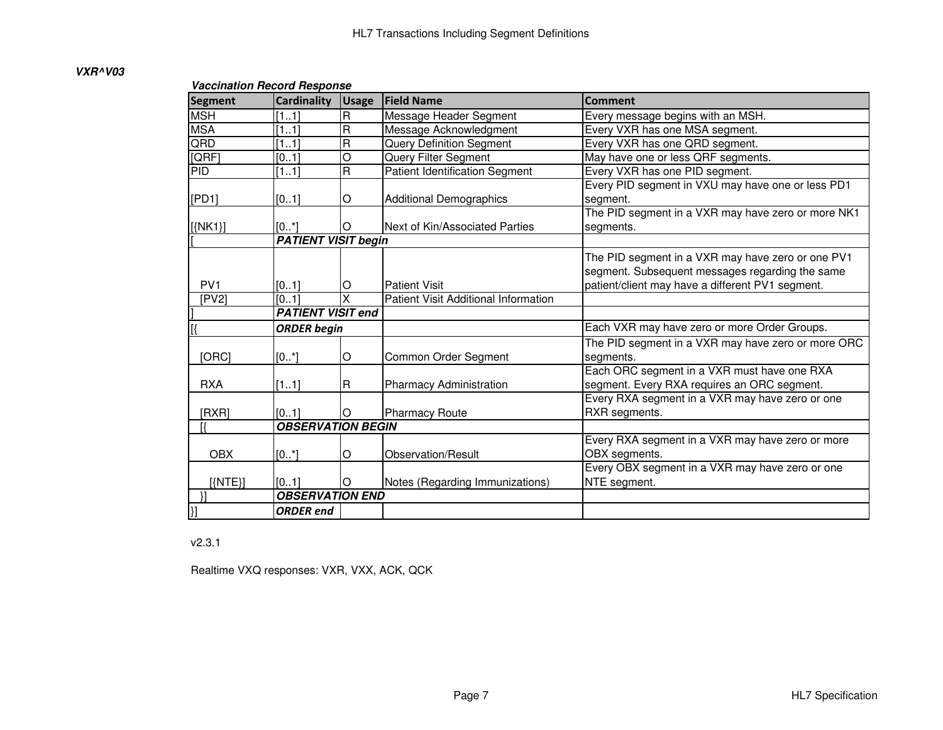## **VXR^V03**

## **Vaccination Record Response**

| <b>Segment</b>   | <b>Cardinality</b>         | <b>Usage</b>            | <b>Field Name</b>                     | <b>Comment</b>                                     |
|------------------|----------------------------|-------------------------|---------------------------------------|----------------------------------------------------|
| <b>MSH</b>       | [11]                       | $\mathsf R$             | Message Header Segment                | Every message begins with an MSH.                  |
| <b>MSA</b>       | [11]                       | $\overline{\mathbf{R}}$ | Message Acknowledgment                | Every VXR has one MSA segment.                     |
| QRD              | [11]                       | $\overline{\mathbf{R}}$ | <b>Query Definition Segment</b>       | Every VXR has one QRD segment.                     |
| [QRF]            | [01]                       | O                       | Query Filter Segment                  | May have one or less QRF segments.                 |
| PID              | [11]                       | $\overline{\mathsf{R}}$ | <b>Patient Identification Segment</b> | Every VXR has one PID segment.                     |
|                  |                            |                         |                                       | Every PID segment in VXU may have one or less PD1  |
| [PD1]            | [01]                       | O                       | <b>Additional Demographics</b>        | segment.                                           |
|                  |                            |                         |                                       | The PID segment in a VXR may have zero or more NK1 |
| $[\{NK1\}]$      | $[0*]$                     | O                       | Next of Kin/Associated Parties        | segments.                                          |
|                  | <b>PATIENT VISIT begin</b> |                         |                                       |                                                    |
|                  |                            |                         |                                       | The PID segment in a VXR may have zero or one PV1  |
|                  |                            |                         |                                       | segment. Subsequent messages regarding the same    |
| PV <sub>1</sub>  | [01]                       | O                       | <b>Patient Visit</b>                  | patient/client may have a different PV1 segment.   |
| [PV2]            | $\overline{[01]}$          | X                       | Patient Visit Additional Information  |                                                    |
|                  | <b>PATIENT VISIT end</b>   |                         |                                       |                                                    |
|                  | <b>ORDER</b> begin         |                         |                                       | Each VXR may have zero or more Order Groups.       |
|                  |                            |                         |                                       | The PID segment in a VXR may have zero or more ORC |
| [ORC]            | [0.1]                      | O                       | Common Order Segment                  | segments.                                          |
|                  |                            |                         |                                       | Each ORC segment in a VXR must have one RXA        |
| <b>RXA</b>       | [11]                       | R                       | Pharmacy Administration               | segment. Every RXA requires an ORC segment.        |
|                  |                            |                         |                                       | Every RXA segment in a VXR may have zero or one    |
| [RXR]            | [01]                       | Ю                       | <b>Pharmacy Route</b>                 | RXR segments.                                      |
|                  | <b>OBSERVATION BEGIN</b>   |                         |                                       |                                                    |
|                  |                            |                         |                                       | Every RXA segment in a VXR may have zero or more   |
| <b>OBX</b>       | $[0^*]$                    | O                       | Observation/Result                    | OBX segments.                                      |
|                  |                            |                         |                                       | Every OBX segment in a VXR may have zero or one    |
| $[\text{(NTE)}]$ | [01]                       | ΙO                      | Notes (Regarding Immunizations)       | NTE segment.                                       |
|                  | <b>OBSERVATION END</b>     |                         |                                       |                                                    |
| }.               | <b>ORDER</b> end           |                         |                                       |                                                    |

v2.3.1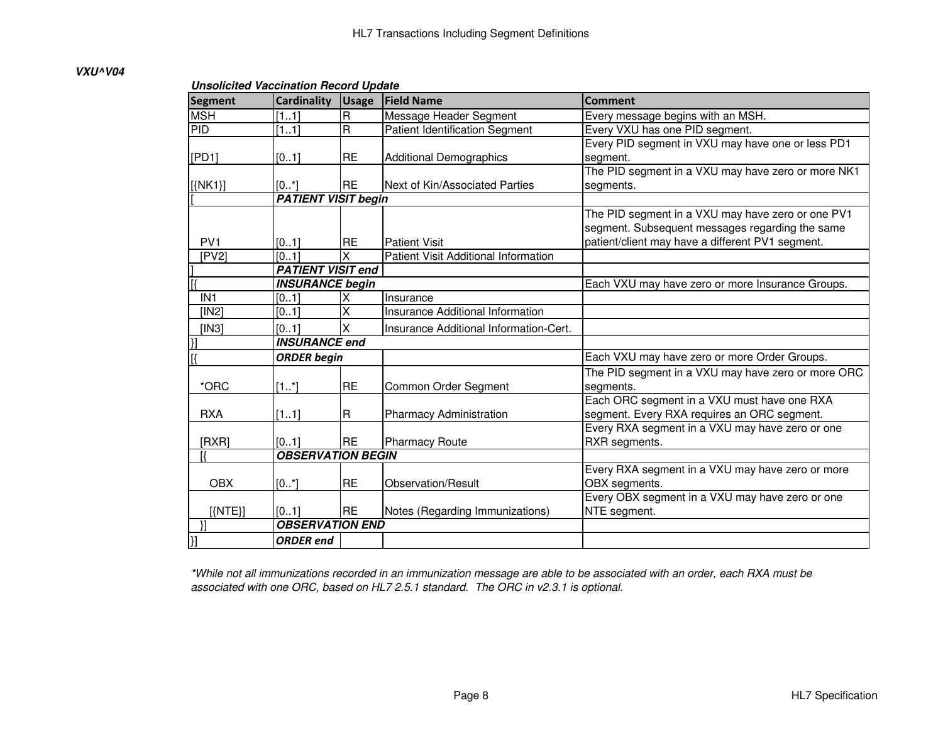#### **VXU^V04**

#### **Unsolicited Vaccination Record Update**

| <b>Segment</b>  | <b>Cardinality</b>         | <b>Usage</b>            | <b>Field Name</b>                      | <b>Comment</b>                                     |
|-----------------|----------------------------|-------------------------|----------------------------------------|----------------------------------------------------|
| <b>MSH</b>      | [11]                       | R                       | Message Header Segment                 | Every message begins with an MSH.                  |
| PID             | $\overline{[11]}$          | $\overline{\mathsf{R}}$ | <b>Patient Identification Segment</b>  | Every VXU has one PID segment.                     |
|                 |                            |                         |                                        | Every PID segment in VXU may have one or less PD1  |
| [PD1]           | [01]                       | <b>RE</b>               | <b>Additional Demographics</b>         | segment.                                           |
|                 |                            |                         |                                        | The PID segment in a VXU may have zero or more NK1 |
| $[$ {NK1}]      | [01]                       | <b>RE</b>               | Next of Kin/Associated Parties         | segments.                                          |
|                 | <b>PATIENT VISIT begin</b> |                         |                                        |                                                    |
|                 |                            |                         |                                        | The PID segment in a VXU may have zero or one PV1  |
|                 |                            |                         |                                        | segment. Subsequent messages regarding the same    |
| PV <sub>1</sub> | [01]                       | <b>RE</b>               | <b>Patient Visit</b>                   | patient/client may have a different PV1 segment.   |
| [PV2]           | [01]                       | X                       | Patient Visit Additional Information   |                                                    |
|                 | <b>PATIENT VISIT end</b>   |                         |                                        |                                                    |
|                 | <b>INSURANCE begin</b>     |                         |                                        | Each VXU may have zero or more Insurance Groups.   |
| IN <sub>1</sub> | [01]                       |                         | Insurance                              |                                                    |
| [IN2]           | [01]                       | X                       | Insurance Additional Information       |                                                    |
| [IN3]           | [01]                       | X                       | Insurance Additional Information-Cert. |                                                    |
|                 | <b>INSURANCE end</b>       |                         |                                        |                                                    |
| l[{             | <b>ORDER</b> begin         |                         |                                        | Each VXU may have zero or more Order Groups.       |
|                 |                            |                         |                                        | The PID segment in a VXU may have zero or more ORC |
| *ORC            | $[1^*]$                    | <b>RE</b>               | Common Order Segment                   | segments.                                          |
|                 |                            |                         |                                        | Each ORC segment in a VXU must have one RXA        |
| <b>RXA</b>      | [11]                       | R                       | Pharmacy Administration                | segment. Every RXA requires an ORC segment.        |
|                 |                            |                         |                                        | Every RXA segment in a VXU may have zero or one    |
| [RXR]           | [01]                       | <b>IRE</b>              | <b>Pharmacy Route</b>                  | RXR segments.                                      |
|                 | <b>OBSERVATION BEGIN</b>   |                         |                                        |                                                    |
|                 |                            |                         |                                        | Every RXA segment in a VXU may have zero or more   |
| <b>OBX</b>      | $[0^*]$                    | <b>RE</b>               | <b>Observation/Result</b>              | OBX segments.                                      |
|                 |                            |                         |                                        | Every OBX segment in a VXU may have zero or one    |
| $[\text{NTE}]\$ | [01]                       | <b>RE</b>               | Notes (Regarding Immunizations)        | NTE segment.                                       |
|                 | <b>OBSERVATION END</b>     |                         |                                        |                                                    |
|                 | <b>ORDER</b> end           |                         |                                        |                                                    |

\*While not all immunizations recorded in an immunization message are able to be associated with an order, each RXA must be associated with one ORC, based on HL7 2.5.1 standard. The ORC in v2.3.1 is optional.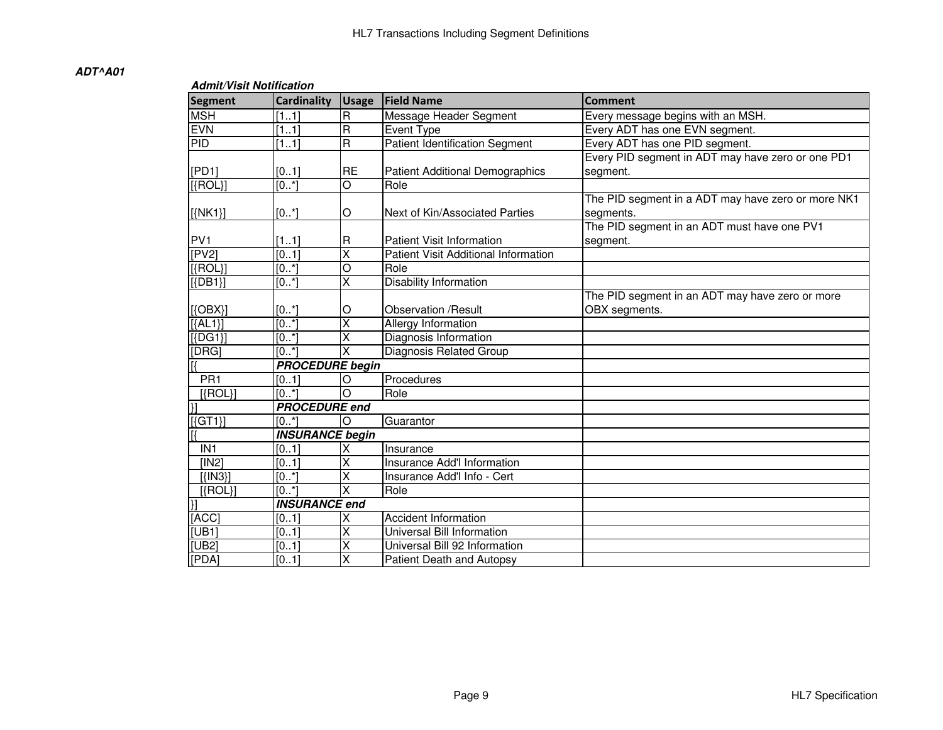| Admit/Visit Notification |  |  |
|--------------------------|--|--|
|                          |  |  |

| <b>Segment</b>           | <b>Cardinality</b>     | <b>Usage</b>            | <b>Field Name</b>                     | <b>Comment</b>                                     |
|--------------------------|------------------------|-------------------------|---------------------------------------|----------------------------------------------------|
| <b>MSH</b>               | [11]                   | R                       | Message Header Segment                | Every message begins with an MSH.                  |
| <b>EVN</b>               | [11]                   | R                       | Event Type                            | Every ADT has one EVN segment.                     |
| PID                      | [11]                   | $\overline{R}$          | <b>Patient Identification Segment</b> | Every ADT has one PID segment.                     |
|                          |                        |                         |                                       | Every PID segment in ADT may have zero or one PD1  |
| [PD1]                    | [01]                   | <b>RE</b>               | Patient Additional Demographics       | segment.                                           |
| $[$ {ROL}]               | $[0, *]$               | $\overline{O}$          | Role                                  |                                                    |
|                          |                        |                         |                                       | The PID segment in a ADT may have zero or more NK1 |
| $[\{NK1\}]$              | $[0^*]$                | O                       | Next of Kin/Associated Parties        | segments.                                          |
|                          |                        |                         |                                       | The PID segment in an ADT must have one PV1        |
| PV <sub>1</sub>          | [11]                   | $\mathsf R$             | <b>Patient Visit Information</b>      | segment.                                           |
| [PV2]                    | [01]                   | Χ                       | Patient Visit Additional Information  |                                                    |
| $[$ {ROL}]               | [0.1]                  | $\overline{\circ}$      | Role                                  |                                                    |
| $[$ {DB1}]               | [0.1]                  | $\overline{\mathsf{x}}$ | Disability Information                |                                                    |
|                          |                        |                         |                                       | The PID segment in an ADT may have zero or more    |
| $[$ {OBX}]               | $[0^*]$                | O                       | Observation /Result                   | OBX segments.                                      |
| $\overline{{[ALI]}}$     | $\overline{[0,1]}$     | $\overline{\mathsf{x}}$ | <b>Allergy Information</b>            |                                                    |
| $[$ {DG1}]               | [0.1]                  | $\overline{\mathsf{x}}$ | Diagnosis Information                 |                                                    |
| [DRG]                    | [0.1]                  | X                       | Diagnosis Related Group               |                                                    |
|                          | <b>PROCEDURE</b> begin |                         |                                       |                                                    |
| PR <sub>1</sub>          | [01]                   | O                       | Procedures                            |                                                    |
| $[$ {ROL}]               | [0.1]                  | $\overline{O}$          | Role                                  |                                                    |
|                          | <b>PROCEDURE</b> end   |                         |                                       |                                                    |
| $[\text{G}T1]$           | [0.1]                  | $\circ$                 | Guarantor                             |                                                    |
|                          | <b>INSURANCE begin</b> |                         |                                       |                                                    |
| IN <sub>1</sub>          | [01]                   | Χ                       | Insurance                             |                                                    |
| [IN2]                    | [0.1]                  | X                       | Insurance Add'l Information           |                                                    |
| $[$ { $[N3]$ }]          | [0.1]                  | X                       | Insurance Add'I Info - Cert           |                                                    |
| $[\text{ROL}]$           | $[0*]$                 | X                       | Role                                  |                                                    |
| $\overline{\mathcal{U}}$ | <b>INSURANCE end</b>   |                         |                                       |                                                    |
| [ACC]                    | [01]                   | Χ                       | <b>Accident Information</b>           |                                                    |
| [UB1]                    | $\overline{[01]}$      | X                       | Universal Bill Information            |                                                    |
| [UB2]                    | [0.1]                  | $\overline{\mathsf{x}}$ | Universal Bill 92 Information         |                                                    |
| [PDA]                    | [01]                   | $\overline{\mathsf{x}}$ | Patient Death and Autopsy             |                                                    |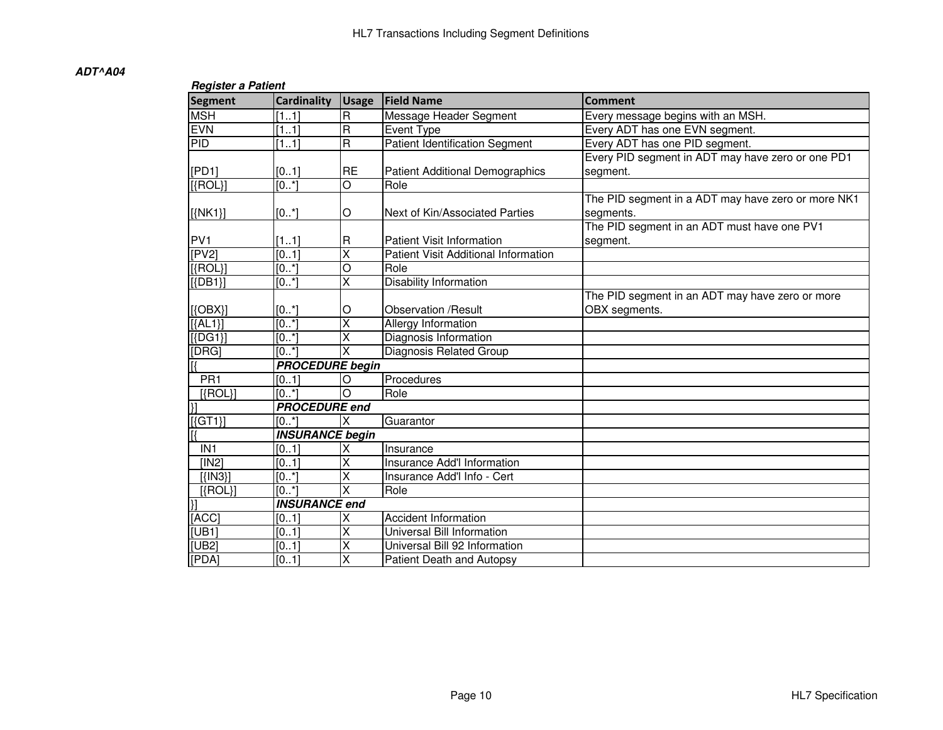| <b>Register a Patient</b> |                        |                         |                                        |                                                    |  |  |
|---------------------------|------------------------|-------------------------|----------------------------------------|----------------------------------------------------|--|--|
| Segment                   | <b>Cardinality</b>     | <b>Usage</b>            | <b>Field Name</b>                      | <b>Comment</b>                                     |  |  |
| <b>MSH</b>                | [11]                   | $\overline{\mathsf{R}}$ | Message Header Segment                 | Every message begins with an MSH.                  |  |  |
| <b>EVN</b>                | [11]                   | $\overline{\mathsf{R}}$ | Event Type                             | Every ADT has one EVN segment.                     |  |  |
| <b>PID</b>                | [11]                   | $\overline{\mathsf{R}}$ | <b>Patient Identification Segment</b>  | Every ADT has one PID segment.                     |  |  |
|                           |                        |                         |                                        | Every PID segment in ADT may have zero or one PD1  |  |  |
| [PD1]                     | [01]                   | <b>RE</b>               | <b>Patient Additional Demographics</b> | segment.                                           |  |  |
| $[$ {ROL}]                | [0.1]                  | $\overline{O}$          | Role                                   |                                                    |  |  |
|                           |                        |                         |                                        | The PID segment in a ADT may have zero or more NK1 |  |  |
| $[$ {NK1}]                | $[0*]$                 | O                       | Next of Kin/Associated Parties         | segments.                                          |  |  |
|                           |                        |                         |                                        | The PID segment in an ADT must have one PV1        |  |  |
| PV <sub>1</sub>           | [11]                   | $\mathsf R$             | Patient Visit Information              | segment.                                           |  |  |
| [PV2]                     | [01]                   | $\overline{\mathsf{x}}$ | Patient Visit Additional Information   |                                                    |  |  |
| $[$ {ROL}]                | $[0*]$                 | O                       | Role                                   |                                                    |  |  |
| $[$ {DB1}]                | $[0^*]$                | $\overline{\mathsf{x}}$ | Disability Information                 |                                                    |  |  |
|                           |                        |                         |                                        | The PID segment in an ADT may have zero or more    |  |  |
| $[$ {OBX}]                | $[0*]$                 | O                       | <b>Observation /Result</b>             | OBX segments.                                      |  |  |
| $[{AL1}]$                 | [0.1]                  | $\overline{\mathsf{x}}$ | <b>Allergy Information</b>             |                                                    |  |  |
| $[$ {DG1}]                | [0.1]                  | $\overline{\mathsf{x}}$ | Diagnosis Information                  |                                                    |  |  |
| [DRG]                     | [0.1]                  | $\overline{\mathsf{x}}$ | Diagnosis Related Group                |                                                    |  |  |
|                           | <b>PROCEDURE</b> begin |                         |                                        |                                                    |  |  |
| PR <sub>1</sub>           | [01]                   | $\circ$                 | Procedures                             |                                                    |  |  |
| $[{ROL}]$                 | $[0*]$                 | $\overline{O}$          | Role                                   |                                                    |  |  |
| $\overline{\mathcal{X}}$  | <b>PROCEDURE</b> end   |                         |                                        |                                                    |  |  |
| $\sqrt{\text{[G]}(1)}$    | $[0*]$                 | Ιx                      | Guarantor                              |                                                    |  |  |
| Ιß                        | <b>INSURANCE begin</b> |                         |                                        |                                                    |  |  |
| IN <sub>1</sub>           | [01]                   | X                       | Insurance                              |                                                    |  |  |
| [IN2]                     | [01]                   | $\overline{\mathsf{x}}$ | Insurance Add'l Information            |                                                    |  |  |
| $[$ { $[N3]$ }]           | [01]                   | $\overline{\mathsf{x}}$ | Insurance Add'l Info - Cert            |                                                    |  |  |
| $[\text{ROL}]$            | [0.1]                  | $\overline{\mathsf{x}}$ | Role                                   |                                                    |  |  |
| $\overline{\mathcal{X}}$  | <b>INSURANCE end</b>   |                         |                                        |                                                    |  |  |
| [ACC]                     | [01]                   | X                       | <b>Accident Information</b>            |                                                    |  |  |
| [UB1]                     | [01]                   | $\overline{\mathsf{x}}$ | Universal Bill Information             |                                                    |  |  |
| [UB2]                     | [01]                   | X                       | Universal Bill 92 Information          |                                                    |  |  |
| [PDA]                     | [01]                   | $\overline{\mathsf{x}}$ | Patient Death and Autopsy              |                                                    |  |  |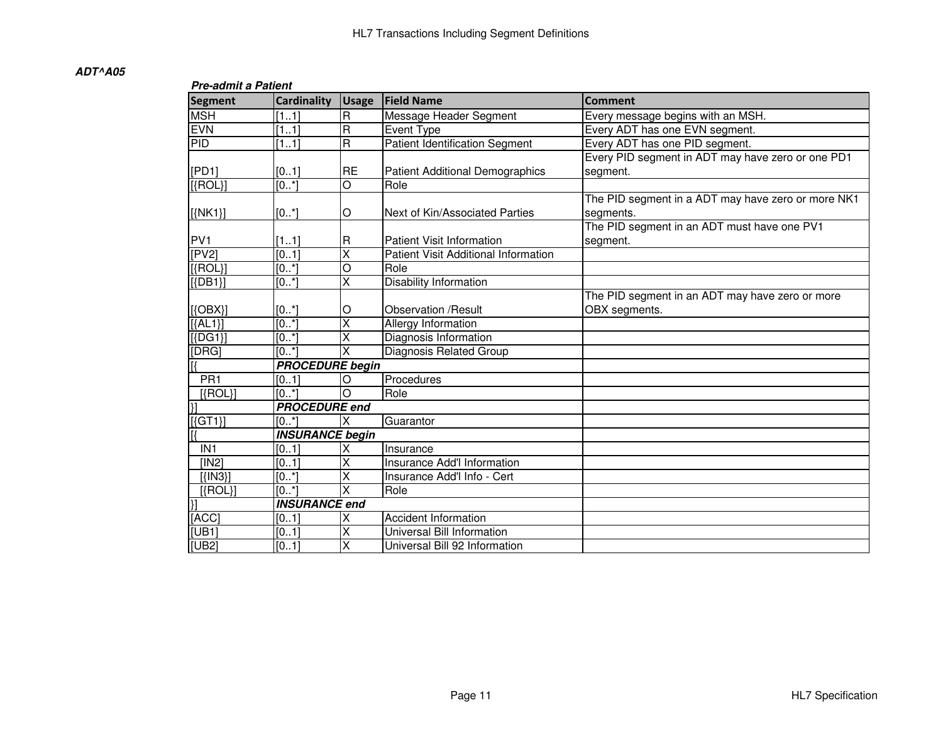|                    | <b>Pre-admit a Patient</b> |                         |                                        |                                                    |  |  |  |
|--------------------|----------------------------|-------------------------|----------------------------------------|----------------------------------------------------|--|--|--|
| <b>Segment</b>     | <b>Cardinality</b>         | <b>Usage</b>            | <b>Field Name</b>                      | <b>Comment</b>                                     |  |  |  |
| <b>MSH</b>         | [11]                       | R                       | Message Header Segment                 | Every message begins with an MSH.                  |  |  |  |
| <b>EVN</b>         | [11]                       | R                       | <b>Event Type</b>                      | Every ADT has one EVN segment.                     |  |  |  |
| PID                | [11]                       | R                       | <b>Patient Identification Segment</b>  | Every ADT has one PID segment.                     |  |  |  |
|                    |                            |                         |                                        | Every PID segment in ADT may have zero or one PD1  |  |  |  |
| [PD1]              | [01]                       | RE                      | <b>Patient Additional Demographics</b> | segment.                                           |  |  |  |
| $[{ROL}]$          | $[0, *]$                   | $\overline{\circ}$      | Role                                   |                                                    |  |  |  |
|                    |                            |                         |                                        | The PID segment in a ADT may have zero or more NK1 |  |  |  |
| $[$ {NK1}]         | [0.1]                      | O                       | Next of Kin/Associated Parties         | segments.                                          |  |  |  |
|                    |                            |                         |                                        | The PID segment in an ADT must have one PV1        |  |  |  |
| PV <sub>1</sub>    | [11]                       | R                       | <b>Patient Visit Information</b>       | segment.                                           |  |  |  |
| [PV2]              | [01]                       | $\overline{\mathsf{x}}$ | Patient Visit Additional Information   |                                                    |  |  |  |
| $[\text{\{ROL}\}]$ | $[0, *]$                   | O                       | Role                                   |                                                    |  |  |  |
| $[$ {DB1}]         | [0.1]                      | $\overline{\mathsf{x}}$ | <b>Disability Information</b>          |                                                    |  |  |  |
|                    |                            |                         |                                        | The PID segment in an ADT may have zero or more    |  |  |  |
| $[\{OBX\}]$        | [0.1]                      | O                       | <b>Observation /Result</b>             | OBX segments.                                      |  |  |  |
| $[{AL1}]$          | [0.1]                      | $\overline{\mathsf{x}}$ | <b>Allergy Information</b>             |                                                    |  |  |  |
| $[{DG1}]$          | [0.1]                      | $\overline{\mathsf{x}}$ | Diagnosis Information                  |                                                    |  |  |  |
| [DRG]              | [0.1]                      | X                       | Diagnosis Related Group                |                                                    |  |  |  |
|                    | <b>PROCEDURE</b> begin     |                         |                                        |                                                    |  |  |  |
| PR <sub>1</sub>    | [01]                       | O                       | Procedures                             |                                                    |  |  |  |
| $[$ {ROL}]         | $[0, *]$                   | $\circ$                 | Role                                   |                                                    |  |  |  |
|                    | <b>PROCEDURE</b> end       |                         |                                        |                                                    |  |  |  |
| $[$ {GT1}]         | [0.1]                      | ΙX                      | Guarantor                              |                                                    |  |  |  |
|                    | <b>INSURANCE begin</b>     |                         |                                        |                                                    |  |  |  |
| IN <sub>1</sub>    | [01]                       | X                       | Insurance                              |                                                    |  |  |  |
| [IN2]              | [01]                       | X                       | Insurance Add'I Information            |                                                    |  |  |  |
| [ I N3 ]           | [0.1]                      | X                       | Insurance Add'l Info - Cert            |                                                    |  |  |  |
| $[{ROL}]$          | [0, 1]                     | X                       | Role                                   |                                                    |  |  |  |
|                    | <b>INSURANCE end</b>       |                         |                                        |                                                    |  |  |  |
| [ACC]              | [01]                       | Χ                       | <b>Accident Information</b>            |                                                    |  |  |  |
| [UB1]              | [01]                       | Χ                       | Universal Bill Information             |                                                    |  |  |  |
| [UB2]              | [01]                       | Χ                       | Universal Bill 92 Information          |                                                    |  |  |  |
|                    |                            |                         |                                        |                                                    |  |  |  |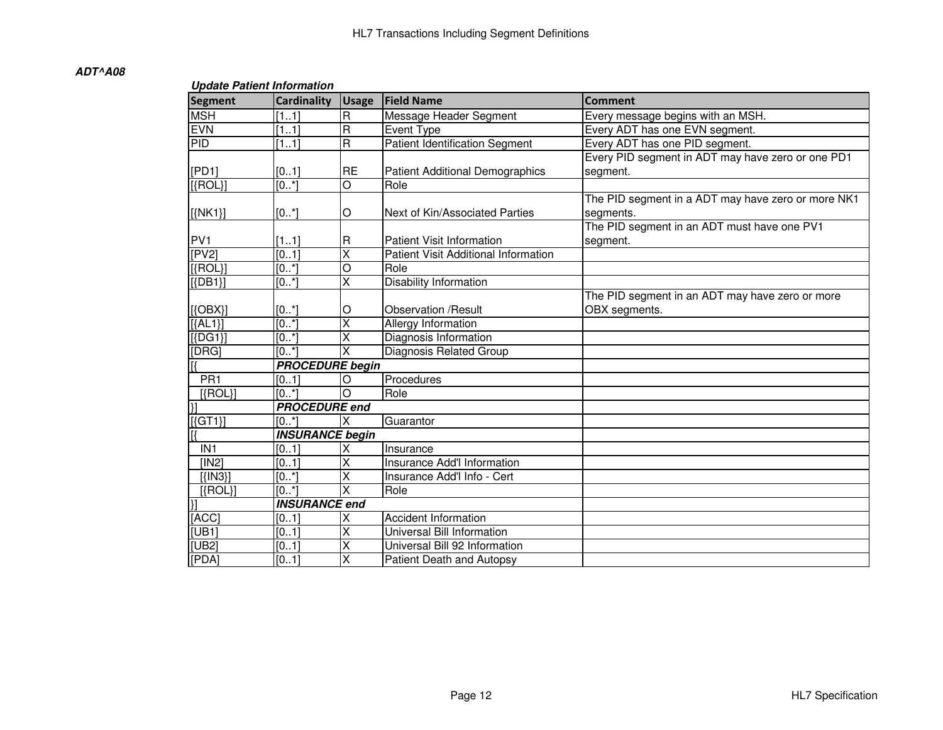#### **Update Patient Information**

| Segment                  | <b>Cardinality</b>      | <b>Usage</b>            | <b>Field Name</b>                           | <b>Comment</b>                                     |
|--------------------------|-------------------------|-------------------------|---------------------------------------------|----------------------------------------------------|
| <b>MSH</b>               | [11]                    | R                       | Message Header Segment                      | Every message begins with an MSH.                  |
| <b>EVN</b>               | [11]                    | $\overline{\mathbf{u}}$ | Event Type                                  | Every ADT has one EVN segment.                     |
| PID                      | [11]                    | $\overline{\mathsf{R}}$ | <b>Patient Identification Segment</b>       | Every ADT has one PID segment.                     |
|                          |                         |                         |                                             | Every PID segment in ADT may have zero or one PD1  |
| [PD1]                    | [01]                    | <b>RE</b>               | <b>Patient Additional Demographics</b>      | segment.                                           |
| $[$ {ROL}]               | $\overline{[0, *]}$     | $\overline{O}$          | Role                                        |                                                    |
|                          |                         |                         |                                             | The PID segment in a ADT may have zero or more NK1 |
| $[$ {NK1}]               | $[0^*]$                 | O                       | Next of Kin/Associated Parties              | segments.                                          |
|                          |                         |                         |                                             | The PID segment in an ADT must have one PV1        |
| PV <sub>1</sub>          | [11]                    | lR.                     | <b>Patient Visit Information</b>            | segment.                                           |
| [PV2]                    | $\overline{[01]}$       | $\overline{\mathsf{x}}$ | <b>Patient Visit Additional Information</b> |                                                    |
| $[$ {ROL}]               | [0.1]                   | Ō                       | Role                                        |                                                    |
| $[\{\mathsf{DB1}\}]$     | $\overline{[0, \cdot]}$ | $\overline{\mathsf{x}}$ | Disability Information                      |                                                    |
|                          |                         |                         |                                             | The PID segment in an ADT may have zero or more    |
| $[$ {OBX}]               | $[0^*]$                 | O                       | <b>Observation /Result</b>                  | OBX segments.                                      |
| $[{AL1}]$                | $\overline{[0r^*]}$     | $\overline{\mathsf{x}}$ | <b>Allergy Information</b>                  |                                                    |
| $[$ {DG1}]               | $\overline{[0, \cdot]}$ | Χ                       | Diagnosis Information                       |                                                    |
| [DRG]                    | [0.1]                   | X                       | Diagnosis Related Group                     |                                                    |
|                          | <b>PROCEDURE begin</b>  |                         |                                             |                                                    |
| PR <sub>1</sub>          | [01]                    | IО                      | Procedures                                  |                                                    |
| $[$ {ROL}]               | $[0*]$                  | lO                      | Role                                        |                                                    |
| $\overline{\mathcal{H}}$ | <b>PROCEDURE</b> end    |                         |                                             |                                                    |
| $[{GT1}]$                | [0.1]                   | $\overline{\mathsf{x}}$ | Guarantor                                   |                                                    |
|                          | <b>INSURANCE begin</b>  |                         |                                             |                                                    |
| IN <sub>1</sub>          | [01]                    | Χ                       | Insurance                                   |                                                    |
| [IN2]                    | [01]                    | X                       | Insurance Add'I Information                 |                                                    |
| $[ IN3\rangle]$          | [0.1]                   | X                       | Insurance Add'l Info - Cert                 |                                                    |
| $[$ {ROL}]               | [0.1]                   | X                       | Role                                        |                                                    |
| $\overline{\mathcal{E}}$ | <b>INSURANCE end</b>    |                         |                                             |                                                    |
| [ACC]                    | [01]                    | х                       | <b>Accident Information</b>                 |                                                    |
| [UB1]                    | [01]                    | X                       | Universal Bill Information                  |                                                    |
| [UB2]                    | $\overline{[01]}$       | $\overline{\mathsf{x}}$ | Universal Bill 92 Information               |                                                    |
| [PDA]                    | [01]                    | X                       | Patient Death and Autopsy                   |                                                    |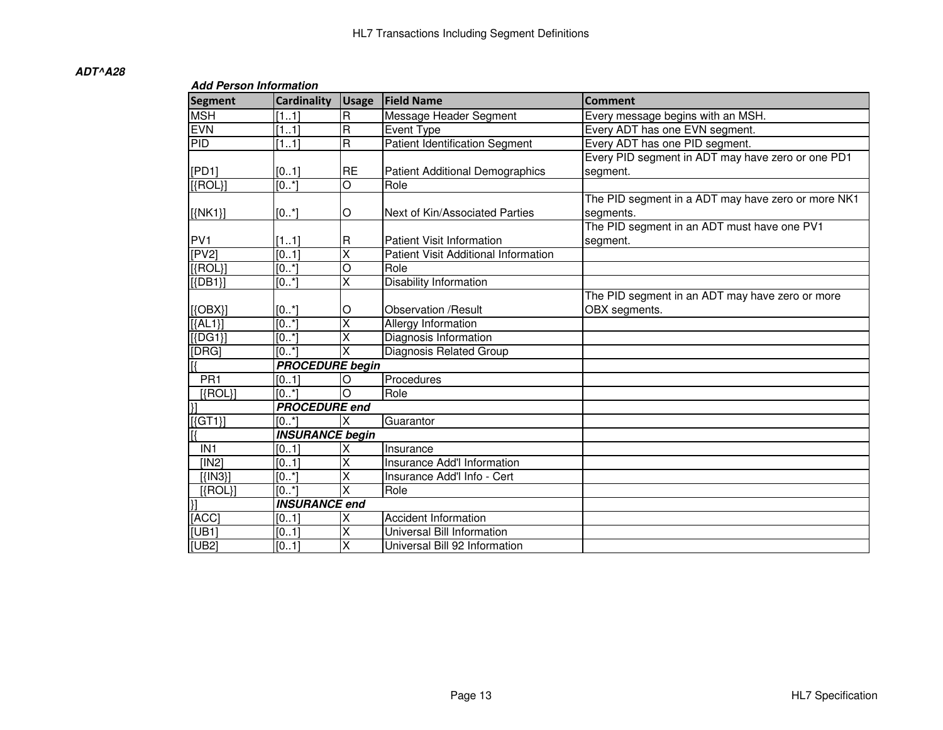#### **Add Person Information**

| <b>Segment</b>            | <b>Cardinality</b>      | <b>Usage</b>            | <b>Field Name</b>                      | <b>Comment</b>                                     |  |  |  |
|---------------------------|-------------------------|-------------------------|----------------------------------------|----------------------------------------------------|--|--|--|
| <b>MSH</b>                | [11]                    | $\overline{R}$          | Message Header Segment                 | Every message begins with an MSH.                  |  |  |  |
| <b>EVN</b>                | [11]                    | $\overline{\mathbf{R}}$ | Event Type                             | Every ADT has one EVN segment.                     |  |  |  |
| PID                       | [11]                    | $\overline{\mathsf{R}}$ | <b>Patient Identification Segment</b>  | Every ADT has one PID segment.                     |  |  |  |
|                           |                         |                         |                                        | Every PID segment in ADT may have zero or one PD1  |  |  |  |
| [PD1]                     | [01]                    | <b>RE</b>               | <b>Patient Additional Demographics</b> | segment.                                           |  |  |  |
| $[$ {ROL}]                | [0.1]                   | $\overline{O}$          | Role                                   |                                                    |  |  |  |
|                           |                         |                         |                                        | The PID segment in a ADT may have zero or more NK1 |  |  |  |
| $[\{NK1\}]$               | [0.1]                   | O                       | Next of Kin/Associated Parties         | segments.                                          |  |  |  |
|                           |                         |                         |                                        | The PID segment in an ADT must have one PV1        |  |  |  |
| PV <sub>1</sub>           | [11]                    | R                       | <b>Patient Visit Information</b>       | segment.                                           |  |  |  |
| [PV2]                     | [01]                    | $\overline{\mathsf{x}}$ | Patient Visit Additional Information   |                                                    |  |  |  |
| $[$ {ROL}]                | [0.1]                   | $\overline{O}$          | Role                                   |                                                    |  |  |  |
| $[$ {DB1}]                | $\overline{[0, \cdot]}$ | $\overline{\mathsf{x}}$ | <b>Disability Information</b>          |                                                    |  |  |  |
|                           |                         |                         |                                        | The PID segment in an ADT may have zero or more    |  |  |  |
| $[$ {OBX}]                | [0.1]                   | O                       | Observation /Result                    | OBX segments.                                      |  |  |  |
| $[{AL1}]$                 | $\overline{[0,1]}$      | $\overline{\mathsf{x}}$ | <b>Allergy Information</b>             |                                                    |  |  |  |
| $[{DG1}]$                 | [0.1]                   | $\overline{\mathsf{x}}$ | Diagnosis Information                  |                                                    |  |  |  |
| [DRG]                     | [0.1]                   | $\overline{\mathsf{x}}$ | <b>Diagnosis Related Group</b>         |                                                    |  |  |  |
|                           | <b>PROCEDURE begin</b>  |                         |                                        |                                                    |  |  |  |
| PR <sub>1</sub>           | [01]                    | O                       | Procedures                             |                                                    |  |  |  |
| $[\text{ROL}]$            | $\overline{[0^*]}$      | $\circ$                 | Role                                   |                                                    |  |  |  |
| $\overline{\mathcal{V}}$  | <b>PROCEDURE</b> end    |                         |                                        |                                                    |  |  |  |
| $[\overline{\text{GT1}}]$ | [0*]                    | X                       | Guarantor                              |                                                    |  |  |  |
|                           | <b>INSURANCE begin</b>  |                         |                                        |                                                    |  |  |  |
| IN <sub>1</sub>           | [01]                    | X                       | Insurance                              |                                                    |  |  |  |
| [IN2]                     | [01]                    | X                       | Insurance Add'I Information            |                                                    |  |  |  |
|                           | [0.1]                   | X                       | Insurance Add'l Info - Cert            |                                                    |  |  |  |
| $[$ {ROL}]                | [0.1]                   | $\overline{\mathsf{x}}$ | Role                                   |                                                    |  |  |  |
| $\overline{\mathcal{H}}$  | <b>INSURANCE end</b>    |                         |                                        |                                                    |  |  |  |
| [ACC]                     | [01]                    | X                       | <b>Accident Information</b>            |                                                    |  |  |  |
| [UB1]                     | [01]                    | X                       | Universal Bill Information             |                                                    |  |  |  |
| [UB2]                     | [01]                    | $\overline{\mathsf{x}}$ | Universal Bill 92 Information          |                                                    |  |  |  |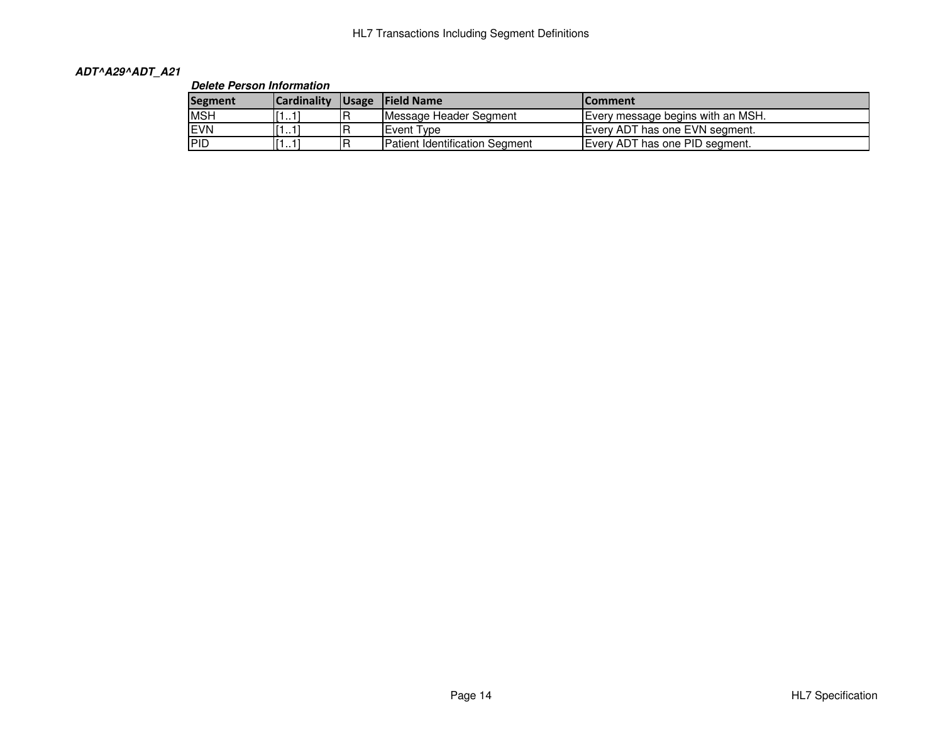## **ADT^A29^ADT\_A21**

## **Delete Person Information**

| <b>Segment</b> | <b>Cardinality</b>           |    | Usage Field Name               | <b>IComment</b>                   |  |  |
|----------------|------------------------------|----|--------------------------------|-----------------------------------|--|--|
| <b>MSH</b>     | r١.<br>1.11                  | R  | Message Header Segment         | Every message begins with an MSH. |  |  |
| EVN            | 1.11                         |    | Event Type                     | Every ADT has one EVN segment.    |  |  |
| <b>PID</b>     | r١.<br>$\dots1$ <sup>1</sup> | .R | Patient Identification Segment | Every ADT has one PID segment.    |  |  |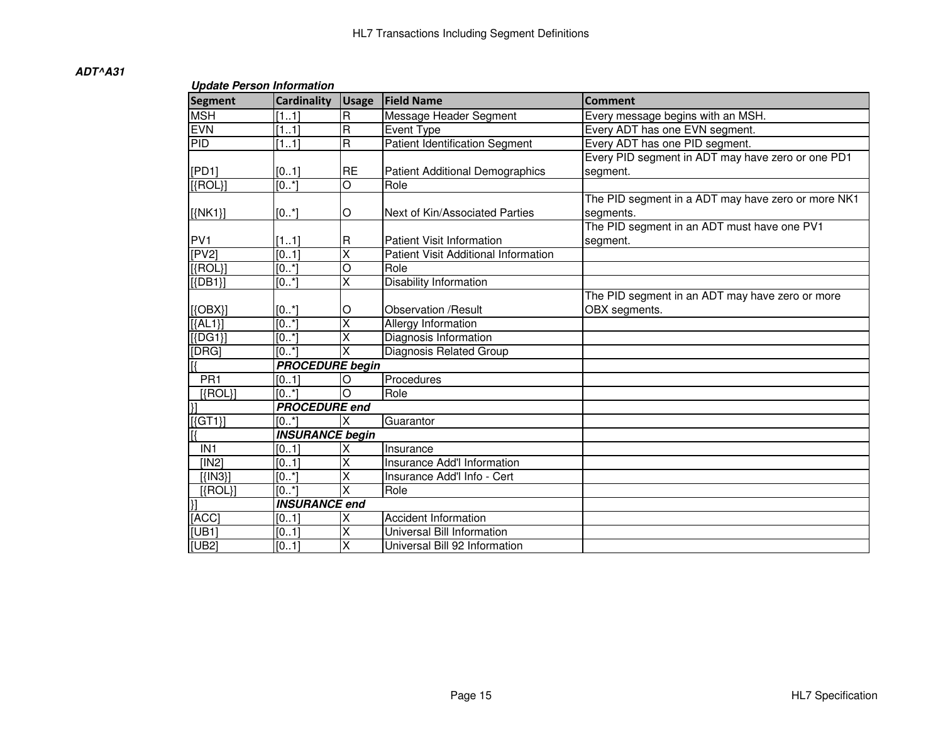| $\sim$ paalo 1 010011 11110111111111<br><b>Segment</b> | <b>Cardinality</b>     | <b>Usage</b>            | <b>Field Name</b>                      | <b>Comment</b>                                     |  |  |  |
|--------------------------------------------------------|------------------------|-------------------------|----------------------------------------|----------------------------------------------------|--|--|--|
| <b>MSH</b>                                             | [11]                   | R                       | Message Header Segment                 | Every message begins with an MSH.                  |  |  |  |
| <b>EVN</b>                                             | [11]                   | R                       | Event Type                             | Every ADT has one EVN segment.                     |  |  |  |
| <b>PID</b>                                             | [11]                   | $\mathsf{R}$            | <b>Patient Identification Segment</b>  | Every ADT has one PID segment.                     |  |  |  |
|                                                        |                        |                         |                                        | Every PID segment in ADT may have zero or one PD1  |  |  |  |
| [PD1]                                                  | [01]                   | <b>RE</b>               | <b>Patient Additional Demographics</b> | segment.                                           |  |  |  |
| [{ROL}]                                                | [0.1]                  | $\overline{O}$          | Role                                   |                                                    |  |  |  |
|                                                        |                        |                         |                                        | The PID segment in a ADT may have zero or more NK1 |  |  |  |
| $[{NK1}]$                                              | [0.1]                  | O                       | Next of Kin/Associated Parties         | segments.                                          |  |  |  |
|                                                        |                        |                         |                                        | The PID segment in an ADT must have one PV1        |  |  |  |
| PV <sub>1</sub>                                        | [11]                   | R                       | <b>Patient Visit Information</b>       | segment.                                           |  |  |  |
| [PV2]                                                  | $\overline{[01]}$      | $\overline{\mathsf{x}}$ | Patient Visit Additional Information   |                                                    |  |  |  |
| $[$ {ROL}]                                             | [0.1]                  | O                       | Role                                   |                                                    |  |  |  |
| $[$ {DB1}]                                             | [0.1]                  | X                       | <b>Disability Information</b>          |                                                    |  |  |  |
|                                                        |                        |                         |                                        | The PID segment in an ADT may have zero or more    |  |  |  |
| $[$ {OBX}]                                             | $[0^*]$                | O                       | <b>Observation /Result</b>             | OBX segments.                                      |  |  |  |
| $[{AL1}]$                                              | [0.1]                  | X                       | <b>Allergy Information</b>             |                                                    |  |  |  |
| $[$ {DG1}]                                             | [0.1]                  |                         | Diagnosis Information                  |                                                    |  |  |  |
| [DRG]                                                  | $[0*]$                 | X                       | Diagnosis Related Group                |                                                    |  |  |  |
|                                                        | <b>PROCEDURE</b> begin |                         |                                        |                                                    |  |  |  |
| PR <sub>1</sub>                                        | [01]                   | O                       | Procedures                             |                                                    |  |  |  |
| $[{ROL}]$                                              | [0.1]                  | $\circ$                 | Role                                   |                                                    |  |  |  |
| $\overline{\mathcal{H}}$                               | <b>PROCEDURE end</b>   |                         |                                        |                                                    |  |  |  |
| $\overline{[\text{\sc[[GT1]]}]}$                       | [0.1]                  | X                       | Guarantor                              |                                                    |  |  |  |
|                                                        | <b>INSURANCE begin</b> |                         |                                        |                                                    |  |  |  |
| IN <sub>1</sub>                                        | [01]                   | X                       | Insurance                              |                                                    |  |  |  |
| [IN2]                                                  | [01]                   | Χ                       | <b>Insurance Add'I Information</b>     |                                                    |  |  |  |
| $[$ { $[N3]$ }]                                        | [0.1]                  | Χ                       | Insurance Add'l Info - Cert            |                                                    |  |  |  |
| $[$ {ROL}]                                             | [0.1]                  | X                       | Role                                   |                                                    |  |  |  |
| $\overline{\mathcal{H}}$                               | <b>INSURANCE end</b>   |                         |                                        |                                                    |  |  |  |
| [ACC]                                                  | [01]                   | Χ                       | <b>Accident Information</b>            |                                                    |  |  |  |
| [UB1]                                                  | [01]                   | Χ                       | Universal Bill Information             |                                                    |  |  |  |
| [UB2]                                                  | [01]                   | X                       | Universal Bill 92 Information          |                                                    |  |  |  |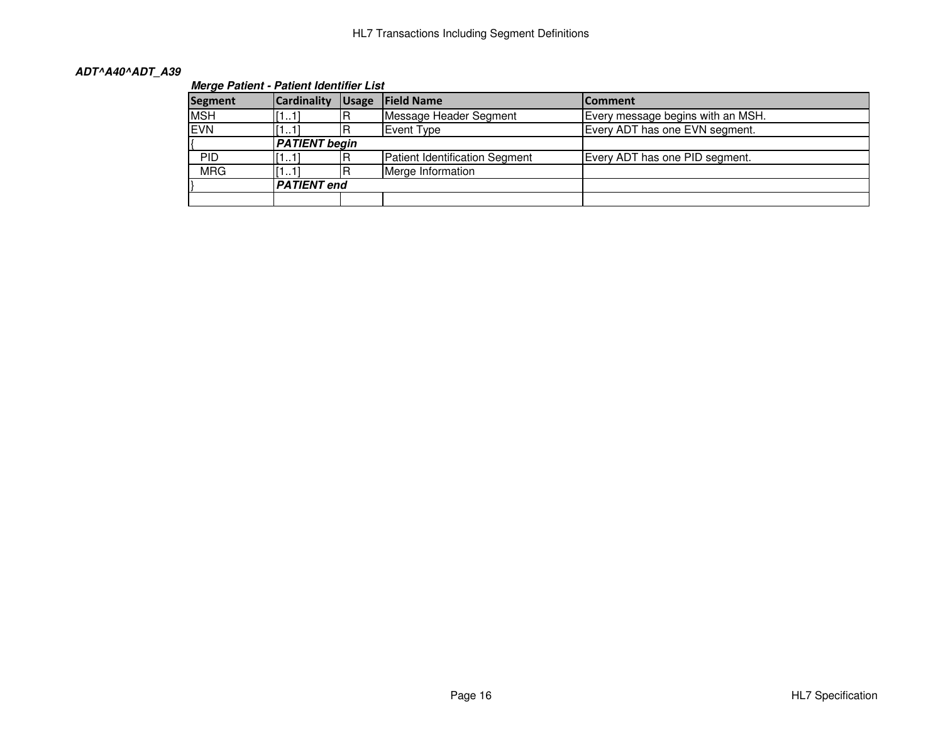## **ADT^A40^ADT\_A39**

## **Merge Patient - Patient Identifier List**

| <b>Segment</b> | <b>Cardinality</b>   | <b>Usage</b> | <b>IField Name</b>                    | <b>Comment</b>                    |  |  |
|----------------|----------------------|--------------|---------------------------------------|-----------------------------------|--|--|
| <b>MSH</b>     | [11]                 | R            | Message Header Segment                | Every message begins with an MSH. |  |  |
| <b>EVN</b>     | [11]                 |              | Event Type                            | Every ADT has one EVN segment.    |  |  |
|                | <b>PATIENT</b> begin |              |                                       |                                   |  |  |
| <b>PID</b>     | [11]                 |              | <b>Patient Identification Segment</b> | Every ADT has one PID segment.    |  |  |
| <b>MRG</b>     | [11]                 |              | Merge Information                     |                                   |  |  |
|                | <b>PATIENT</b> end   |              |                                       |                                   |  |  |
|                |                      |              |                                       |                                   |  |  |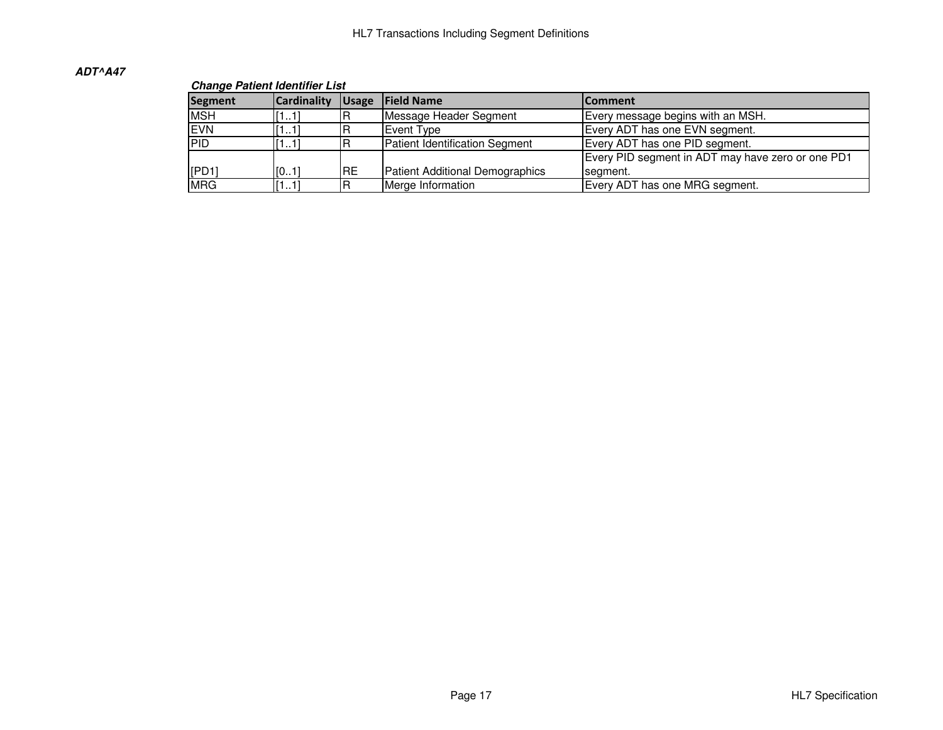#### **Change Patient Identifier List**

| Segment    | <b>Cardinality</b> | Usage | <b>IField Name</b>                     | <b>IComment</b>                                   |  |  |
|------------|--------------------|-------|----------------------------------------|---------------------------------------------------|--|--|
| <b>MSH</b> | [11]               |       | Message Header Segment                 | Every message begins with an MSH.                 |  |  |
| <b>EVN</b> | [11]               |       | Event Type                             | Every ADT has one EVN segment.                    |  |  |
| PID        | [11]               | B     | <b>Patient Identification Segment</b>  | Every ADT has one PID segment.                    |  |  |
|            |                    |       |                                        | Every PID segment in ADT may have zero or one PD1 |  |  |
| [PD1]      | [01]               | IRE   | <b>Patient Additional Demographics</b> | segment.                                          |  |  |
| <b>MRG</b> | [11]               | IR    | Merge Information                      | Every ADT has one MRG segment.                    |  |  |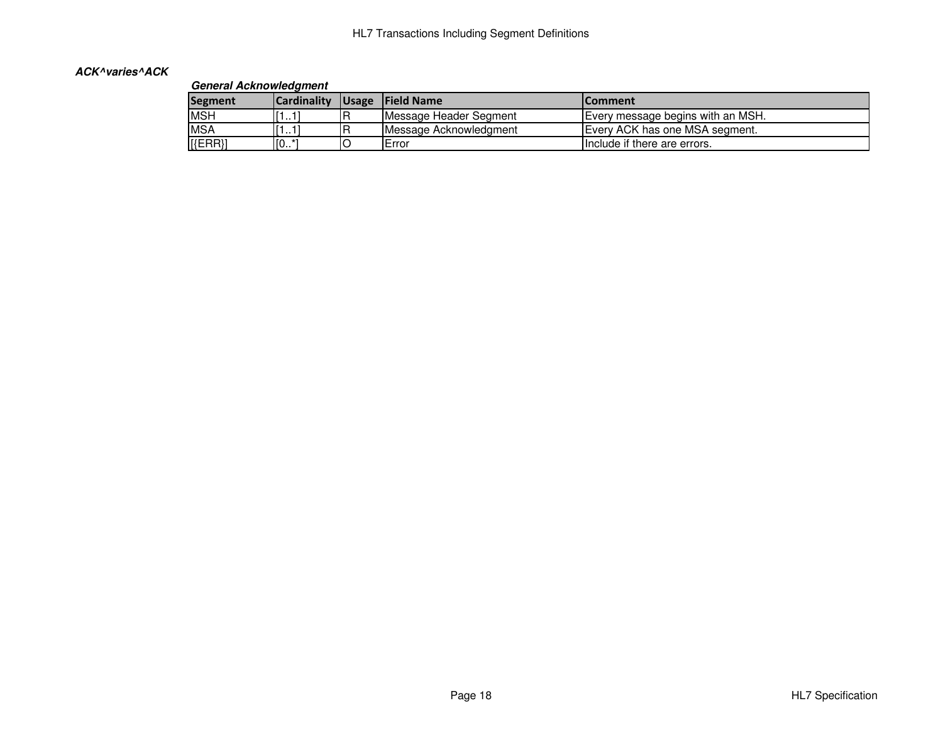## **ACK^varies^ACK**

## **General Acknowledgment**

| Segment    | <b>Cardinality</b> |    | Usage Field Name       | <b>IComment</b>                   |  |  |
|------------|--------------------|----|------------------------|-----------------------------------|--|--|
| <b>MSH</b> | .                  | IR | Message Header Segment | Every message begins with an MSH. |  |  |
| <b>MSA</b> | .                  |    | Message Acknowledgment | Every ACK has one MSA segment.    |  |  |
| $[$ {ERR}] | $\P$ [0            |    | <b>IError</b>          | Include if there are errors.      |  |  |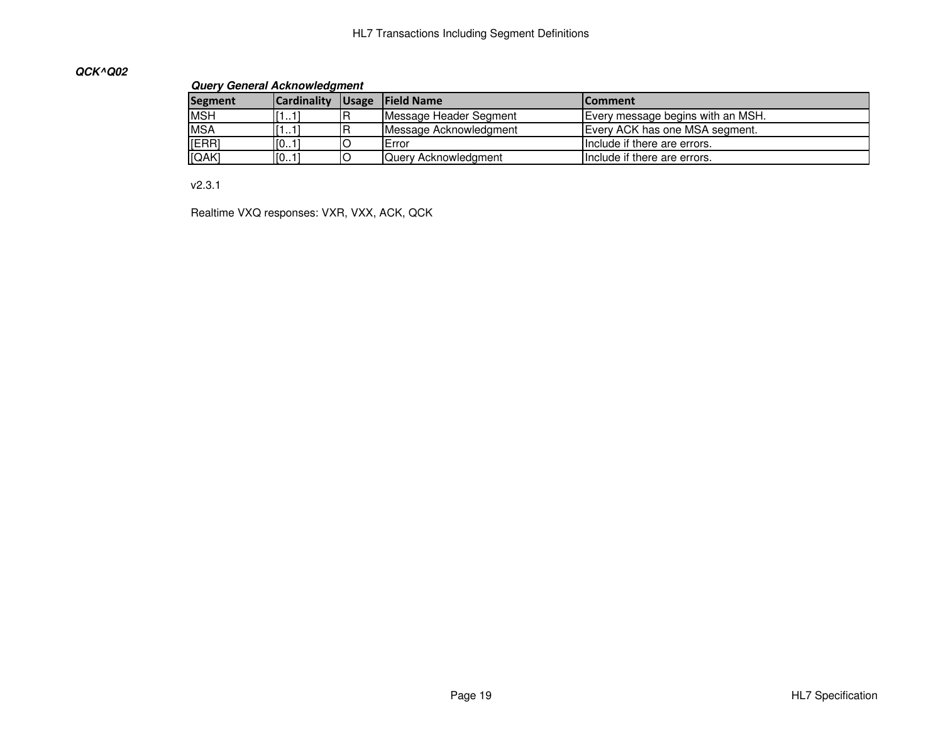## **QCK^Q02**

#### **Query General Acknowledgment**

| <b>Segment</b> | <b>Cardinality</b> |   | Usage Field Name       | lComment                          |  |  |
|----------------|--------------------|---|------------------------|-----------------------------------|--|--|
| <b>MSH</b>     | [11]               |   | Message Header Segment | Every message begins with an MSH. |  |  |
| <b>MSA</b>     | [11]               | B | Message Acknowledgment | Every ACK has one MSA segment.    |  |  |
| [ERR]          | [01]               |   | IError                 | Include if there are errors.      |  |  |
| [QAK]          | [01]               |   | Query Acknowledgment   | Include if there are errors.      |  |  |

v2.3.1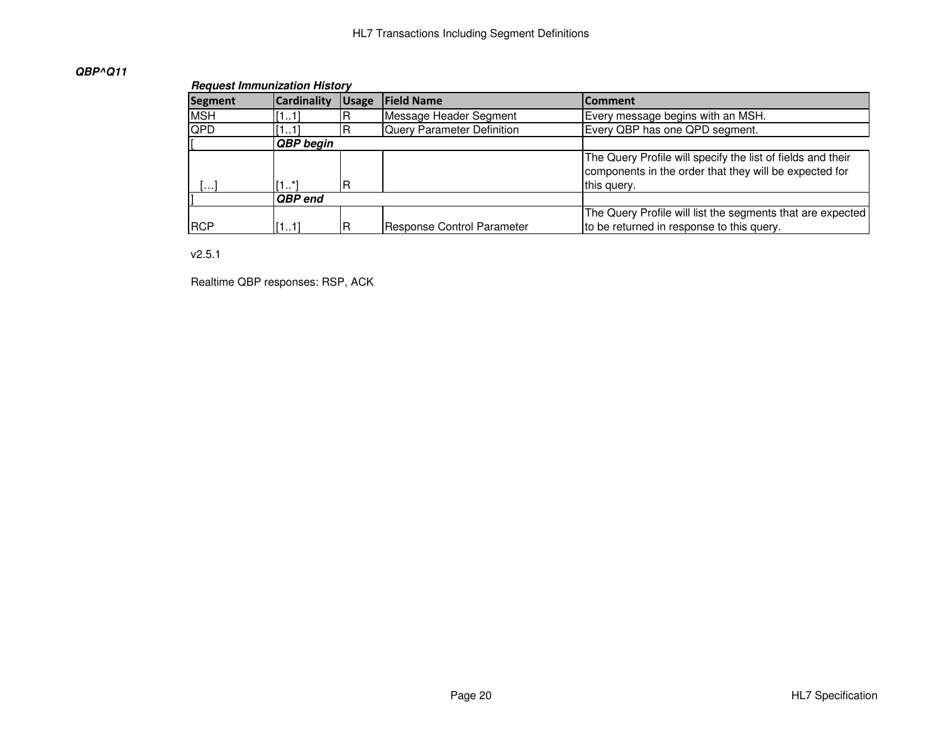## **QBP^Q11**

#### **Request Immunization History**

| <b>Segment</b> | <b>Cardinality</b> | <b>Usage</b> | <b>Field Name</b>          | <b>Comment</b>                                                                                                                       |  |  |  |
|----------------|--------------------|--------------|----------------------------|--------------------------------------------------------------------------------------------------------------------------------------|--|--|--|
| <b>MSH</b>     | [11]               | R            | Message Header Segment     | Every message begins with an MSH.                                                                                                    |  |  |  |
| QPD            | 111                | R            | Query Parameter Definition | Every QBP has one QPD segment.                                                                                                       |  |  |  |
|                | <b>QBP</b> begin   |              |                            |                                                                                                                                      |  |  |  |
| .              | 1*ا<br>R           |              |                            | The Query Profile will specify the list of fields and their<br>components in the order that they will be expected for<br>this query. |  |  |  |
|                | <b>QBP</b> end     |              |                            |                                                                                                                                      |  |  |  |
| <b>RCP</b>     | R<br>[11]          |              | Response Control Parameter | The Query Profile will list the segments that are expected<br>to be returned in response to this query.                              |  |  |  |

## v2.5.1

Realtime QBP responses: RSP, ACK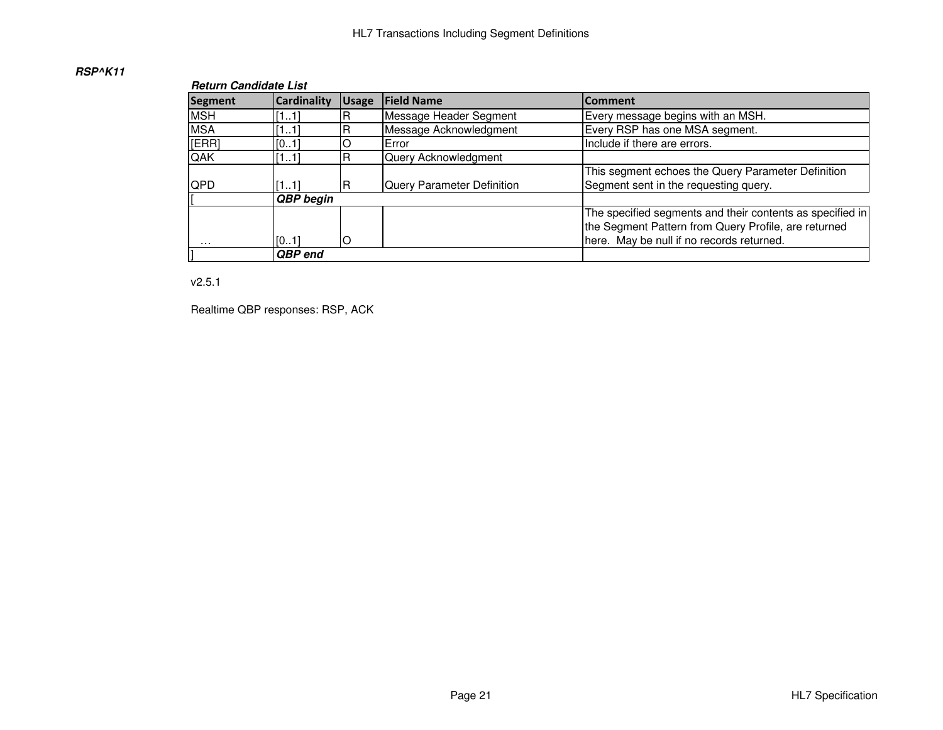## **RSP^K11**

#### **Return Candidate List**

| <b>Segment</b> | <b>Cardinality</b> | <b>Usage</b> | <b>Field Name</b>          | <b>Comment</b>                                                                                                                                                 |
|----------------|--------------------|--------------|----------------------------|----------------------------------------------------------------------------------------------------------------------------------------------------------------|
| <b>MSH</b>     | [11]               |              | Message Header Segment     | Every message begins with an MSH.                                                                                                                              |
| <b>MSA</b>     | [11]               |              | Message Acknowledgment     | Every RSP has one MSA segment.                                                                                                                                 |
| [ERR]          | [01]               |              | Error                      | Include if there are errors.                                                                                                                                   |
| QAK            | [11]               |              | Query Acknowledgment       |                                                                                                                                                                |
| <b>QPD</b>     | [11]               |              | Query Parameter Definition | This segment echoes the Query Parameter Definition<br>Segment sent in the requesting query.                                                                    |
|                | QBP begin          |              |                            |                                                                                                                                                                |
| .              | [01]               |              |                            | The specified segments and their contents as specified in<br>the Segment Pattern from Query Profile, are returned<br>here. May be null if no records returned. |
|                | QBP end            |              |                            |                                                                                                                                                                |

v2.5.1

Realtime QBP responses: RSP, ACK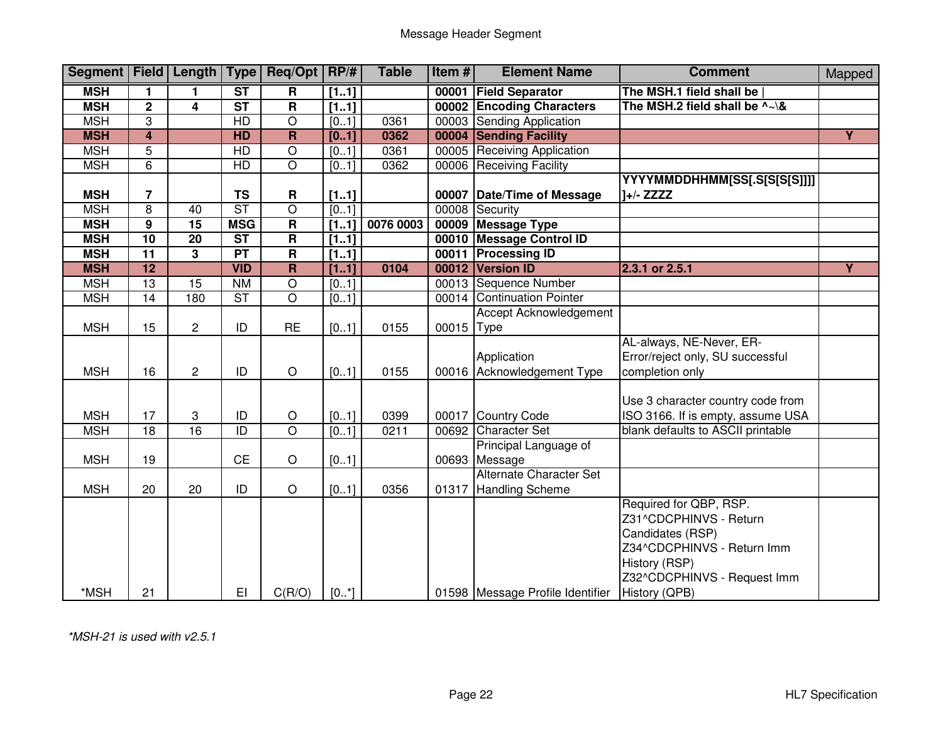| Segment   Field   Length |                 |                | Type                   | Req/Opt RP/#            |          | <b>Table</b> | Item# | <b>Element Name</b>              | <b>Comment</b>                           | Mapped         |
|--------------------------|-----------------|----------------|------------------------|-------------------------|----------|--------------|-------|----------------------------------|------------------------------------------|----------------|
| <b>MSH</b>               | 1.              | 1              | $\overline{\text{ST}}$ | R                       | [11]     |              | 00001 | <b>Field Separator</b>           | The MSH.1 field shall be                 |                |
| <b>MSH</b>               | $\overline{2}$  | 4              | $\overline{\text{ST}}$ | $\overline{\mathbf{R}}$ | [11]     |              | 00002 | <b>Encoding Characters</b>       | The MSH.2 field shall be $\sim\lambda$ & |                |
| <b>MSH</b>               | 3               |                | HD                     | $\overline{O}$          | [01]     | 0361         | 00003 | <b>Sending Application</b>       |                                          |                |
| <b>MSH</b>               | $\overline{4}$  |                | <b>HD</b>              | $\overline{\mathsf{R}}$ | [01]     | 0362         | 00004 | <b>Sending Facility</b>          |                                          | $\overline{Y}$ |
| <b>MSH</b>               | $\overline{5}$  |                | <b>HD</b>              | $\overline{O}$          | [01]     | 0361         | 00005 | <b>Receiving Application</b>     |                                          |                |
| <b>MSH</b>               | 6               |                | HD                     | $\overline{O}$          | [01]     | 0362         | 00006 | <b>Receiving Facility</b>        |                                          |                |
|                          |                 |                |                        |                         |          |              |       |                                  | YYYYMMDDHHMM[SS[.S[S[S[S]]]]             |                |
| <b>MSH</b>               | $\overline{7}$  |                | <b>TS</b>              | R                       | [11]     |              |       | 00007 Date/Time of Message       | $1+/-$ ZZZZ                              |                |
| <b>MSH</b>               | $\overline{8}$  | 40             | $\overline{\text{ST}}$ | $\overline{O}$          | [01]     |              | 00008 | Security                         |                                          |                |
| <b>MSH</b>               | $\overline{9}$  | 15             | <b>MSG</b>             | $\overline{\mathsf{R}}$ | [11]     | 0076 0003    | 00009 | <b>Message Type</b>              |                                          |                |
| <b>MSH</b>               | $\overline{10}$ | 20             | $\overline{\text{ST}}$ | $\overline{\mathsf{R}}$ | [11]     |              | 00010 | <b>Message Control ID</b>        |                                          |                |
| <b>MSH</b>               | $\overline{11}$ | 3              | PT                     | $\overline{\mathsf{R}}$ | [11]     |              | 00011 | <b>Processing ID</b>             |                                          |                |
| <b>MSH</b>               | $\overline{12}$ |                | <b>VID</b>             | $\overline{\mathsf{R}}$ | [11]     | 0104         | 00012 | <b>Version ID</b>                | 2.3.1 or 2.5.1                           | $\overline{Y}$ |
| <b>MSH</b>               | $\overline{13}$ | 15             | N <sub>M</sub>         | $\overline{O}$          | [01]     |              |       | 00013 Sequence Number            |                                          |                |
| <b>MSH</b>               | 14              | 180            | ST                     | $\overline{\circ}$      | [01]     |              |       | 00014 Continuation Pointer       |                                          |                |
|                          |                 |                |                        |                         |          |              |       | Accept Acknowledgement           |                                          |                |
| <b>MSH</b>               | 15              | $\mathbf{2}$   | ID                     | <b>RE</b>               | [01]     | 0155         | 00015 | <b>Type</b>                      |                                          |                |
|                          |                 |                |                        |                         |          |              |       |                                  | AL-always, NE-Never, ER-                 |                |
|                          |                 |                |                        |                         |          |              |       | Application                      | Error/reject only, SU successful         |                |
| <b>MSH</b>               | 16              | $\overline{c}$ | ID                     | $\circ$                 | [01]     | 0155         |       | 00016 Acknowledgement Type       | completion only                          |                |
|                          |                 |                |                        |                         |          |              |       |                                  |                                          |                |
|                          |                 |                |                        |                         |          |              |       |                                  | Use 3 character country code from        |                |
| <b>MSH</b>               | 17              | 3              | ID                     | $\bigcirc$              | [01]     | 0399         | 00017 | Country Code                     | ISO 3166. If is empty, assume USA        |                |
| <b>MSH</b>               | $\overline{18}$ | 16             | ID                     | $\overline{O}$          | [01]     | 0211         | 00692 | <b>Character Set</b>             | blank defaults to ASCII printable        |                |
|                          |                 |                |                        |                         |          |              |       | Principal Language of            |                                          |                |
| <b>MSH</b>               | 19              |                | <b>CE</b>              | $\circ$                 | [01]     |              |       | 00693 Message                    |                                          |                |
|                          |                 |                |                        |                         |          |              |       | Alternate Character Set          |                                          |                |
| <b>MSH</b>               | 20              | 20             | ID                     | $\circ$                 | [01]     | 0356         | 01317 | <b>Handling Scheme</b>           |                                          |                |
|                          |                 |                |                        |                         |          |              |       |                                  | Required for QBP, RSP.                   |                |
|                          |                 |                |                        |                         |          |              |       |                                  | Z31^CDCPHINVS - Return                   |                |
|                          |                 |                |                        |                         |          |              |       |                                  | Candidates (RSP)                         |                |
|                          |                 |                |                        |                         |          |              |       |                                  | Z34^CDCPHINVS - Return Imm               |                |
|                          |                 |                |                        |                         |          |              |       |                                  | History (RSP)                            |                |
|                          |                 |                |                        |                         |          |              |       |                                  | Z32^CDCPHINVS - Request Imm              |                |
| *MSH                     | 21              |                | E1                     | C(R/O)                  | $[0, *]$ |              |       | 01598 Message Profile Identifier | History (QPB)                            |                |

\*MSH-21 is used with v2.5.1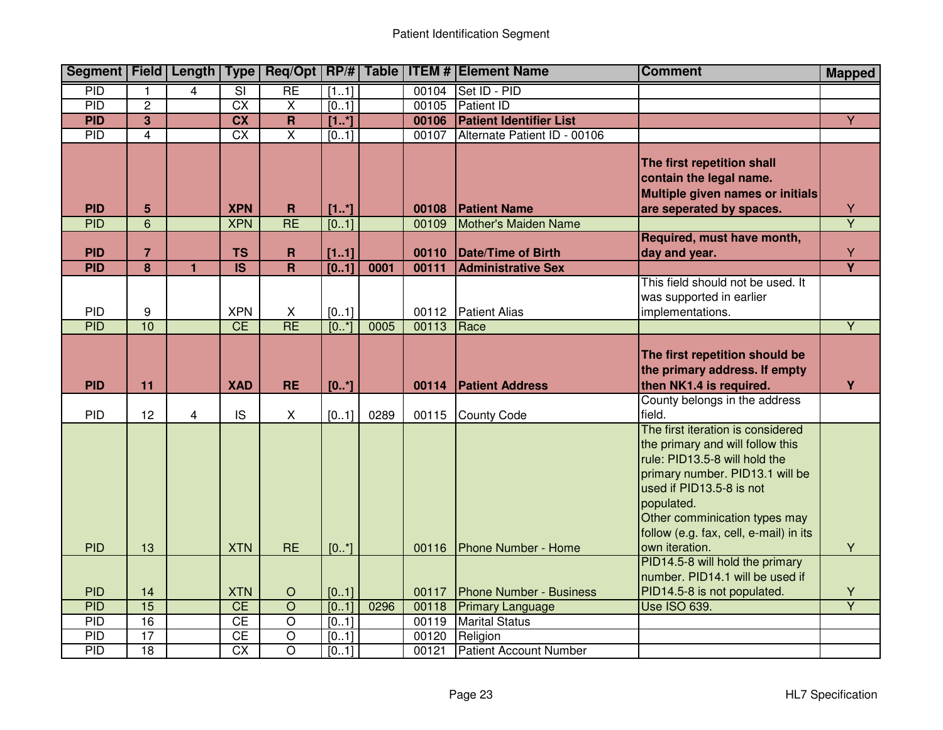|                          |                                  |                |                                       |                                        |                   |      |                | Segment   Field   Length   Type   Req/Opt   RP/#   Table   ITEM #   Element Name | <b>Comment</b>                                                                                                                                                                                                                                                                   | <b>Mapped</b>                |
|--------------------------|----------------------------------|----------------|---------------------------------------|----------------------------------------|-------------------|------|----------------|----------------------------------------------------------------------------------|----------------------------------------------------------------------------------------------------------------------------------------------------------------------------------------------------------------------------------------------------------------------------------|------------------------------|
| PID                      |                                  | 4              | $\overline{\mathsf{SI}}$              | <b>RE</b>                              | [11]              |      | 00104          | Set ID - PID                                                                     |                                                                                                                                                                                                                                                                                  |                              |
| <b>PID</b>               | $\overline{2}$                   |                | $\overline{CX}$                       | $\overline{X}$                         | [01]              |      | 00105          | <b>Patient ID</b>                                                                |                                                                                                                                                                                                                                                                                  |                              |
| <b>PID</b>               | $\overline{3}$                   |                | $\overline{\text{cx}}$                | $\overline{\mathsf{R}}$                | [1.1]             |      | 00106          | <b>Patient Identifier List</b>                                                   |                                                                                                                                                                                                                                                                                  | $\overline{Y}$               |
| PID                      | $\overline{4}$                   |                | $\overline{CX}$                       | $\overline{\mathsf{x}}$                | $\overline{[01]}$ |      | 00107          | Alternate Patient ID - 00106                                                     |                                                                                                                                                                                                                                                                                  |                              |
| <b>PID</b>               | 5                                |                | <b>XPN</b>                            | $\mathbf R$                            | [1.1]             |      | 00108          | <b>Patient Name</b>                                                              | The first repetition shall<br>contain the legal name.<br>Multiple given names or initials<br>are seperated by spaces.                                                                                                                                                            | $\frac{Y}{Y}$                |
| <b>PID</b>               | 6                                |                | <b>XPN</b>                            | RE                                     | $\overline{[01]}$ |      | 00109          | Mother's Maiden Name                                                             |                                                                                                                                                                                                                                                                                  |                              |
| <b>PID</b><br><b>PID</b> | $\overline{7}$<br>$\overline{8}$ | $\blacksquare$ | <b>TS</b><br>$\overline{\mathsf{IS}}$ | $\mathbf R$<br>$\overline{\mathsf{R}}$ | [11]<br>[01]      | 0001 | 00110<br>00111 | Date/Time of Birth<br><b>Administrative Sex</b>                                  | Required, must have month,<br>day and year.                                                                                                                                                                                                                                      | Y<br>$\overline{\mathsf{Y}}$ |
|                          |                                  |                |                                       |                                        |                   |      |                |                                                                                  | This field should not be used. It                                                                                                                                                                                                                                                |                              |
| <b>PID</b>               | 9                                |                | <b>XPN</b>                            | X                                      | [01]              |      |                | 00112 Patient Alias                                                              | was supported in earlier<br>implementations.                                                                                                                                                                                                                                     |                              |
| <b>PID</b>               | 10                               |                | CE                                    | <b>RE</b>                              | $[0, *]$          | 0005 | 00113          | Race                                                                             |                                                                                                                                                                                                                                                                                  | $\overline{Y}$               |
| <b>PID</b>               | 11                               |                | <b>XAD</b>                            | <b>RE</b>                              | [0.1]             |      | 00114          | <b>Patient Address</b>                                                           | The first repetition should be<br>the primary address. If empty<br>then NK1.4 is required.                                                                                                                                                                                       | Y                            |
| <b>PID</b>               | 12                               | $\overline{4}$ | <b>IS</b>                             | X                                      | [01]              | 0289 | 00115          | <b>County Code</b>                                                               | County belongs in the address<br>field.                                                                                                                                                                                                                                          |                              |
| <b>PID</b>               | 13                               |                | <b>XTN</b>                            | <b>RE</b>                              | [0.1]             |      | 00116          | <b>Phone Number - Home</b>                                                       | The first iteration is considered<br>the primary and will follow this<br>rule: PID13.5-8 will hold the<br>primary number. PID13.1 will be<br>used if PID13.5-8 is not<br>populated.<br>Other comminication types may<br>follow (e.g. fax, cell, e-mail) in its<br>own iteration. | Y                            |
| <b>PID</b>               | 14                               |                | <b>XTN</b>                            | $\bigcirc$                             | [01]              |      | 00117          | <b>Phone Number - Business</b>                                                   | PID14.5-8 will hold the primary<br>number. PID14.1 will be used if<br>PID14.5-8 is not populated.                                                                                                                                                                                | Y                            |
| <b>PID</b>               | $\overline{15}$                  |                | CE                                    | $\overline{O}$                         | [01]              | 0296 | 00118          | <b>Primary Language</b>                                                          | <b>Use ISO 639.</b>                                                                                                                                                                                                                                                              | $\overline{Y}$               |
| PID                      | 16                               |                | CE                                    | $\overline{\rm o}$                     | [01]              |      | 00119          | <b>Marital Status</b>                                                            |                                                                                                                                                                                                                                                                                  |                              |
| <b>PID</b>               | $\overline{17}$                  |                | CE                                    | $\overline{O}$                         | [01]              |      | 00120          | Religion                                                                         |                                                                                                                                                                                                                                                                                  |                              |
| PID                      | 18                               |                | $\overline{CX}$                       | $\overline{\circ}$                     | [01]              |      | 00121          | <b>Patient Account Number</b>                                                    |                                                                                                                                                                                                                                                                                  |                              |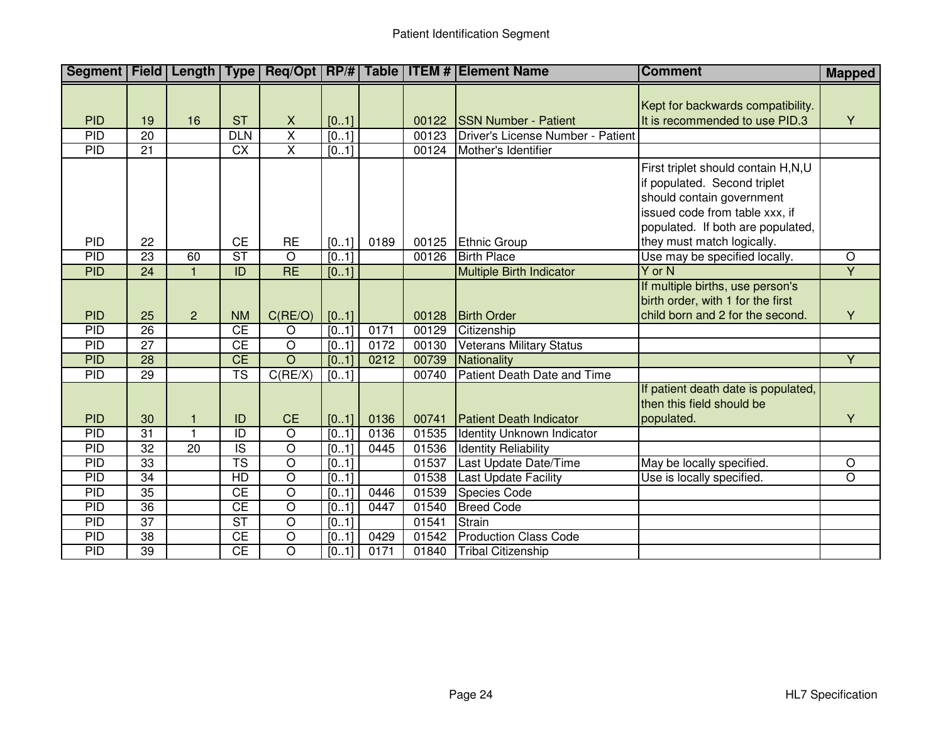| Segment   Field   Length   Type |                 |                 |                          |                         |       |      |       | Req/Opt   RP/#   Table   ITEM #   Element Name | <b>Comment</b>                                                                                                                                                                                       | <b>Mapped</b>  |
|---------------------------------|-----------------|-----------------|--------------------------|-------------------------|-------|------|-------|------------------------------------------------|------------------------------------------------------------------------------------------------------------------------------------------------------------------------------------------------------|----------------|
|                                 |                 |                 |                          |                         |       |      |       |                                                | Kept for backwards compatibility.                                                                                                                                                                    |                |
| <b>PID</b>                      | 19              | 16              | <b>ST</b>                | X                       | [01]  |      | 00122 | <b>SSN Number - Patient</b>                    | It is recommended to use PID.3                                                                                                                                                                       | Y              |
| PID                             | $\overline{20}$ |                 | DLN                      | $\overline{\mathsf{x}}$ | [0.1] |      | 00123 | Driver's License Number - Patient              |                                                                                                                                                                                                      |                |
| PID                             | $\overline{21}$ |                 | $\overline{CX}$          | $\overline{\mathsf{x}}$ | [01]  |      | 00124 | Mother's Identifier                            |                                                                                                                                                                                                      |                |
| <b>PID</b>                      | 22              |                 | <b>CE</b>                | <b>RE</b>               | [01]  | 0189 | 00125 | Ethnic Group                                   | First triplet should contain H,N,U<br>if populated. Second triplet<br>should contain government<br>issued code from table xxx, if<br>populated. If both are populated,<br>they must match logically. |                |
| PID                             | $\overline{23}$ | 60              | $\overline{\text{ST}}$   | $\overline{O}$          | [0.1] |      | 00126 | <b>Birth Place</b>                             | Use may be specified locally.                                                                                                                                                                        | $\overline{O}$ |
| <b>PID</b>                      | $\overline{24}$ |                 | ID                       | RE                      | [01]  |      |       | <b>Multiple Birth Indicator</b>                | Y or N                                                                                                                                                                                               | $\overline{Y}$ |
|                                 |                 |                 |                          |                         |       |      |       |                                                | If multiple births, use person's                                                                                                                                                                     |                |
|                                 |                 |                 |                          |                         |       |      |       |                                                | birth order, with 1 for the first                                                                                                                                                                    |                |
| <b>PID</b>                      | 25              | $\overline{2}$  | <b>NM</b>                | C(RE/O)                 | [01]  |      | 00128 | <b>Birth Order</b>                             | child born and 2 for the second.                                                                                                                                                                     | Y              |
| PID                             | $\overline{26}$ |                 | $\overline{CE}$          | $\circ$                 | [0.1] | 0171 | 00129 | Citizenship                                    |                                                                                                                                                                                                      |                |
| <b>PID</b>                      | $\overline{27}$ |                 | $\overline{CE}$          | $\overline{O}$          | [01]  | 0172 | 00130 | <b>Veterans Military Status</b>                |                                                                                                                                                                                                      |                |
| <b>PID</b>                      | $\overline{28}$ |                 | CE                       | $\overline{O}$          | [01]  | 0212 | 00739 | Nationality                                    |                                                                                                                                                                                                      | $\overline{Y}$ |
| PID                             | 29              |                 | $\overline{\text{TS}}$   | C(RE/X)                 | [01]  |      | 00740 | Patient Death Date and Time                    |                                                                                                                                                                                                      |                |
|                                 |                 |                 |                          |                         |       |      |       |                                                | If patient death date is populated,                                                                                                                                                                  |                |
|                                 |                 |                 |                          |                         |       |      |       |                                                | then this field should be                                                                                                                                                                            |                |
| <b>PID</b>                      | 30              |                 | ID                       | <b>CE</b>               | [01]  | 0136 | 00741 | <b>Patient Death Indicator</b>                 | populated.                                                                                                                                                                                           | Y              |
| PID                             | 31              | $\blacksquare$  | $\overline{1}$           | $\overline{O}$          | [01]  | 0136 | 01535 | <b>Identity Unknown Indicator</b>              |                                                                                                                                                                                                      |                |
| PID                             | 32              | $\overline{20}$ | $\overline{\mathsf{IS}}$ | $\overline{\circ}$      | [01]  | 0445 | 01536 | <b>Identity Reliability</b>                    |                                                                                                                                                                                                      |                |
| PID                             | 33              |                 | $\overline{\text{TS}}$   | $\overline{\circ}$      | [01]  |      | 01537 | Last Update Date/Time                          | May be locally specified.                                                                                                                                                                            | $\overline{O}$ |
| PID                             | 34              |                 | $\overline{HD}$          | $\overline{\circ}$      | [01]  |      | 01538 | <b>Last Update Facility</b>                    | Use is locally specified.                                                                                                                                                                            | $\overline{O}$ |
| PID                             | $\overline{35}$ |                 | CE                       | $\overline{\circ}$      | [01]  | 0446 | 01539 | Species Code                                   |                                                                                                                                                                                                      |                |
| PID                             | 36              |                 | $\overline{CE}$          | $\overline{\circ}$      | [01]  | 0447 | 01540 | <b>Breed Code</b>                              |                                                                                                                                                                                                      |                |
| PID                             | $\overline{37}$ |                 | $\overline{\text{ST}}$   | $\overline{O}$          | [01]  |      | 01541 | Strain                                         |                                                                                                                                                                                                      |                |
| PID                             | 38              |                 | CE                       | $\overline{O}$          | [01]  | 0429 | 01542 | <b>Production Class Code</b>                   |                                                                                                                                                                                                      |                |
| <b>PID</b>                      | $\overline{39}$ |                 | CE                       | $\overline{O}$          | [01]  | 0171 | 01840 | <b>Tribal Citizenship</b>                      |                                                                                                                                                                                                      |                |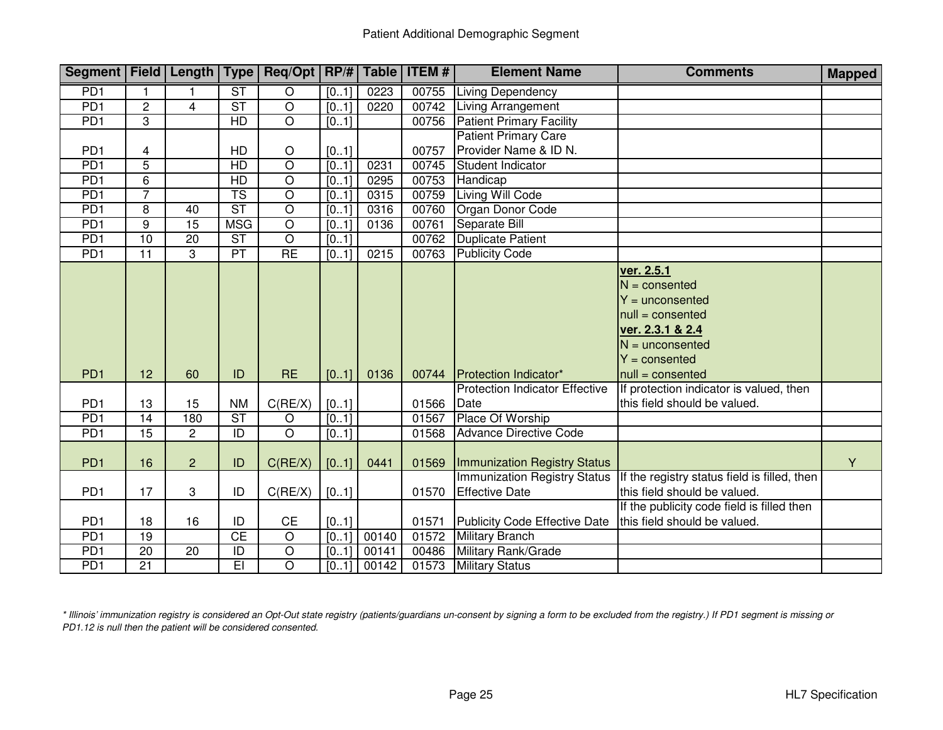| Segment   Field   Length   Type   Req/Opt   RP/#   Table   ITEM # |                 |                 |                        |                |                   |       |       | <b>Element Name</b>                                          | <b>Comments</b>                                                                                                                                                          | <b>Mapped</b> |
|-------------------------------------------------------------------|-----------------|-----------------|------------------------|----------------|-------------------|-------|-------|--------------------------------------------------------------|--------------------------------------------------------------------------------------------------------------------------------------------------------------------------|---------------|
| P <sub>D</sub> 1                                                  |                 |                 | $\overline{\text{ST}}$ | $\overline{O}$ | [01]              | 0223  | 00755 | <b>Living Dependency</b>                                     |                                                                                                                                                                          |               |
| PD <sub>1</sub>                                                   | $\overline{c}$  | 4               | $\overline{\text{ST}}$ | $\overline{O}$ | [01]              | 0220  | 00742 | <b>Living Arrangement</b>                                    |                                                                                                                                                                          |               |
| PD1                                                               | 3               |                 | HD                     | $\overline{O}$ | [01]              |       | 00756 | <b>Patient Primary Facility</b>                              |                                                                                                                                                                          |               |
|                                                                   |                 |                 |                        |                |                   |       |       | <b>Patient Primary Care</b>                                  |                                                                                                                                                                          |               |
| PD <sub>1</sub>                                                   | 4               |                 | HD                     | $\circ$        | [01]              |       | 00757 | Provider Name & ID N.                                        |                                                                                                                                                                          |               |
| PD <sub>1</sub>                                                   | 5               |                 | $\overline{HD}$        | $\overline{O}$ | [01]              | 0231  | 00745 | Student Indicator                                            |                                                                                                                                                                          |               |
| PD <sub>1</sub>                                                   | 6               |                 | HD                     | $\overline{O}$ | $\overline{[01]}$ | 0295  | 00753 | Handicap                                                     |                                                                                                                                                                          |               |
| PD1                                                               | 7               |                 | $\overline{\text{TS}}$ | $\overline{O}$ | [01]              | 0315  | 00759 | Living Will Code                                             |                                                                                                                                                                          |               |
| PD <sub>1</sub>                                                   | 8               | 40              | $\overline{\text{ST}}$ | $\overline{O}$ | [01]              | 0316  | 00760 | Organ Donor Code                                             |                                                                                                                                                                          |               |
| PD1                                                               | $\overline{9}$  | $\overline{15}$ | <b>MSG</b>             | $\overline{O}$ | [01]              | 0136  | 00761 | Separate Bill                                                |                                                                                                                                                                          |               |
| PD <sub>1</sub>                                                   | 10              | $\overline{20}$ | $\overline{\text{ST}}$ | $\overline{O}$ | [01]              |       | 00762 | <b>Duplicate Patient</b>                                     |                                                                                                                                                                          |               |
| PD1                                                               | $\overline{11}$ | $\overline{3}$  | PT                     | RE             | [01]              | 0215  | 00763 | <b>Publicity Code</b>                                        |                                                                                                                                                                          |               |
| PD <sub>1</sub>                                                   | 12              | 60              | ID                     | <b>RE</b>      | [01]              | 0136  | 00744 | Protection Indicator*                                        | ver. 2.5.1<br>$N =$ consented<br>$Y =$ unconsented<br>$null = \text{consented}$<br>ver. 2.3.1 & 2.4<br>$N =$ unconsented<br>$Y =$ consented<br>$null = \text{consented}$ |               |
|                                                                   |                 |                 |                        |                |                   |       |       | <b>Protection Indicator Effective</b>                        | If protection indicator is valued, then                                                                                                                                  |               |
| PD <sub>1</sub>                                                   | 13              | 15              | <b>NM</b>              | C(RE/X)        | [01]              |       | 01566 | Date                                                         | this field should be valued.                                                                                                                                             |               |
| PD <sub>1</sub>                                                   | 14              | 180             | $\overline{\text{ST}}$ | $\circ$        | [01]              |       | 01567 | Place Of Worship                                             |                                                                                                                                                                          |               |
| PD <sub>1</sub>                                                   | 15              | $\overline{2}$  | $\overline{ID}$        | $\overline{O}$ | [01]              |       | 01568 | <b>Advance Directive Code</b>                                |                                                                                                                                                                          |               |
| PD <sub>1</sub>                                                   | 16              | $\overline{2}$  | ID                     | C(RE/X)        | [01]              | 0441  | 01569 | Immunization Registry Status                                 |                                                                                                                                                                          | Y             |
| PD <sub>1</sub>                                                   | 17              | 3               | ID                     | C(RE/X)        | [01]              |       | 01570 | <b>Immunization Registry Status</b><br><b>Effective Date</b> | If the registry status field is filled, then<br>this field should be valued.                                                                                             |               |
| PD <sub>1</sub>                                                   | 18              | 16              | ID                     | CE             | [01]              |       | 01571 | Publicity Code Effective Date                                | If the publicity code field is filled then<br>this field should be valued.                                                                                               |               |
| PD1                                                               | 19              |                 | CE                     | $\overline{O}$ | [01]              | 00140 | 01572 | <b>Military Branch</b>                                       |                                                                                                                                                                          |               |
| PD <sub>1</sub>                                                   | $\overline{20}$ | 20              | ID                     | $\overline{O}$ | [01]              | 00141 | 00486 | Military Rank/Grade                                          |                                                                                                                                                                          |               |
| PD <sub>1</sub>                                                   | $\overline{21}$ |                 | E                      | $\overline{O}$ | [01]              | 00142 | 01573 | <b>Military Status</b>                                       |                                                                                                                                                                          |               |

\* Illinois' immunization registry is considered an Opt-Out state registry (patients/guardians un-consent by signing a form to be excluded from the registry.) If PD1 segment is missing or<br>PD1.12 is null then the patient wil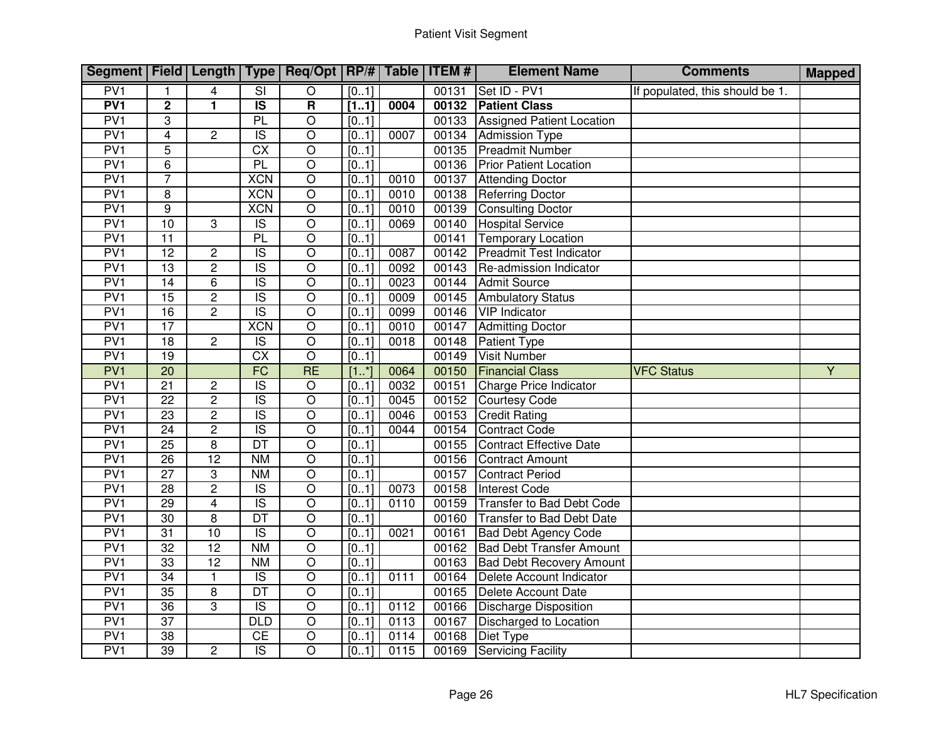| Segment   Field   Length   Type   Req/Opt   RP/#   Table   ITEM # |                 |                 |                          |                         |                   |      |       | <b>Element Name</b>              | <b>Comments</b>                 | <b>Mapped</b> |
|-------------------------------------------------------------------|-----------------|-----------------|--------------------------|-------------------------|-------------------|------|-------|----------------------------------|---------------------------------|---------------|
| PV1                                                               | 1               | 4               | $\overline{\text{SI}}$   | $\overline{O}$          | [01]              |      | 00131 | Set ID - PV1                     | If populated, this should be 1. |               |
| PV1                                                               | $\overline{2}$  | $\mathbf{1}$    | $\overline{\mathsf{IS}}$ | $\overline{\mathbf{R}}$ | [11]              | 0004 | 00132 | <b>Patient Class</b>             |                                 |               |
| PV1                                                               | 3               |                 | PL                       | $\overline{O}$          | $\overline{[01]}$ |      | 00133 | <b>Assigned Patient Location</b> |                                 |               |
| PV1                                                               | 4               | $\overline{2}$  | $\overline{S}$           | $\overline{\circ}$      | [01]              | 0007 | 00134 | <b>Admission Type</b>            |                                 |               |
| PV <sub>1</sub>                                                   | $\overline{5}$  |                 | $\overline{CX}$          | $\overline{O}$          | [01]              |      | 00135 | <b>Preadmit Number</b>           |                                 |               |
| PV1                                                               | 6               |                 | PL                       | $\overline{O}$          | [01]              |      | 00136 | <b>Prior Patient Location</b>    |                                 |               |
| PV <sub>1</sub>                                                   | $\overline{7}$  |                 | <b>XCN</b>               | $\overline{O}$          | [01]              | 0010 | 00137 | <b>Attending Doctor</b>          |                                 |               |
| PV <sub>1</sub>                                                   | 8               |                 | <b>XCN</b>               | $\overline{O}$          | [0.1]             | 0010 | 00138 | <b>Referring Doctor</b>          |                                 |               |
| PV1                                                               | $\overline{9}$  |                 | <b>XCN</b>               | $\overline{O}$          | [01]              | 0010 | 00139 | <b>Consulting Doctor</b>         |                                 |               |
| PV1                                                               | 10              | 3               | $\overline{S}$           | $\overline{O}$          | [0.1]             | 0069 | 00140 | <b>Hospital Service</b>          |                                 |               |
| PV1                                                               | 11              |                 | PL                       | $\overline{O}$          | [01]              |      | 00141 | Temporary Location               |                                 |               |
| PV1                                                               | 12              | $\overline{2}$  | $\overline{\mathsf{IS}}$ | $\overline{O}$          | [01]              | 0087 | 00142 | <b>Preadmit Test Indicator</b>   |                                 |               |
| PV1                                                               | $\overline{13}$ | $\overline{2}$  | $\overline{S}$           | $\overline{O}$          | [01]              | 0092 | 00143 | Re-admission Indicator           |                                 |               |
| PV <sub>1</sub>                                                   | 14              | 6               | $\overline{S}$           | $\overline{O}$          | [01]              | 0023 | 00144 | <b>Admit Source</b>              |                                 |               |
| PV1                                                               | 15              | $\overline{2}$  | $\overline{\mathsf{IS}}$ | $\overline{O}$          | [01]              | 0009 | 00145 | <b>Ambulatory Status</b>         |                                 |               |
| PV1                                                               | $\overline{16}$ | $\overline{2}$  | $\overline{S}$           | $\overline{O}$          | [01]              | 0099 | 00146 | <b>VIP</b> Indicator             |                                 |               |
| PV1                                                               | $\overline{17}$ |                 | <b>XCN</b>               | $\overline{O}$          | [01]              | 0010 | 00147 | <b>Admitting Doctor</b>          |                                 |               |
| PV <sub>1</sub>                                                   | $\overline{18}$ | $\overline{2}$  | $\overline{\mathsf{IS}}$ | $\overline{\circ}$      | [01]              | 0018 | 00148 | <b>Patient Type</b>              |                                 |               |
| PV <sub>1</sub>                                                   | 19              |                 | $\overline{CX}$          | $\overline{O}$          | [01]              |      | 00149 | <b>Visit Number</b>              |                                 |               |
| PV1                                                               | $\overline{20}$ |                 | FC                       | <b>RE</b>               | $[1, *]$          | 0064 | 00150 | <b>Financial Class</b>           | <b>VFC Status</b>               | Y             |
| PV <sub>1</sub>                                                   | $\overline{21}$ | $\overline{c}$  | $\overline{\mathsf{IS}}$ | $\overline{O}$          | [01]              | 0032 | 00151 | Charge Price Indicator           |                                 |               |
| PV1                                                               | $\overline{22}$ | $\overline{2}$  | $\overline{S}$           | $\overline{O}$          | [0.1]             | 0045 | 00152 | <b>Courtesy Code</b>             |                                 |               |
| PV1                                                               | $\overline{23}$ | $\overline{2}$  | $\overline{\mathsf{IS}}$ | $\overline{O}$          | [01]              | 0046 | 00153 | <b>Credit Rating</b>             |                                 |               |
| PV1                                                               | 24              | $\overline{2}$  | $\overline{\mathsf{IS}}$ | $\overline{O}$          | [01]              | 0044 | 00154 | Contract Code                    |                                 |               |
| PV1                                                               | 25              | $\overline{8}$  | DT                       | $\overline{\circ}$      | [01]              |      | 00155 | Contract Effective Date          |                                 |               |
| PV1                                                               | 26              | 12              | N <sub>M</sub>           | $\overline{O}$          | [01]              |      | 00156 | Contract Amount                  |                                 |               |
| PV1                                                               | $\overline{27}$ | 3               | N <sub>M</sub>           | $\overline{O}$          | [01]              |      | 00157 | <b>Contract Period</b>           |                                 |               |
| PV <sub>1</sub>                                                   | $\overline{28}$ | $\overline{2}$  | $\overline{S}$           | $\overline{O}$          | [01]              | 0073 | 00158 | <b>Interest Code</b>             |                                 |               |
| PV1                                                               | 29              | $\overline{4}$  | $\overline{\text{IS}}$   | $\overline{O}$          | [01]              | 0110 | 00159 | Transfer to Bad Debt Code        |                                 |               |
| PV1                                                               | $\overline{30}$ | $\overline{8}$  | $\overline{DT}$          | $\overline{O}$          | [01]              |      | 00160 | <b>Transfer to Bad Debt Date</b> |                                 |               |
| PV1                                                               | $\overline{31}$ | 10              | $\overline{S}$           | $\overline{\circ}$      | [01]              | 0021 | 00161 | <b>Bad Debt Agency Code</b>      |                                 |               |
| PV <sub>1</sub>                                                   | $\overline{32}$ | 12              | <b>NM</b>                | $\overline{O}$          | [01]              |      | 00162 | <b>Bad Debt Transfer Amount</b>  |                                 |               |
| PV1                                                               | 33              | $\overline{12}$ | <b>NM</b>                | $\overline{O}$          | [01]              |      | 00163 | <b>Bad Debt Recovery Amount</b>  |                                 |               |
| PV1                                                               | $\overline{34}$ | $\mathbf{1}$    | $\overline{S}$           | $\overline{O}$          | [01]              | 0111 | 00164 | Delete Account Indicator         |                                 |               |
| PV <sub>1</sub>                                                   | $\overline{35}$ | 8               | DT                       | $\overline{O}$          | [01]              |      | 00165 | Delete Account Date              |                                 |               |
| PV1                                                               | $\overline{36}$ | $\overline{3}$  | $\overline{\mathsf{IS}}$ | $\overline{O}$          | $\overline{[01]}$ | 0112 | 00166 | <b>Discharge Disposition</b>     |                                 |               |
| PV1                                                               | $\overline{37}$ |                 | $\overline{DLD}$         | $\overline{O}$          | [01]              | 0113 | 00167 | Discharged to Location           |                                 |               |
| PV1                                                               | 38              |                 | CE                       | $\overline{O}$          | [01]              | 0114 | 00168 | Diet Type                        |                                 |               |
| PV1                                                               | $\overline{39}$ | $\overline{c}$  | $\overline{\mathsf{IS}}$ | $\overline{O}$          | [01]              | 0115 | 00169 | <b>Servicing Facility</b>        |                                 |               |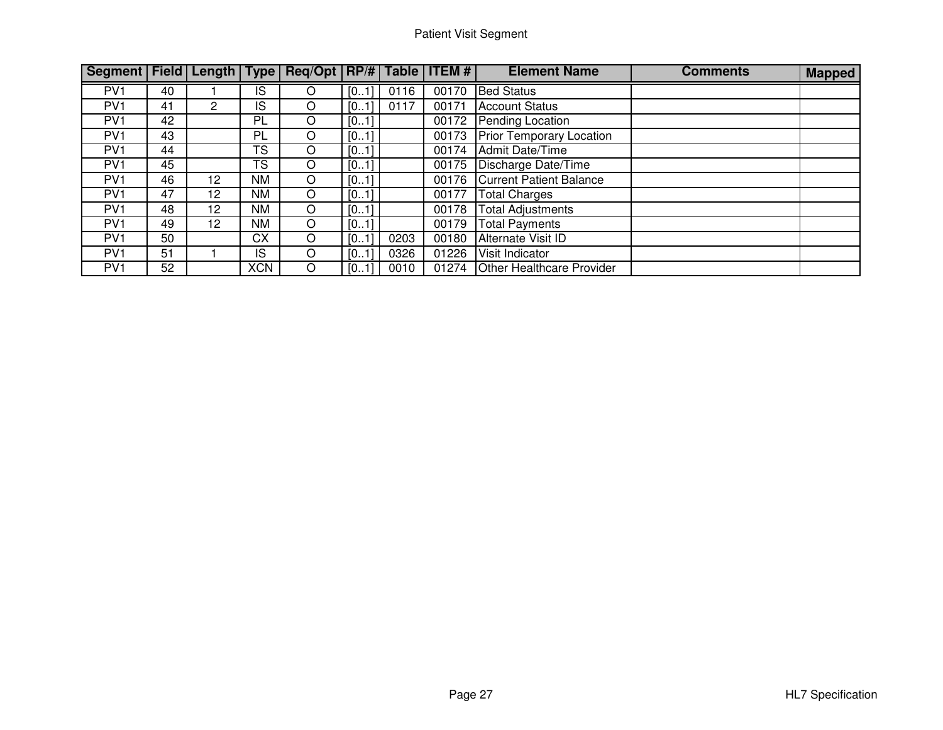| Segment   Field   Length   Type   Req/Opt   RP/#   Table   ITEM # |    |                 |            |   |      |      |       | <b>Element Name</b>              | <b>Comments</b> | <b>Mapped</b> |
|-------------------------------------------------------------------|----|-----------------|------------|---|------|------|-------|----------------------------------|-----------------|---------------|
| PV <sub>1</sub>                                                   | 40 |                 | IS         | O | [01] | 0116 | 00170 | <b>Bed Status</b>                |                 |               |
| PV <sub>1</sub>                                                   | 41 | 2               | IS         | O | [01] | 0117 | 00171 | <b>Account Status</b>            |                 |               |
| PV <sub>1</sub>                                                   | 42 |                 | <b>PL</b>  | O | [01] |      | 00172 | Pending Location                 |                 |               |
| PV <sub>1</sub>                                                   | 43 |                 | PL         | O | [01] |      | 00173 | <b>Prior Temporary Location</b>  |                 |               |
| PV <sub>1</sub>                                                   | 44 |                 | TS         | O | [01] |      | 00174 | Admit Date/Time                  |                 |               |
| PV <sub>1</sub>                                                   | 45 |                 | TS         | O | [01] |      | 00175 | Discharge Date/Time              |                 |               |
| PV <sub>1</sub>                                                   | 46 | 12              | <b>NM</b>  | O | [01] |      | 00176 | <b>Current Patient Balance</b>   |                 |               |
| PV <sub>1</sub>                                                   | 47 | 12 <sup>°</sup> | <b>NM</b>  | O | [01] |      | 00177 | <b>Total Charges</b>             |                 |               |
| PV <sub>1</sub>                                                   | 48 | 12              | <b>NM</b>  | O | [01] |      | 00178 | <b>Total Adjustments</b>         |                 |               |
| PV <sub>1</sub>                                                   | 49 | 12 <sup>°</sup> | <b>NM</b>  | O | [01] |      | 00179 | <b>Total Payments</b>            |                 |               |
| PV <sub>1</sub>                                                   | 50 |                 | <b>CX</b>  | O | [01] | 0203 | 00180 | Alternate Visit ID               |                 |               |
| PV <sub>1</sub>                                                   | 51 |                 | IS         | O | [01] | 0326 | 01226 | Visit Indicator                  |                 |               |
| PV <sub>1</sub>                                                   | 52 |                 | <b>XCN</b> | O | [01] | 0010 | 01274 | <b>Other Healthcare Provider</b> |                 |               |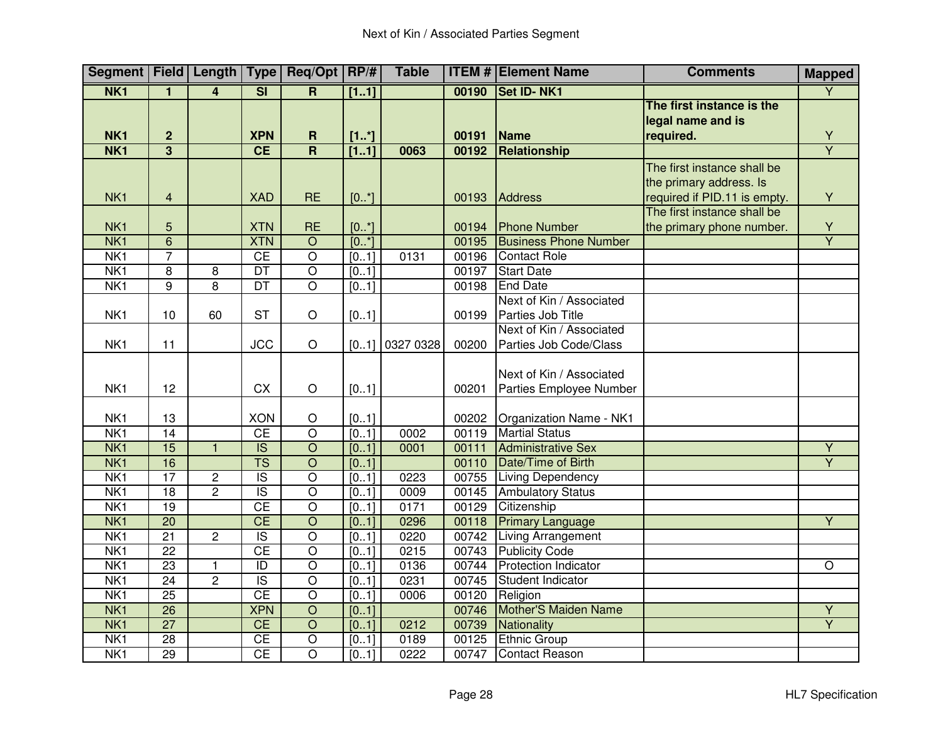|                 |                         |                         |                          | Segment   Field   Length   Type   Req/Opt   RP/# |       | <b>Table</b> |       | <b>ITEM # Element Name</b>   | <b>Comments</b>              | <b>Mapped</b>  |
|-----------------|-------------------------|-------------------------|--------------------------|--------------------------------------------------|-------|--------------|-------|------------------------------|------------------------------|----------------|
| NK <sub>1</sub> | 1                       | 4                       | $\overline{\mathsf{SI}}$ | R.                                               | [11]  |              | 00190 | <b>Set ID-NK1</b>            |                              | $\overline{Y}$ |
|                 |                         |                         |                          |                                                  |       |              |       |                              | The first instance is the    |                |
|                 |                         |                         |                          |                                                  |       |              |       |                              | legal name and is            |                |
| NK <sub>1</sub> | $\overline{\mathbf{2}}$ |                         | <b>XPN</b>               | $\mathbf R$                                      | [1.1] |              | 00191 | Name                         | required.                    | Y              |
| NK <sub>1</sub> | $\overline{\mathbf{3}}$ |                         | CE                       | $\overline{\mathsf{R}}$                          | [11]  | 0063         | 00192 | Relationship                 |                              | $\overline{Y}$ |
|                 |                         |                         |                          |                                                  |       |              |       |                              | The first instance shall be  |                |
|                 |                         |                         |                          |                                                  |       |              |       |                              | the primary address. Is      |                |
| NK <sub>1</sub> | $\overline{4}$          |                         | <b>XAD</b>               | <b>RE</b>                                        | [0.1] |              | 00193 | Address                      | required if PID.11 is empty. | Y              |
|                 |                         |                         |                          |                                                  |       |              |       |                              | The first instance shall be  |                |
| NK <sub>1</sub> | 5                       |                         | <b>XTN</b>               | <b>RE</b>                                        | [0.1] |              | 00194 | <b>Phone Number</b>          | the primary phone number.    | $\frac{Y}{Y}$  |
| NK <sub>1</sub> | $\overline{6}$          |                         | <b>XTN</b>               | $\overline{O}$                                   | [0.1] |              | 00195 | <b>Business Phone Number</b> |                              |                |
| NK <sub>1</sub> | $\overline{7}$          |                         | <b>CE</b>                | $\overline{\circ}$                               | [01]  | 0131         | 00196 | <b>Contact Role</b>          |                              |                |
| N <sub>K1</sub> | $\overline{8}$          | $\overline{\mathbf{8}}$ | $\overline{DT}$          | $\overline{\circ}$                               | [0.1] |              | 00197 | <b>Start Date</b>            |                              |                |
| N <sub>K1</sub> | 9                       | 8                       | $\overline{DT}$          | $\overline{O}$                                   | [01]  |              | 00198 | <b>End Date</b>              |                              |                |
|                 |                         |                         |                          |                                                  |       |              |       | Next of Kin / Associated     |                              |                |
| NK <sub>1</sub> | 10                      | 60                      | <b>ST</b>                | $\circ$                                          | [01]  |              | 00199 | Parties Job Title            |                              |                |
|                 |                         |                         |                          |                                                  |       |              |       | Next of Kin / Associated     |                              |                |
| NK <sub>1</sub> | 11                      |                         | <b>JCC</b>               | $\circ$                                          | [01]  | 0327 0328    | 00200 | Parties Job Code/Class       |                              |                |
|                 |                         |                         |                          |                                                  |       |              |       |                              |                              |                |
|                 |                         |                         |                          |                                                  |       |              |       | Next of Kin / Associated     |                              |                |
| NK <sub>1</sub> | 12                      |                         | <b>CX</b>                | $\mathsf O$                                      | [01]  |              | 00201 | Parties Employee Number      |                              |                |
|                 |                         |                         |                          |                                                  |       |              |       |                              |                              |                |
| NK1             | 13                      |                         | <b>XON</b>               | $\circ$                                          | [01]  |              | 00202 | Organization Name - NK1      |                              |                |
| NK <sub>1</sub> | $\overline{14}$         |                         | CE                       | $\overline{O}$                                   | [01]  | 0002         | 00119 | <b>Martial Status</b>        |                              |                |
| NK <sub>1</sub> | 15                      | $\overline{1}$          | $\overline{\text{IS}}$   | $\overline{O}$                                   | [01]  | 0001         | 00111 | <b>Administrative Sex</b>    |                              | $\overline{Y}$ |
| NK <sub>1</sub> | 16                      |                         | $\overline{\text{TS}}$   | $\overline{O}$                                   | [01]  |              | 00110 | Date/Time of Birth           |                              | $\overline{Y}$ |
| N <sub>K1</sub> | 17                      | $\overline{2}$          | $\overline{S}$           | $\overline{O}$                                   | [01]  | 0223         | 00755 | <b>Living Dependency</b>     |                              |                |
| NK <sub>1</sub> | $\overline{18}$         | $\overline{2}$          | $\overline{S}$           | $\overline{O}$                                   | [01]  | 0009         | 00145 | <b>Ambulatory Status</b>     |                              |                |
| NK <sub>1</sub> | 19                      |                         | CE                       | $\overline{\circ}$                               | [01]  | 0171         | 00129 | Citizenship                  |                              |                |
| NK <sub>1</sub> | $\overline{20}$         |                         | $\overline{CE}$          | $\overline{O}$                                   | [01]  | 0296         | 00118 | <b>Primary Language</b>      |                              | $\overline{Y}$ |
| N <sub>K1</sub> | $\overline{21}$         | $\overline{2}$          | $\overline{S}$           | $\overline{O}$                                   | [0.1] | 0220         | 00742 | <b>Living Arrangement</b>    |                              |                |
| N <sub>K1</sub> | $\overline{22}$         |                         | CE                       | $\overline{O}$                                   | [0.1] | 0215         | 00743 | <b>Publicity Code</b>        |                              |                |
| N <sub>K1</sub> | 23                      | $\mathbf{1}$            | $\overline{ID}$          | $\overline{O}$                                   | [0.1] | 0136         | 00744 | <b>Protection Indicator</b>  |                              | $\circ$        |
| NK <sub>1</sub> | 24                      | $\overline{2}$          | $\overline{\mathsf{IS}}$ | $\overline{O}$                                   | [01]  | 0231         | 00745 | Student Indicator            |                              |                |
| NK <sub>1</sub> | 25                      |                         | CE                       | $\overline{\circ}$                               | [0.1] | 0006         | 00120 | Religion                     |                              |                |
| NK <sub>1</sub> | $\overline{26}$         |                         | <b>XPN</b>               | $\overline{O}$                                   | [01]  |              | 00746 | Mother'S Maiden Name         |                              | $\overline{Y}$ |
| NK <sub>1</sub> | $\overline{27}$         |                         | CE                       | $\overline{O}$                                   | [01]  | 0212         | 00739 | Nationality                  |                              | $\overline{Y}$ |
| NK <sub>1</sub> | $\overline{28}$         |                         | <b>CE</b>                | $\overline{O}$                                   | [01]  | 0189         | 00125 | <b>Ethnic Group</b>          |                              |                |
| N <sub>K1</sub> | 29                      |                         | CE                       | $\overline{\circ}$                               | [01]  | 0222         | 00747 | <b>Contact Reason</b>        |                              |                |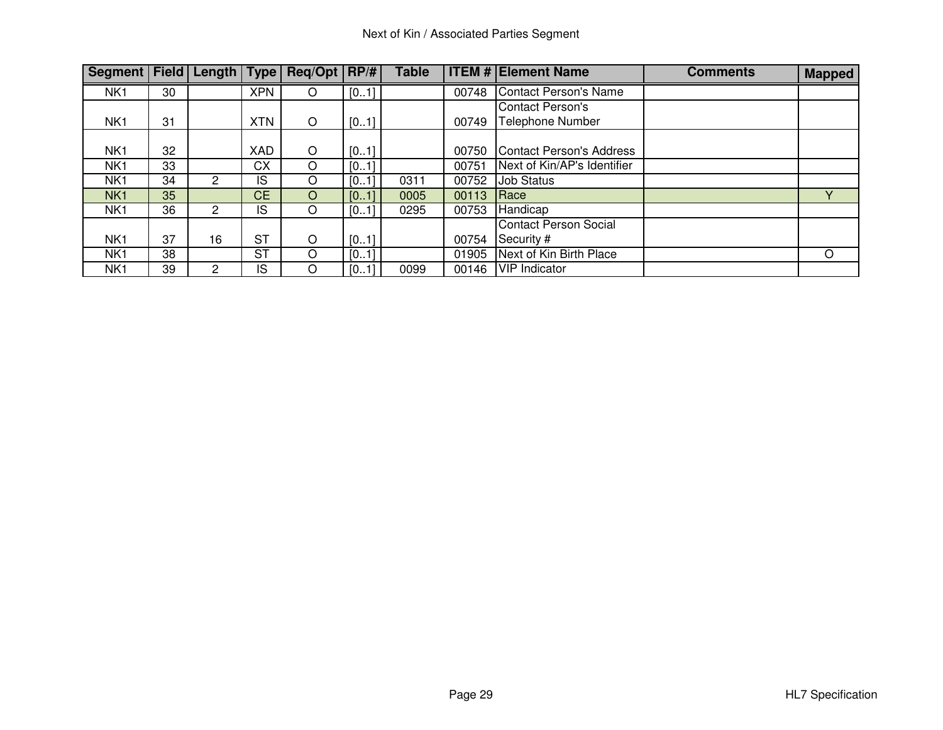| Segment   Field   Length   Type   Req/Opt   RP/# |    |                       |            |   |      | <b>Table</b> |       | <b>ITEM # Element Name</b>   | <b>Comments</b> | <b>Mapped</b> |
|--------------------------------------------------|----|-----------------------|------------|---|------|--------------|-------|------------------------------|-----------------|---------------|
| NK <sub>1</sub>                                  | 30 |                       | <b>XPN</b> | O | [01] |              | 00748 | Contact Person's Name        |                 |               |
|                                                  |    |                       |            |   |      |              |       | <b>Contact Person's</b>      |                 |               |
| NK <sub>1</sub>                                  | 31 |                       | <b>XTN</b> | O | [01] |              | 00749 | Telephone Number             |                 |               |
|                                                  |    |                       |            |   |      |              |       |                              |                 |               |
| NK <sub>1</sub>                                  | 32 |                       | <b>XAD</b> | O | [01] |              | 00750 | Contact Person's Address     |                 |               |
| NK1                                              | 33 |                       | <b>CX</b>  | O | [01] |              | 00751 | Next of Kin/AP's Identifier  |                 |               |
| NK <sub>1</sub>                                  | 34 | $\mathbf{2}^{\prime}$ | IS         | O | [01] | 0311         | 00752 | <b>Job Status</b>            |                 |               |
| NK <sub>1</sub>                                  | 35 |                       | <b>CE</b>  | O | [01] | 0005         | 00113 | Race                         |                 | v             |
| NK <sub>1</sub>                                  | 36 |                       | IS         | O | [01] | 0295         | 00753 | Handicap                     |                 |               |
|                                                  |    |                       |            |   |      |              |       | <b>Contact Person Social</b> |                 |               |
| NK <sub>1</sub>                                  | 37 | 16                    | <b>ST</b>  | O | [01] |              | 00754 | Security #                   |                 |               |
| NK <sub>1</sub>                                  | 38 |                       | <b>ST</b>  | O | [01] |              | 01905 | Next of Kin Birth Place      |                 | $\circ$       |
| NK1                                              | 39 | 2                     | IS         | O | [01] | 0099         | 00146 | VIP Indicator                |                 |               |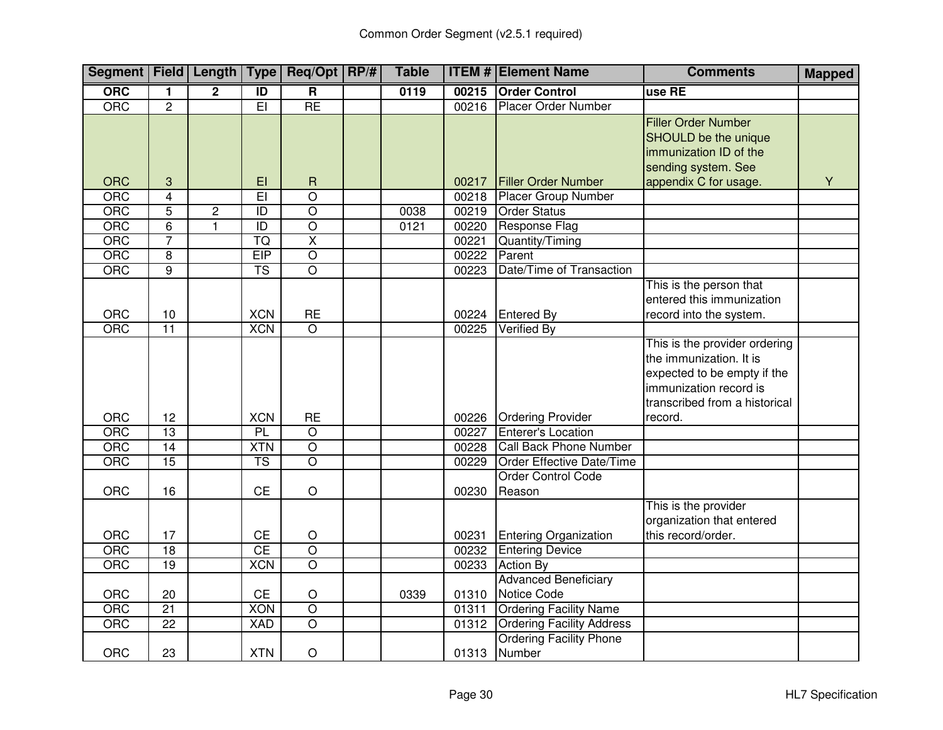| Segment   Field   Length   Type   Req/Opt   RP/# |                         |                |                        |                             | <b>Table</b> |                | <b>ITEM # Element Name</b>                            | <b>Comments</b>                                                                                                                                    | <b>Mapped</b> |
|--------------------------------------------------|-------------------------|----------------|------------------------|-----------------------------|--------------|----------------|-------------------------------------------------------|----------------------------------------------------------------------------------------------------------------------------------------------------|---------------|
| <b>ORC</b>                                       | 1                       | $\mathbf{2}$   | $\overline{1}$         | $\overline{\mathbf{R}}$     | 0119         | 00215          | <b>Order Control</b>                                  | use RE                                                                                                                                             |               |
| ORC                                              | $\overline{c}$          |                | $\overline{EI}$        | RE                          |              | 00216          | <b>Placer Order Number</b>                            |                                                                                                                                                    |               |
|                                                  |                         |                |                        |                             |              |                |                                                       | <b>Filler Order Number</b><br><b>SHOULD</b> be the unique<br>immunization ID of the<br>sending system. See                                         |               |
| <b>ORC</b>                                       | 3                       |                | EI                     | R                           |              | 00217          | <b>Filler Order Number</b>                            | appendix C for usage.                                                                                                                              | Y             |
| ORC                                              | $\overline{\mathbf{4}}$ |                | $\overline{E}$         | $\overline{O}$              |              | 00218          | <b>Placer Group Number</b>                            |                                                                                                                                                    |               |
| ORC                                              | $\overline{5}$          | $\overline{c}$ | $\overline{1}$         | $\overline{\circ}$          | 0038         | 00219          | <b>Order Status</b>                                   |                                                                                                                                                    |               |
| ORC                                              | 6                       | $\mathbf{1}$   | $\overline{ID}$        | $\overline{O}$              | 0121         | 00220          | <b>Response Flag</b>                                  |                                                                                                                                                    |               |
| ORC                                              | 7                       |                | TQ                     | $\overline{\mathsf{X}}$     |              | 00221          | Quantity/Timing                                       |                                                                                                                                                    |               |
| ORC                                              | $\overline{8}$          |                | EIP                    | $\overline{\circ}$          |              | 00222          | Parent                                                |                                                                                                                                                    |               |
| <b>ORC</b>                                       | $\overline{9}$          |                | $\overline{\text{TS}}$ | $\overline{\circ}$          |              | 00223          | Date/Time of Transaction                              |                                                                                                                                                    |               |
| ORC                                              | 10                      |                | <b>XCN</b>             | <b>RE</b>                   |              | 00224          | <b>Entered By</b>                                     | This is the person that<br>entered this immunization<br>record into the system.                                                                    |               |
| ORC                                              | $\overline{11}$         |                | <b>XCN</b>             | $\overline{O}$              |              | 00225          | Verified By                                           |                                                                                                                                                    |               |
|                                                  |                         |                |                        |                             |              |                |                                                       | This is the provider ordering<br>the immunization. It is<br>expected to be empty if the<br>immunization record is<br>transcribed from a historical |               |
| ORC<br><b>ORC</b>                                | 12<br>13                |                | <b>XCN</b><br>PL       | <b>RE</b><br>$\overline{O}$ |              | 00226<br>00227 | <b>Ordering Provider</b><br><b>Enterer's Location</b> | record.                                                                                                                                            |               |
| ORC                                              | $\overline{14}$         |                | <b>XTN</b>             | $\overline{O}$              |              | 00228          | Call Back Phone Number                                |                                                                                                                                                    |               |
|                                                  | 15                      |                | $\overline{\text{TS}}$ | $\overline{\circ}$          |              | 00229          | Order Effective Date/Time                             |                                                                                                                                                    |               |
| ORC                                              |                         |                |                        |                             |              |                | <b>Order Control Code</b>                             |                                                                                                                                                    |               |
| ORC                                              | 16                      |                | <b>CE</b>              | $\mathsf O$                 |              | 00230          | Reason                                                |                                                                                                                                                    |               |
| ORC                                              | 17                      |                | <b>CE</b>              | $\bigcirc$                  |              | 00231          | <b>Entering Organization</b>                          | This is the provider<br>organization that entered<br>this record/order.                                                                            |               |
| ORC                                              | 18                      |                | CE                     | $\overline{O}$              |              | 00232          |                                                       |                                                                                                                                                    |               |
| ORC                                              | $\overline{19}$         |                | <b>XCN</b>             | $\overline{\circ}$          |              | 00233          | <b>Entering Device</b><br><b>Action By</b>            |                                                                                                                                                    |               |
|                                                  |                         |                |                        |                             |              |                |                                                       |                                                                                                                                                    |               |
| ORC                                              | 20                      |                | <b>CE</b>              | $\hbox{O}$                  | 0339         | 01310          | <b>Advanced Beneficiary</b><br>Notice Code            |                                                                                                                                                    |               |
| <b>ORC</b>                                       | $\overline{21}$         |                | <b>XON</b>             | $\overline{\circ}$          |              | 01311          | <b>Ordering Facility Name</b>                         |                                                                                                                                                    |               |
| <b>ORC</b>                                       | $\overline{22}$         |                | <b>XAD</b>             | $\overline{O}$              |              | 01312          | <b>Ordering Facility Address</b>                      |                                                                                                                                                    |               |
| <b>ORC</b>                                       | 23                      |                | <b>XTN</b>             | $\bigcirc$                  |              | 01313          | <b>Ordering Facility Phone</b><br>Number              |                                                                                                                                                    |               |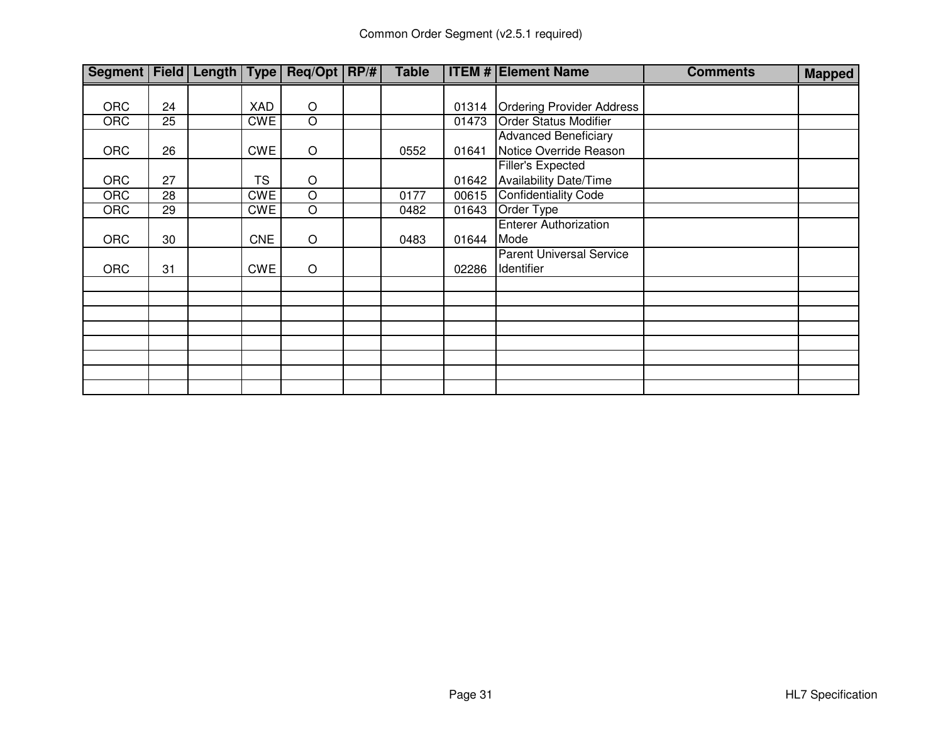| Segment   Field   Length   Type   Req/Opt   RP/# |    |            |                    | <b>Table</b> |       | <b>ITEM # Element Name</b>       | <b>Comments</b> | <b>Mapped</b> |
|--------------------------------------------------|----|------------|--------------------|--------------|-------|----------------------------------|-----------------|---------------|
|                                                  |    |            |                    |              |       |                                  |                 |               |
| <b>ORC</b>                                       | 24 | XAD        | $\bigcirc$         |              | 01314 | <b>Ordering Provider Address</b> |                 |               |
| <b>ORC</b>                                       | 25 | <b>CWE</b> | O                  |              | 01473 | <b>Order Status Modifier</b>     |                 |               |
|                                                  |    |            |                    |              |       | <b>Advanced Beneficiary</b>      |                 |               |
| <b>ORC</b>                                       | 26 | <b>CWE</b> | $\circ$            | 0552         | 01641 | Notice Override Reason           |                 |               |
|                                                  |    |            |                    |              |       | Filler's Expected                |                 |               |
| <b>ORC</b>                                       | 27 | <b>TS</b>  | $\circ$            |              | 01642 | Availability Date/Time           |                 |               |
| <b>ORC</b>                                       | 28 | <b>CWE</b> | $\overline{O}$     | 0177         | 00615 | <b>Confidentiality Code</b>      |                 |               |
| <b>ORC</b>                                       | 29 | <b>CWE</b> | $\overline{\rm o}$ | 0482         | 01643 | Order Type                       |                 |               |
|                                                  |    |            |                    |              |       | <b>Enterer Authorization</b>     |                 |               |
| <b>ORC</b>                                       | 30 | <b>CNE</b> | $\circ$            | 0483         | 01644 | Mode                             |                 |               |
|                                                  |    |            |                    |              |       | <b>Parent Universal Service</b>  |                 |               |
| <b>ORC</b>                                       | 31 | <b>CWE</b> | $\circ$            |              | 02286 | Identifier                       |                 |               |
|                                                  |    |            |                    |              |       |                                  |                 |               |
|                                                  |    |            |                    |              |       |                                  |                 |               |
|                                                  |    |            |                    |              |       |                                  |                 |               |
|                                                  |    |            |                    |              |       |                                  |                 |               |
|                                                  |    |            |                    |              |       |                                  |                 |               |
|                                                  |    |            |                    |              |       |                                  |                 |               |
|                                                  |    |            |                    |              |       |                                  |                 |               |
|                                                  |    |            |                    |              |       |                                  |                 |               |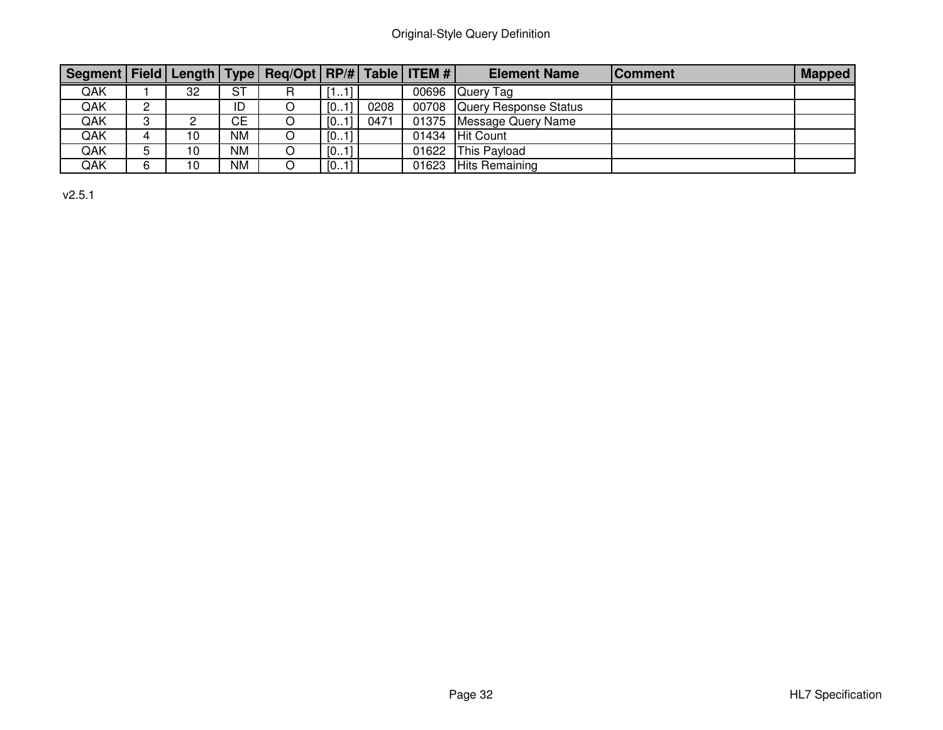# Original-Style Query Definition

| Segment   Field   Length   Type   Req/Opt   RP/#   Table   ITEM # |               |    |           |      |      |       | <b>Element Name</b>         | <b>Comment</b> | <b>Mapped</b> |
|-------------------------------------------------------------------|---------------|----|-----------|------|------|-------|-----------------------------|----------------|---------------|
| QAK                                                               |               | 32 | <b>ST</b> | .    |      |       | 00696 Query Tag             |                |               |
| QAK                                                               | C<br><u>_</u> |    | ID        | [01] | 0208 |       | 00708 Query Response Status |                |               |
| QAK                                                               | ົ             | ∼  | <b>CE</b> | [01] | 0471 | 01375 | Message Query Name          |                |               |
| QAK                                                               |               | 10 | <b>NM</b> | [01] |      |       | 01434 Hit Count             |                |               |
| QAK                                                               | 5             | 10 | <b>NM</b> | [01] |      |       | 01622 This Payload          |                |               |
| QAK                                                               | 6             | 10 | NM        | [01] |      | 01623 | <b>Hits Remaining</b>       |                |               |

v2.5.1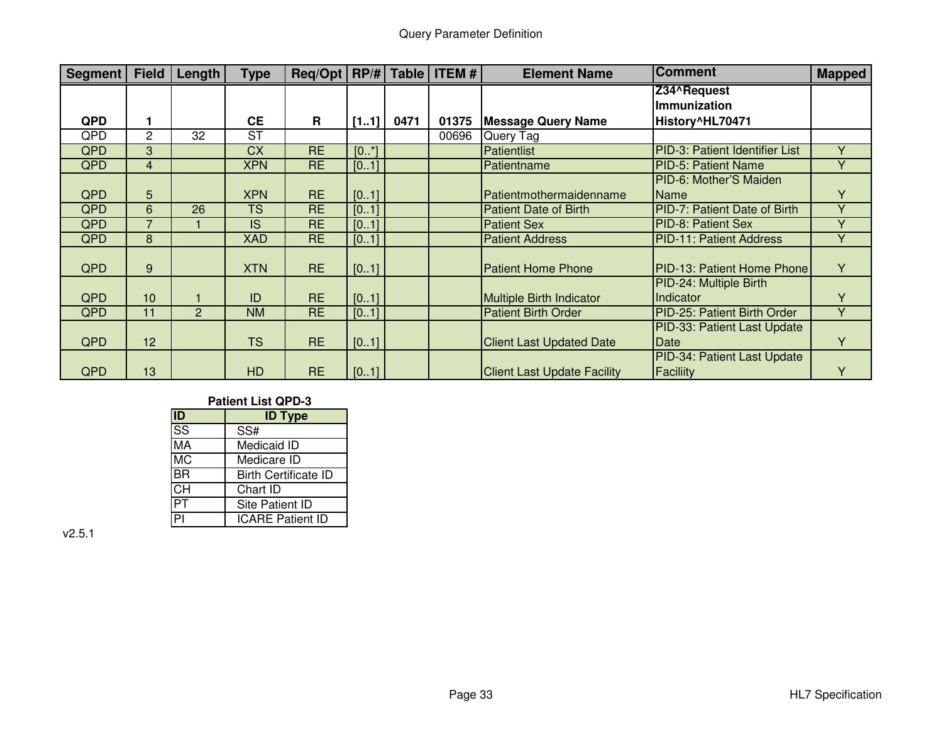| <b>Segment</b> | <b>Field</b>   | Length | <b>Type</b> | $\text{Req/Opt}$ $\mid$ RP/# $\mid$ Table $\mid$ ITEM # |       |      |       | <b>Element Name</b>                | <b>Comment</b>                    | <b>Mapped</b>  |
|----------------|----------------|--------|-------------|---------------------------------------------------------|-------|------|-------|------------------------------------|-----------------------------------|----------------|
|                |                |        |             |                                                         |       |      |       |                                    | Z34^Request                       |                |
|                |                |        |             |                                                         |       |      |       |                                    | Immunization                      |                |
| <b>QPD</b>     | $\mathbf{1}$   |        | <b>CE</b>   | R                                                       | [11]  | 0471 | 01375 | <b>Message Query Name</b>          | History^HL70471                   |                |
| QPD            | $\overline{c}$ | 32     | <b>ST</b>   |                                                         |       |      | 00696 | Query Tag                          |                                   |                |
| <b>QPD</b>     | 3              |        | <b>CX</b>   | <b>RE</b>                                               | [0.1] |      |       | Patientlist                        | PID-3: Patient Identifier List    | Y              |
| <b>QPD</b>     | $\overline{4}$ |        | <b>XPN</b>  | <b>RE</b>                                               | [01]  |      |       | Patientname                        | <b>PID-5: Patient Name</b>        | Y              |
|                |                |        |             |                                                         |       |      |       |                                    | PID-6: Mother'S Maiden            |                |
| <b>QPD</b>     | 5              |        | <b>XPN</b>  | <b>RE</b>                                               | [01]  |      |       | Patientmothermaidenname            | <b>Name</b>                       | Υ              |
| <b>QPD</b>     | 6              | 26     | <b>TS</b>   | <b>RE</b>                                               | [01]  |      |       | <b>Patient Date of Birth</b>       | PID-7: Patient Date of Birth      | Y              |
| <b>QPD</b>     | $\overline{7}$ |        | IS          | <b>RE</b>                                               | [01]  |      |       | <b>Patient Sex</b>                 | PID-8: Patient Sex                | Y              |
| <b>QPD</b>     | 8              |        | <b>XAD</b>  | <b>RE</b>                                               | [01]  |      |       | <b>Patient Address</b>             | <b>PID-11: Patient Address</b>    | Y              |
|                |                |        |             |                                                         |       |      |       |                                    |                                   |                |
| <b>QPD</b>     | 9              |        | <b>XTN</b>  | <b>RE</b>                                               | [01]  |      |       | <b>Patient Home Phone</b>          | <b>PID-13: Patient Home Phone</b> | Y              |
|                |                |        |             |                                                         |       |      |       |                                    | PID-24: Multiple Birth            |                |
| <b>QPD</b>     | 10             |        | ID          | <b>RE</b>                                               | [01]  |      |       | <b>Multiple Birth Indicator</b>    | Indicator                         | Υ              |
| <b>QPD</b>     | 11             | 2      | <b>NM</b>   | <b>RE</b>                                               | [01]  |      |       | <b>Patient Birth Order</b>         | PID-25: Patient Birth Order       | $\overline{Y}$ |
|                |                |        |             |                                                         |       |      |       |                                    | PID-33: Patient Last Update       |                |
| QPD            | 12             |        | <b>TS</b>   | <b>RE</b>                                               | [01]  |      |       | <b>Client Last Updated Date</b>    | Date                              | Y              |
|                |                |        |             |                                                         |       |      |       |                                    | PID-34: Patient Last Update       |                |
| <b>QPD</b>     | 13             |        | <b>HD</b>   | <b>RE</b>                                               | [01]  |      |       | <b>Client Last Update Facility</b> | Faciliity                         | Υ              |

#### **Patient List QPD-3**

| ID                                | <b>ID Type</b>              |
|-----------------------------------|-----------------------------|
| $\overline{\text{SS}}$            | SS#                         |
| MА                                | Medicaid ID                 |
| $M\overline{C}$                   | Medicare ID                 |
| <b>BR</b>                         | <b>Birth Certificate ID</b> |
| $\overline{\overline{\text{CH}}}$ | Chart ID                    |
|                                   | Site Patient ID             |
|                                   | <b>ICARE Patient ID</b>     |

v2.5.1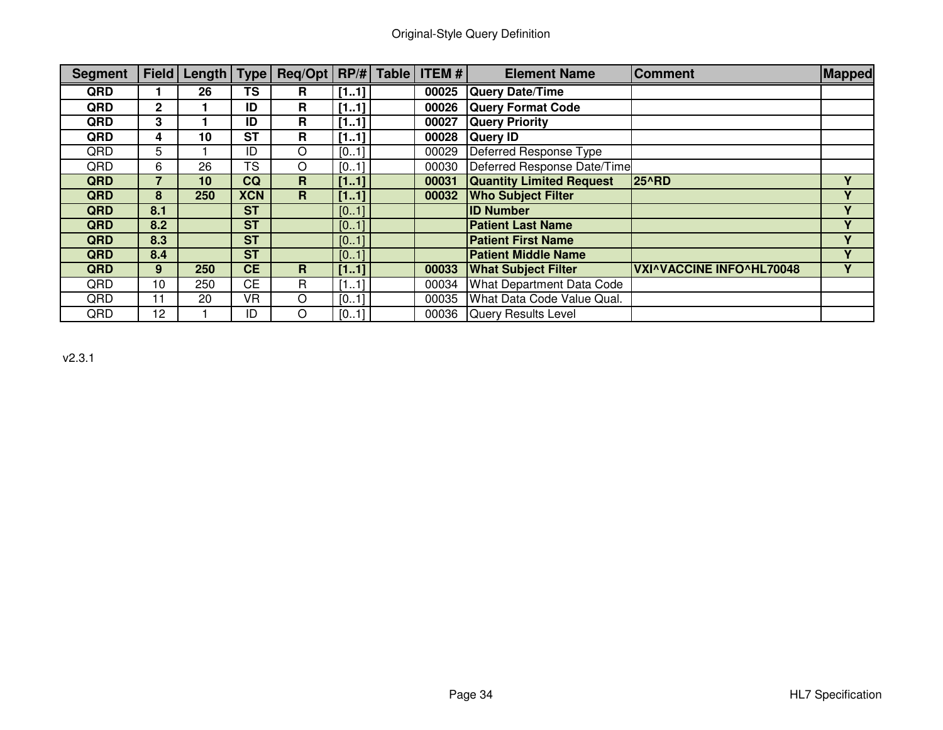| <b>Segment</b> |                 | Field   Length   Type |            | Reg/Opt   RP/#   Table |      | <b>ITEM#</b> | <b>Element Name</b>              | <b>Comment</b>                  | Mapped      |
|----------------|-----------------|-----------------------|------------|------------------------|------|--------------|----------------------------------|---------------------------------|-------------|
| QRD            |                 | 26                    | <b>TS</b>  | R                      | [11] | 00025        | <b>Query Date/Time</b>           |                                 |             |
| QRD            | $\mathbf{2}$    |                       | ID         | R                      | [11] | 00026        | <b>Query Format Code</b>         |                                 |             |
| QRD            | 3               |                       | ID         | R                      | [11] | 00027        | <b>Query Priority</b>            |                                 |             |
| QRD            | 4               | 10                    | <b>ST</b>  | R                      | [11] | 00028        | <b>Query ID</b>                  |                                 |             |
| QRD            | 5               |                       | ID         | O                      | [01] | 00029        | Deferred Response Type           |                                 |             |
| QRD            | 6               | 26                    | <b>TS</b>  | O                      | [01] | 00030        | Deferred Response Date/Time      |                                 |             |
| <b>QRD</b>     | 7               | 10                    | CQ         | $\mathbf{R}$           | [11] | 00031        | <b>Quantity Limited Request</b>  | <b>25^RD</b>                    | v           |
| <b>QRD</b>     | 8               | 250                   | <b>XCN</b> | $\mathbf R$            | [11] | 00032        | <b>Who Subject Filter</b>        |                                 | v           |
| QRD            | 8.1             |                       | <b>ST</b>  |                        | [01] |              | <b>ID Number</b>                 |                                 |             |
| <b>QRD</b>     | 8.2             |                       | <b>ST</b>  |                        | [01] |              | <b>Patient Last Name</b>         |                                 | v           |
| QRD            | 8.3             |                       | <b>ST</b>  |                        | [01] |              | <b>Patient First Name</b>        |                                 | v           |
| QRD            | 8.4             |                       | <b>ST</b>  |                        | [01] |              | <b>Patient Middle Name</b>       |                                 | $\mathbf v$ |
| <b>QRD</b>     | $9^{\circ}$     | 250                   | <b>CE</b>  | R                      | [11] | 00033        | <b>What Subject Filter</b>       | <b>VXI^VACCINE INFO^HL70048</b> |             |
| QRD            | 10              | 250                   | <b>CE</b>  | R                      | [11] | 00034        | <b>What Department Data Code</b> |                                 |             |
| QRD            | 11              | 20                    | VR         | O                      | [01] | 00035        | What Data Code Value Qual.       |                                 |             |
| QRD            | 12 <sub>2</sub> |                       | ID         | O                      | [01] | 00036        | <b>Query Results Level</b>       |                                 |             |

v2.3.1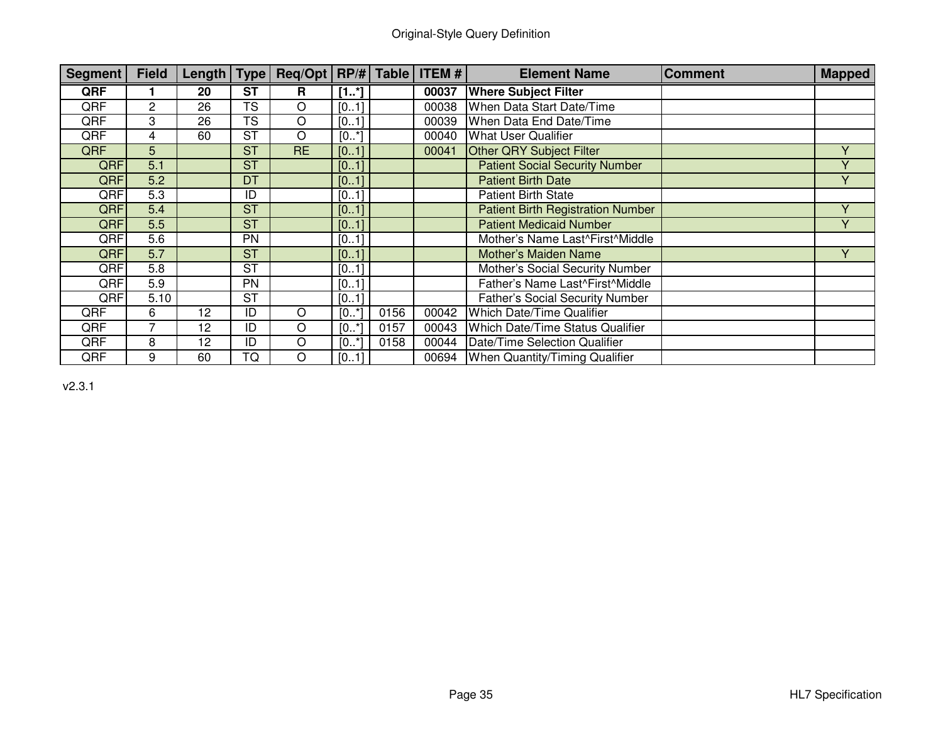| Segment    | <b>Field</b> | Length   $Type$ |           | Req/Opt   RP/# |       | <b>Table</b> | <b>ITEM#</b> | <b>Element Name</b>                      | <b>Comment</b> | <b>Mapped</b> |
|------------|--------------|-----------------|-----------|----------------|-------|--------------|--------------|------------------------------------------|----------------|---------------|
| QRF        |              | 20              | <b>ST</b> | R              | [1.1] |              | 00037        | <b>Where Subject Filter</b>              |                |               |
| QRF        | 2            | 26              | <b>TS</b> | O              | [01]  |              | 00038        | When Data Start Date/Time                |                |               |
| QRF        | 3            | 26              | <b>TS</b> | O              | [01]  |              | 00039        | When Data End Date/Time                  |                |               |
| QRF        | 4            | 60              | <b>ST</b> | O              | [0.1] |              | 00040        | <b>What User Qualifier</b>               |                |               |
| QRF        | 5            |                 | <b>ST</b> | <b>RE</b>      | [01]  |              | 00041        | <b>Other QRY Subject Filter</b>          |                | $\vee$        |
| <b>QRF</b> | 5.1          |                 | <b>ST</b> |                | [01]  |              |              | <b>Patient Social Security Number</b>    |                | v             |
| QRF        | 5.2          |                 | DT        |                | [01]  |              |              | <b>Patient Birth Date</b>                |                | Y             |
| QRF        | 5.3          |                 | ID        |                | [01]  |              |              | <b>Patient Birth State</b>               |                |               |
| <b>QRF</b> | 5.4          |                 | <b>ST</b> |                | [01]  |              |              | <b>Patient Birth Registration Number</b> |                |               |
| <b>QRF</b> | 5.5          |                 | <b>ST</b> |                | [01]  |              |              | <b>Patient Medicaid Number</b>           |                | Y             |
| <b>QRF</b> | 5.6          |                 | <b>PN</b> |                | [01]  |              |              | Mother's Name Last^First^Middle          |                |               |
| <b>QRF</b> | 5.7          |                 | <b>ST</b> |                | [01]  |              |              | Mother's Maiden Name                     |                | v             |
| QRF        | 5.8          |                 | <b>ST</b> |                | [01]  |              |              | Mother's Social Security Number          |                |               |
| QRF        | 5.9          |                 | <b>PN</b> |                | [01]  |              |              | Father's Name Last^First^Middle          |                |               |
| QRF        | 5.10         |                 | ST        |                | [01]  |              |              | <b>Father's Social Security Number</b>   |                |               |
| QRF        | 6            | 12              | ID        | O              | [0.1] | 0156         | 00042        | Which Date/Time Qualifier                |                |               |
| QRF        |              | 12              | ID        | O              | [0.1] | 0157         | 00043        | <b>Which Date/Time Status Qualifier</b>  |                |               |
| QRF        | 8            | 12              | ID        | O              | [0.1] | 0158         | 00044        | Date/Time Selection Qualifier            |                |               |
| QRF        | 9            | 60              | TQ        | O              | [01]  |              |              | 00694   When Quantity/Timing Qualifier   |                |               |

v2.3.1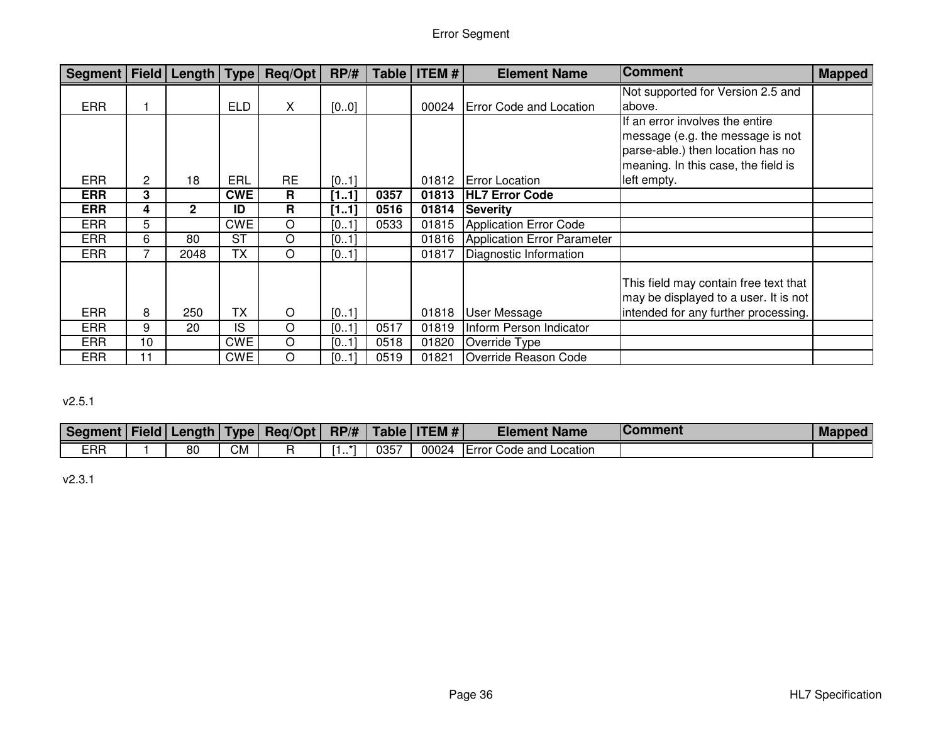| Segment   Field |              | Length $ Type $ |            | Reg/Opt   | RP/H | Table | <b>ITEM#</b> | <b>Element Name</b>            | <b>Comment</b>                        | <b>Mapped</b> |
|-----------------|--------------|-----------------|------------|-----------|------|-------|--------------|--------------------------------|---------------------------------------|---------------|
|                 |              |                 |            |           |      |       |              |                                | Not supported for Version 2.5 and     |               |
| <b>ERR</b>      |              |                 | <b>ELD</b> | X.        | [00] |       | 00024        | <b>Error Code and Location</b> | labove.                               |               |
|                 |              |                 |            |           |      |       |              |                                | If an error involves the entire       |               |
|                 |              |                 |            |           |      |       |              |                                | message (e.g. the message is not      |               |
|                 |              |                 |            |           |      |       |              |                                | parse-able.) then location has no     |               |
|                 |              |                 |            |           |      |       |              |                                | meaning. In this case, the field is   |               |
| <b>ERR</b>      | $\mathbf{2}$ | 18              | ERL        | <b>RE</b> | [01] |       | 01812        | <b>Error Location</b>          | left empty.                           |               |
| <b>ERR</b>      | 3            |                 | <b>CWE</b> | R         | [11] | 0357  | 01813        | <b>HL7 Error Code</b>          |                                       |               |
| <b>ERR</b>      | 4            | $\overline{2}$  | ID         | R         | [11] | 0516  | 01814        | <b>Severity</b>                |                                       |               |
| <b>ERR</b>      | 5            |                 | <b>CWE</b> | O         | [01] | 0533  | 01815        | Application Error Code         |                                       |               |
| <b>ERR</b>      | 6            | 80              | <b>ST</b>  | O         | [01] |       | 01816        | Application Error Parameter    |                                       |               |
| <b>ERR</b>      |              | 2048            | <b>TX</b>  | O         | [01] |       | 01817        | Diagnostic Information         |                                       |               |
|                 |              |                 |            |           |      |       |              |                                | This field may contain free text that |               |
|                 |              |                 |            |           |      |       |              |                                | may be displayed to a user. It is not |               |
| <b>ERR</b>      | 8            | 250             | <b>TX</b>  | $\circ$   | [01] |       | 01818        | <b>User Message</b>            | intended for any further processing.  |               |
|                 |              |                 |            |           |      |       |              |                                |                                       |               |
| <b>ERR</b>      | 9            | 20              | IS         | O         | [01] | 0517  | 01819        | Inform Person Indicator        |                                       |               |
| <b>ERR</b>      | 10           |                 | <b>CWE</b> | O         | [01] | 0518  | 01820        | Override Type                  |                                       |               |
| <b>ERR</b>      | 11           |                 | <b>CWE</b> | O         | [01] | 0519  | 01821        | Override Reason Code           |                                       |               |

# v2.5.1

| Segment   Field   L | Length | 'Type | Req/Opt |          | $RPI#$   Table | <b>ITEM</b> $#$ | <b>Element Name</b>                     | <b>Comment</b> | <b>Mapped</b> |
|---------------------|--------|-------|---------|----------|----------------|-----------------|-----------------------------------------|----------------|---------------|
| <b>ERR</b>          | 80     | CМ    |         | -47<br>. | 0357           | 00024           | <b>IError</b><br>Code and L<br>∟ocation |                |               |

v2.3.1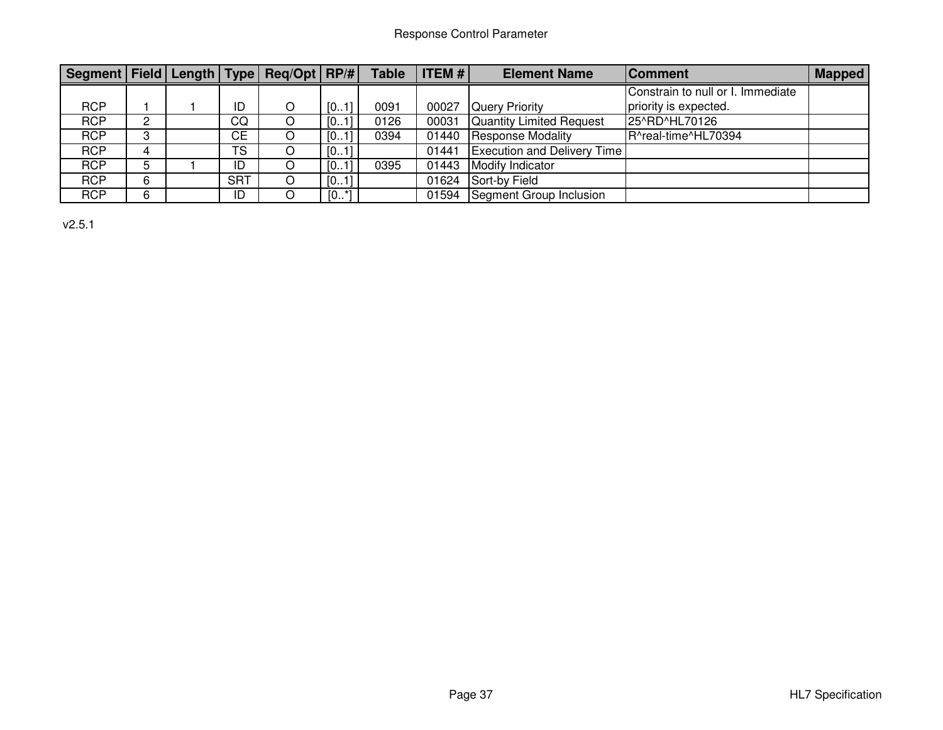| Segment Field Length Type Req/Opt RP/# |    |            |        | <b>Table</b> | <b>ITEM #</b> | <b>Element Name</b>                | <b>Comment</b>                    | <b>Mapped</b> |
|----------------------------------------|----|------------|--------|--------------|---------------|------------------------------------|-----------------------------------|---------------|
|                                        |    |            |        |              |               |                                    | Constrain to null or I. Immediate |               |
| <b>RCP</b>                             |    | ID         | [01]   | 0091         | 00027         | <b>Query Priority</b>              | priority is expected.             |               |
| <b>RCP</b>                             | o. | CQ         | [01]   | 0126         | 00031         | Quantity Limited Request           | 25^RD^HL70126                     |               |
| <b>RCP</b>                             | o. | <b>CE</b>  | [01]   | 0394         | 01440         | Response Modality                  | R^real-time^HL70394               |               |
| <b>RCP</b>                             | 4  | <b>TS</b>  | [01]   |              | 01441         | <b>Execution and Delivery Time</b> |                                   |               |
| <b>RCP</b>                             |    | ID         | [01]   | 0395         | 01443         | <b>Modify Indicator</b>            |                                   |               |
| <b>RCP</b>                             | 6. | <b>SRT</b> | [01]   |              | 01624         | Sort-by Field                      |                                   |               |
| <b>RCP</b>                             | 6  | ID         | $[0*]$ |              |               | 01594 Segment Group Inclusion      |                                   |               |

v2.5.1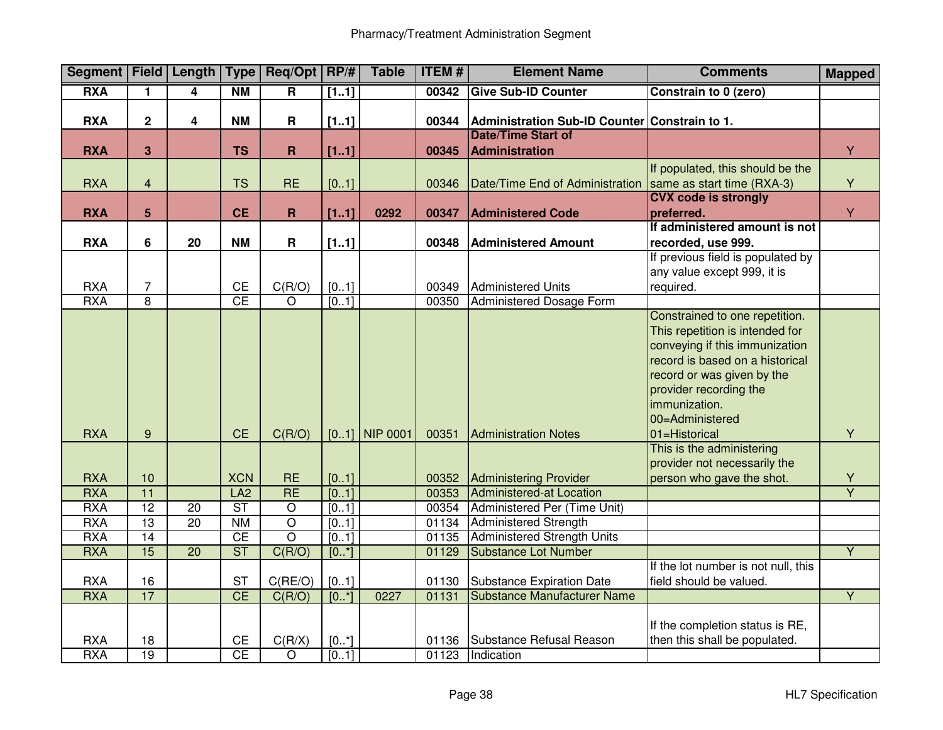|                          |                         |                 |                        | Segment   Field   Length   Type   Req/Opt   RP/# |               | <b>Table</b>     | <b>ITEM#</b><br><b>Element Name</b> |                                                            | <b>Comments</b>                                                  | <b>Mapped</b>           |
|--------------------------|-------------------------|-----------------|------------------------|--------------------------------------------------|---------------|------------------|-------------------------------------|------------------------------------------------------------|------------------------------------------------------------------|-------------------------|
| <b>RXA</b>               | 1.                      | 4               | <b>NM</b>              | $\overline{\mathsf{R}}$                          | [11]          |                  | 00342                               | <b>Give Sub-ID Counter</b>                                 | Constrain to 0 (zero)                                            |                         |
|                          |                         |                 |                        |                                                  |               |                  |                                     |                                                            |                                                                  |                         |
| <b>RXA</b>               | $\overline{2}$          | 4               | <b>NM</b>              | R                                                | [11]          |                  | 00344                               | Administration Sub-ID Counter Constrain to 1.              |                                                                  |                         |
|                          |                         |                 |                        |                                                  |               |                  |                                     | <b>Date/Time Start of</b>                                  |                                                                  |                         |
| <b>RXA</b>               | 3                       |                 | <b>TS</b>              | $\mathbf R$                                      | [1.1]         |                  | 00345                               | <b>Administration</b>                                      |                                                                  | Y.                      |
|                          |                         |                 |                        |                                                  |               |                  |                                     |                                                            | If populated, this should be the                                 |                         |
| <b>RXA</b>               | $\overline{\mathbf{4}}$ |                 | <b>TS</b>              | <b>RE</b>                                        | [01]          |                  | 00346                               | Date/Time End of Administration Same as start time (RXA-3) |                                                                  | Y                       |
|                          |                         |                 |                        |                                                  |               |                  |                                     |                                                            | <b>CVX code is strongly</b>                                      |                         |
| <b>RXA</b>               | $5\phantom{.}$          |                 | <b>CE</b>              | R                                                | [11]          | 0292             | 00347                               | <b>Administered Code</b>                                   | preferred.                                                       | Y                       |
|                          |                         |                 |                        |                                                  |               |                  |                                     |                                                            | If administered amount is not                                    |                         |
| <b>RXA</b>               | 6                       | 20              | <b>NM</b>              | $\mathbf R$                                      | [11]          |                  | 00348                               | <b>Administered Amount</b>                                 | recorded, use 999.                                               |                         |
|                          |                         |                 |                        |                                                  |               |                  |                                     |                                                            | If previous field is populated by<br>any value except 999, it is |                         |
| <b>RXA</b>               | $\overline{7}$          |                 | $\mathsf{CE}$          | C(R/O)                                           | [01]          |                  | 00349                               | Administered Units                                         | required.                                                        |                         |
| <b>RXA</b>               | $\overline{8}$          |                 | $\overline{CE}$        | O                                                | [01]          |                  | 00350                               | Administered Dosage Form                                   |                                                                  |                         |
|                          |                         |                 |                        |                                                  |               |                  |                                     |                                                            | Constrained to one repetition.                                   |                         |
|                          |                         |                 |                        |                                                  |               |                  |                                     |                                                            | This repetition is intended for                                  |                         |
|                          |                         |                 |                        |                                                  |               |                  |                                     |                                                            | conveying if this immunization                                   |                         |
|                          |                         |                 |                        |                                                  |               |                  |                                     |                                                            | record is based on a historical                                  |                         |
|                          |                         |                 |                        |                                                  |               |                  |                                     |                                                            | record or was given by the                                       |                         |
|                          |                         |                 |                        |                                                  |               |                  |                                     |                                                            | provider recording the                                           |                         |
|                          |                         |                 |                        |                                                  |               |                  |                                     |                                                            | immunization.                                                    |                         |
|                          |                         |                 |                        |                                                  |               |                  |                                     |                                                            | 00=Administered                                                  |                         |
| <b>RXA</b>               | $\boldsymbol{9}$        |                 | CE                     | C(R/O)                                           |               | $[0.1]$ NIP 0001 | 00351                               | <b>Administration Notes</b>                                | 01=Historical                                                    | Y                       |
|                          |                         |                 |                        |                                                  |               |                  |                                     |                                                            | This is the administering                                        |                         |
|                          |                         |                 |                        |                                                  |               |                  |                                     |                                                            | provider not necessarily the                                     |                         |
| <b>RXA</b>               | 10                      |                 | <b>XCN</b>             | RE                                               | [01]          |                  | 00352                               | <b>Administering Provider</b>                              | person who gave the shot.                                        | Y                       |
| <b>RXA</b>               | $\overline{11}$         |                 | LA2                    | RE                                               | [01]          |                  | 00353                               | <b>Administered-at Location</b>                            |                                                                  | $\overline{\mathsf{Y}}$ |
| <b>RXA</b>               | 12                      | 20              | $\overline{\text{ST}}$ | $\overline{O}$                                   | [01]          |                  | 00354                               | Administered Per (Time Unit)                               |                                                                  |                         |
| <b>RXA</b>               | 13                      | $\overline{20}$ | <b>NM</b>              | $\overline{O}$                                   | [01]          |                  | 01134                               | <b>Administered Strength</b>                               |                                                                  |                         |
| <b>RXA</b>               | 14                      |                 | CE                     | $\overline{\mathsf{o}}$                          | [01]          |                  | 01135                               | <b>Administered Strength Units</b>                         |                                                                  |                         |
| <b>RXA</b>               | 15                      | $\overline{20}$ | ST                     | C(R/O)                                           | [0.1]         |                  | 01129                               | <b>Substance Lot Number</b>                                |                                                                  | $\overline{Y}$          |
|                          |                         |                 |                        |                                                  |               |                  |                                     |                                                            | If the lot number is not null, this                              |                         |
| <b>RXA</b>               | 16                      |                 | <b>ST</b>              | C(RE/O)                                          | [01]          |                  | 01130                               | Substance Expiration Date                                  | field should be valued.                                          |                         |
| <b>RXA</b>               | 17                      |                 | CE                     | C(R/O)                                           | [0.1]         | 0227             | 01131                               | <b>Substance Manufacturer Name</b>                         |                                                                  | $\overline{Y}$          |
|                          |                         |                 |                        |                                                  |               |                  |                                     |                                                            |                                                                  |                         |
|                          | 18                      |                 |                        |                                                  |               |                  |                                     |                                                            | If the completion status is RE,<br>then this shall be populated. |                         |
| <b>RXA</b><br><b>RXA</b> | 19                      |                 | CE<br>CE               | C(R/X)<br>O                                      | [0.1]<br>[01] |                  | 01136<br>01123                      | Substance Refusal Reason<br>Indication                     |                                                                  |                         |
|                          |                         |                 |                        |                                                  |               |                  |                                     |                                                            |                                                                  |                         |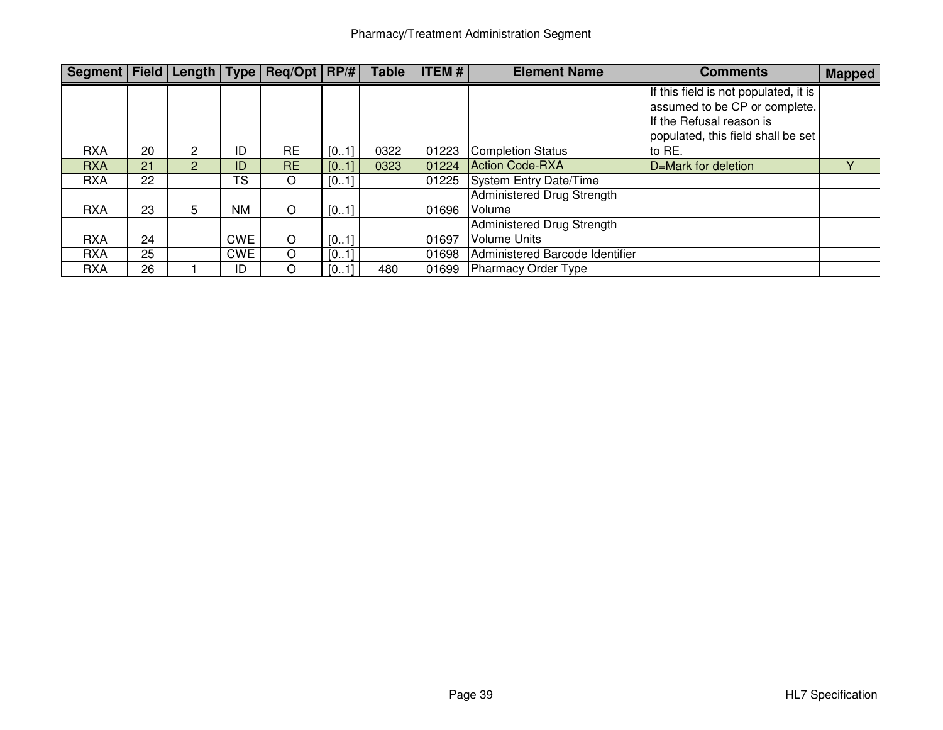| Segment   Field   Length   Type   Req/Opt   RP/# |    |                |                 |           |      | <b>Table</b> | <b>ITEM#</b><br><b>Element Name</b> |                                      | <b>Comments</b>                                                                                                                          | <b>Mapped</b> |
|--------------------------------------------------|----|----------------|-----------------|-----------|------|--------------|-------------------------------------|--------------------------------------|------------------------------------------------------------------------------------------------------------------------------------------|---------------|
|                                                  |    |                |                 |           |      |              |                                     |                                      | If this field is not populated, it is<br>assumed to be CP or complete.<br>If the Refusal reason is<br>populated, this field shall be set |               |
| <b>RXA</b>                                       | 20 | 2              | ID              | <b>RE</b> | [01] | 0322         | 01223                               | Completion Status                    | to RE.                                                                                                                                   |               |
| <b>RXA</b>                                       | 21 | $\overline{2}$ | ID              | <b>RE</b> | [01] | 0323         | 01224                               | Action Code-RXA                      | D=Mark for deletion                                                                                                                      |               |
| <b>RXA</b>                                       | 22 |                | $T\overline{S}$ | O         | [01] |              |                                     | 01225 System Entry Date/Time         |                                                                                                                                          |               |
| <b>RXA</b>                                       | 23 | 5              | <b>NM</b>       | O         | [01] |              | 01696                               | Administered Drug Strength<br>Volume |                                                                                                                                          |               |
|                                                  |    |                |                 |           |      |              |                                     | Administered Drug Strength           |                                                                                                                                          |               |
| <b>RXA</b>                                       | 24 |                | <b>CWE</b>      | O         | [01] |              | 01697                               | <b>Volume Units</b>                  |                                                                                                                                          |               |
| <b>RXA</b>                                       | 25 |                | <b>CWE</b>      | O         | [01] |              | 01698                               | Administered Barcode Identifier      |                                                                                                                                          |               |
| <b>RXA</b>                                       | 26 |                | ID              | O         | [01] | 480          | 01699                               | Pharmacy Order Type                  |                                                                                                                                          |               |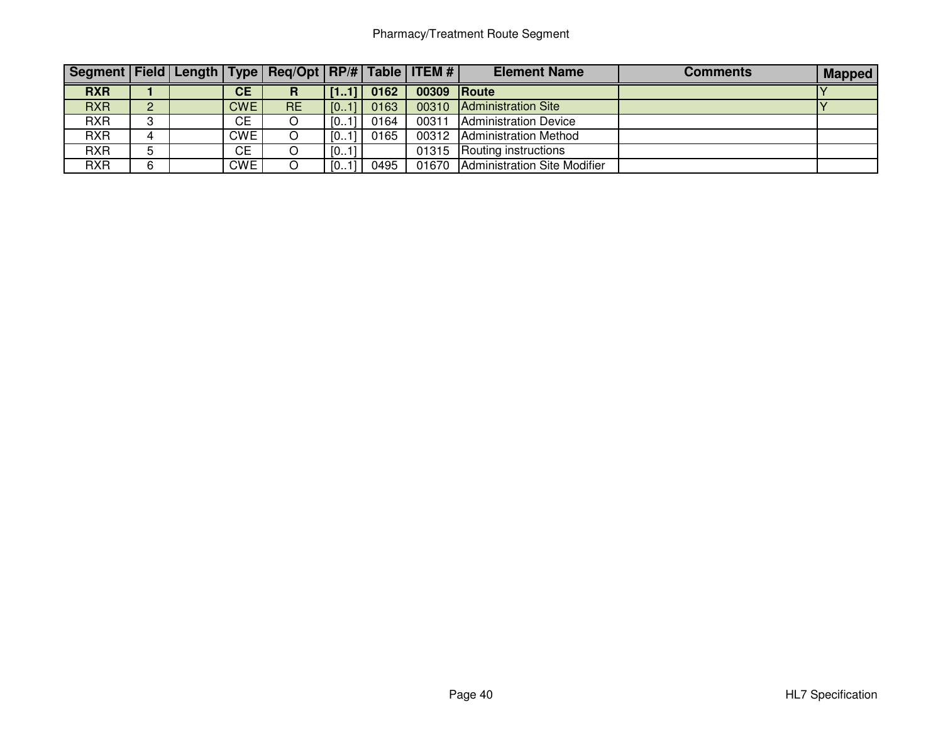# Pharmacy/Treatment Route Segment

| Segment   Field   Length   Type   Req/Opt   RP/#   Table   ITEM # |                |            |           |                   |      |             | <b>Element Name</b>          | <b>Comments</b> | <b>Mapped</b> |
|-------------------------------------------------------------------|----------------|------------|-----------|-------------------|------|-------------|------------------------------|-----------------|---------------|
| <b>RXR</b>                                                        |                | <b>CE</b>  |           | $-1$ $\mathbf{V}$ | 0162 | 00309 Route |                              |                 |               |
| <b>RXR</b>                                                        | 2.<br><u>L</u> | <b>CWE</b> | <b>RE</b> | ∪                 | 0163 | 00310       | <b>Administration Site</b>   |                 |               |
| <b>RXR</b>                                                        | C.             | CЕ         | ັ         | . 11u.            | 0164 | 00311       | <b>Administration Device</b> |                 |               |
| <b>RXR</b>                                                        | 4              | <b>CWE</b> |           | [01]              | 0165 | 00312       | <b>Administration Method</b> |                 |               |
| <b>RXR</b>                                                        |                | <b>CE</b>  |           | 0.11              |      | 01315       | Routing instructions         |                 |               |
| <b>RXR</b>                                                        | 6              | <b>CWE</b> |           | 11                | 0495 | 01670       | Administration Site Modifier |                 |               |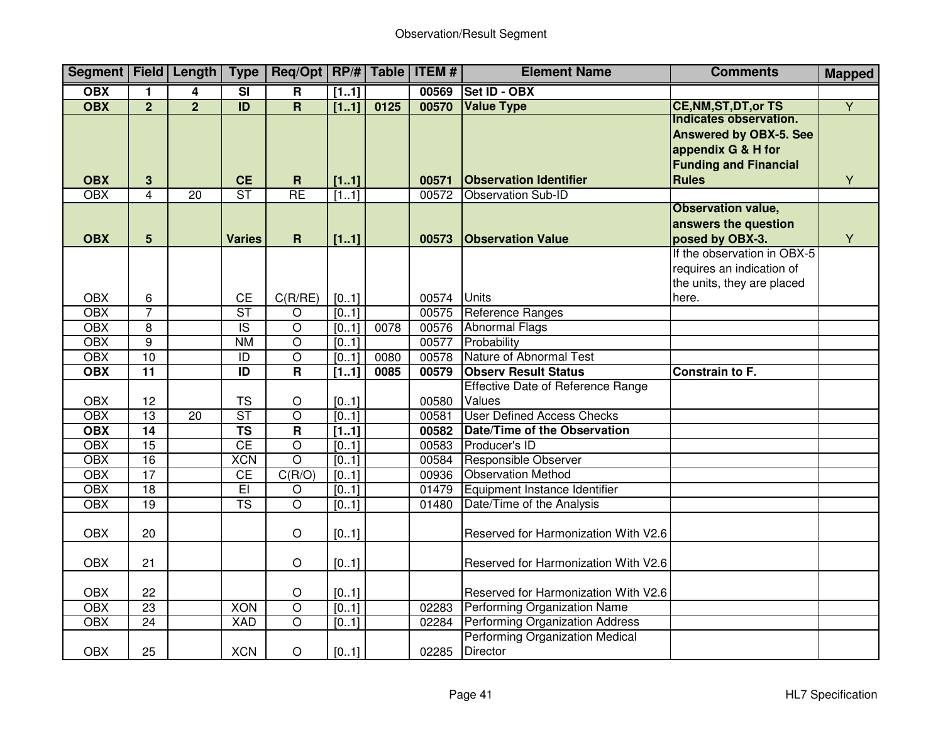| Segment   Field   Length |                 |                 | <b>Type</b>             | $\text{Req}/\text{Opt}$   RP/#   Table   ITEM # |       |      | <b>Element Name</b> |                                                    | <b>Comments</b>                                                                                                               | <b>Mapped</b>  |
|--------------------------|-----------------|-----------------|-------------------------|-------------------------------------------------|-------|------|---------------------|----------------------------------------------------|-------------------------------------------------------------------------------------------------------------------------------|----------------|
| <b>OBX</b>               | 1               | 4               | $\overline{\mathbf{s}}$ | $\mathbf R$                                     | [11]  |      | 00569               | <b>Set ID - OBX</b>                                |                                                                                                                               |                |
| <b>OBX</b>               | $\overline{2}$  | $\overline{2}$  | $\overline{ID}$         | $\overline{\mathbf{R}}$                         | [11]  | 0125 | 00570               | <b>Value Type</b>                                  | <b>CE, NM, ST, DT, or TS</b>                                                                                                  | $\overline{Y}$ |
| <b>OBX</b>               | $3\phantom{a}$  |                 | <b>CE</b>               | $\mathbf R$                                     | [11]  |      | 00571               | <b>Observation Identifier</b>                      | Indicates observation.<br><b>Answered by OBX-5. See</b><br>appendix G & H for<br><b>Funding and Financial</b><br><b>Rules</b> | Y              |
| <b>OBX</b>               | 4               | 20              | $\overline{\text{ST}}$  | RE                                              | [11]  |      | 00572               | <b>Observation Sub-ID</b>                          |                                                                                                                               |                |
| <b>OBX</b>               | 5               |                 | <b>Varies</b>           | $\mathbf R$                                     | [11]  |      | 00573               | <b>Observation Value</b>                           | <b>Observation value,</b><br>answers the question<br>posed by OBX-3.                                                          | Y              |
| <b>OBX</b>               | 6               |                 | <b>CE</b>               | C(R/RE)                                         | [01]  |      | 00574               | <b>Units</b>                                       | If the observation in OBX-5<br>requires an indication of<br>the units, they are placed<br>here.                               |                |
| <b>OBX</b>               | $\overline{7}$  |                 | $\overline{\text{ST}}$  | $\overline{O}$                                  | [01]  |      | 00575               | Reference Ranges                                   |                                                                                                                               |                |
| <b>OBX</b>               | $\overline{8}$  |                 | $\overline{S}$          | $\overline{\circ}$                              | [0.1] | 0078 |                     | 00576 Abnormal Flags                               |                                                                                                                               |                |
| <b>OBX</b>               | $\overline{9}$  |                 | <b>NM</b>               | $\overline{\mathsf{o}}$                         | [0.1] |      | 00577               | Probability                                        |                                                                                                                               |                |
| OBX                      | 10              |                 | $\overline{1}$          | $\overline{O}$                                  | [0.1] | 0080 | 00578               | Nature of Abnormal Test                            |                                                                                                                               |                |
| <b>OBX</b>               | $\overline{11}$ |                 | $\overline{ID}$         | $\overline{\mathsf{R}}$                         | [11]  | 0085 | 00579               | <b>Observ Result Status</b>                        | Constrain to F.                                                                                                               |                |
|                          |                 |                 |                         |                                                 |       |      |                     | <b>Effective Date of Reference Range</b>           |                                                                                                                               |                |
| <b>OBX</b>               | 12              |                 | <b>TS</b>               | O                                               | [01]  |      | 00580               | Values                                             |                                                                                                                               |                |
| <b>OBX</b>               | 13              | $\overline{20}$ | $\overline{\text{ST}}$  | $\overline{O}$                                  | [0.1] |      | 00581               | <b>User Defined Access Checks</b>                  |                                                                                                                               |                |
| <b>OBX</b>               | 14              |                 | $\overline{\text{TS}}$  | $\overline{\mathsf{R}}$                         | [11]  |      | 00582               | Date/Time of the Observation                       |                                                                                                                               |                |
| <b>OBX</b>               | 15              |                 | CE                      | $\overline{O}$                                  | [01]  |      | 00583               | Producer's ID                                      |                                                                                                                               |                |
| OBX                      | $\overline{16}$ |                 | <b>XCN</b>              | $\overline{\rm o}$                              | [0.1] |      | 00584               | <b>Responsible Observer</b>                        |                                                                                                                               |                |
| OBX                      | 17              |                 | CE                      | C(R/O)                                          | [01]  |      | 00936               | <b>Observation Method</b>                          |                                                                                                                               |                |
| <b>OBX</b>               | 18              |                 | E                       | O                                               | [0.1] |      | 01479               | Equipment Instance Identifier                      |                                                                                                                               |                |
| OBX                      | $\overline{19}$ |                 | $\overline{\text{TS}}$  | $\overline{\circ}$                              | [0.1] |      | 01480               | Date/Time of the Analysis                          |                                                                                                                               |                |
| <b>OBX</b>               | 20              |                 |                         | $\circ$                                         | [01]  |      |                     | Reserved for Harmonization With V2.6               |                                                                                                                               |                |
| <b>OBX</b>               | 21              |                 |                         | $\circ$                                         | [01]  |      |                     | Reserved for Harmonization With V2.6               |                                                                                                                               |                |
| <b>OBX</b>               | 22              |                 |                         | $\circ$                                         | [01]  |      |                     | Reserved for Harmonization With V2.6               |                                                                                                                               |                |
| OBX                      | 23              |                 | <b>XON</b>              | $\overline{\mathsf{o}}$                         | [01]  |      | 02283               | Performing Organization Name                       |                                                                                                                               |                |
| <b>OBX</b>               | $\overline{24}$ |                 | <b>XAD</b>              | $\overline{O}$                                  | [01]  |      | 02284               | Performing Organization Address                    |                                                                                                                               |                |
| <b>OBX</b>               | 25              |                 | <b>XCN</b>              | $\circ$                                         | [01]  |      | 02285               | Performing Organization Medical<br><b>Director</b> |                                                                                                                               |                |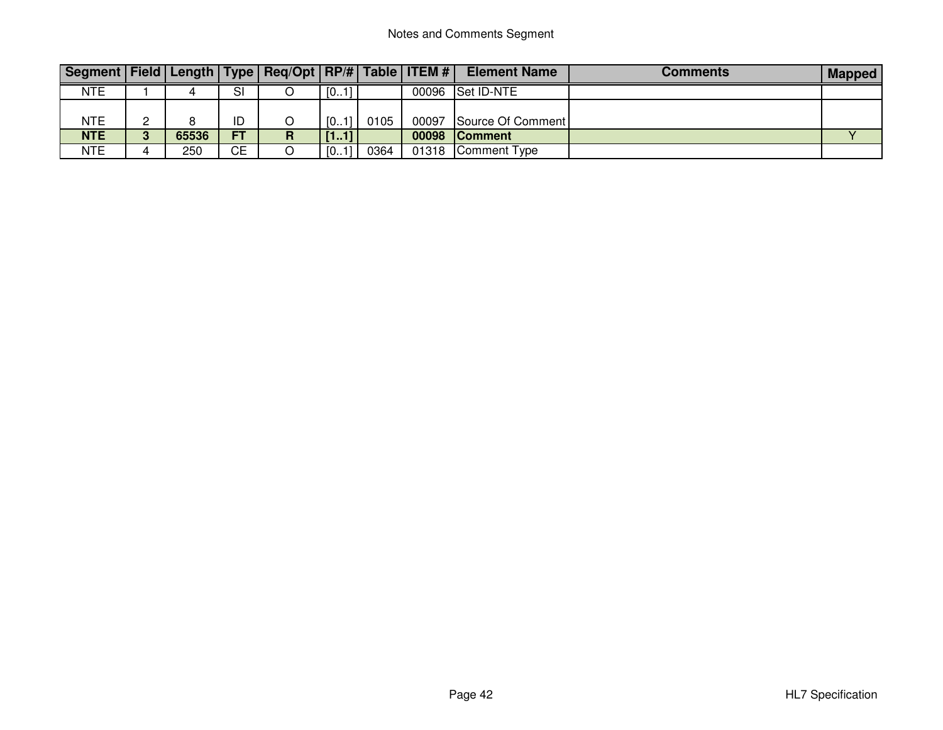| Segment   Field   Length   Type   Req/Opt   RP/#   Table   ITEM # |       |           |   |      |      |       | <b>Element Name</b>     | Comments | <b>Mapped</b> |
|-------------------------------------------------------------------|-------|-----------|---|------|------|-------|-------------------------|----------|---------------|
| <b>NTE</b>                                                        |       | SI        |   | [01] |      |       | 00096   Set ID-NTE      |          |               |
|                                                                   |       |           |   |      |      |       |                         |          |               |
| <b>NTE</b>                                                        |       | ID        |   | [01] | 0105 |       | 00097 Source Of Comment |          |               |
| <b>NTE</b>                                                        | 65536 | <b>FT</b> | D | [11] |      | 00098 | <b>Comment</b>          |          |               |
| <b>NTE</b>                                                        | 250   | СE        |   | [01] | 0364 |       | 01318 Comment Type      |          |               |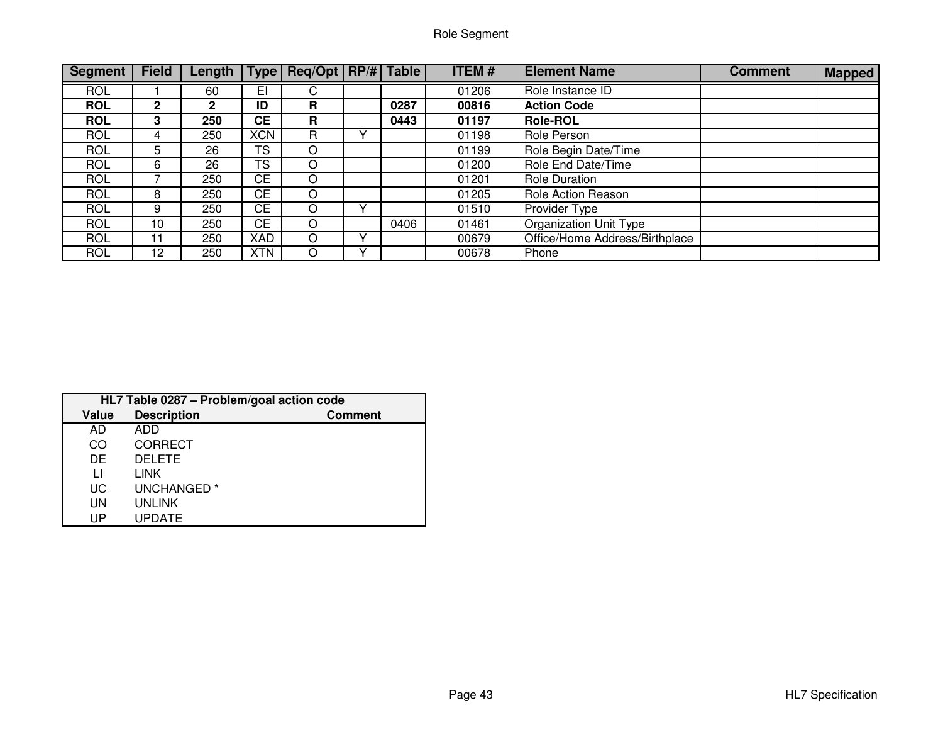| <b>Segment</b> | <b>Field</b>    | Length         | 「ype       | Req/Opt   RP/#   Table |   |      | <b>ITEM#</b> | <b>Element Name</b>            | <b>Comment</b> | <b>Mapped</b> |
|----------------|-----------------|----------------|------------|------------------------|---|------|--------------|--------------------------------|----------------|---------------|
| <b>ROL</b>     |                 | 60             | EI         | U                      |   |      | 01206        | Role Instance ID               |                |               |
| <b>ROL</b>     | $\overline{2}$  | $\overline{2}$ | ID         | R                      |   | 0287 | 00816        | <b>Action Code</b>             |                |               |
| <b>ROL</b>     | 3               | 250            | CЕ         | R                      |   | 0443 | 01197        | <b>Role-ROL</b>                |                |               |
| <b>ROL</b>     | 4               | 250            | <b>XCN</b> | R                      |   |      | 01198        | Role Person                    |                |               |
| <b>ROL</b>     | 5               | 26             | TS         | O                      |   |      | 01199        | Role Begin Date/Time           |                |               |
| <b>ROL</b>     | 6               | 26             | TS         | O                      |   |      | 01200        | Role End Date/Time             |                |               |
| <b>ROL</b>     |                 | 250            | <b>CE</b>  | O                      |   |      | 01201        | <b>Role Duration</b>           |                |               |
| <b>ROL</b>     | 8               | 250            | <b>CE</b>  | O                      |   |      | 01205        | Role Action Reason             |                |               |
| <b>ROL</b>     | 9               | 250            | CЕ         | $\Omega$               | v |      | 01510        | <b>Provider Type</b>           |                |               |
| <b>ROL</b>     | 10              | 250            | <b>CE</b>  | O                      |   | 0406 | 01461        | Organization Unit Type         |                |               |
| <b>ROL</b>     |                 | 250            | XAD        | $\circ$                |   |      | 00679        | Office/Home Address/Birthplace |                |               |
| <b>ROL</b>     | 12 <sup>2</sup> | 250            | <b>XTN</b> | $\Omega$               |   |      | 00678        | Phone                          |                |               |

|              | HL7 Table 0287 - Problem/goal action code |                |  |  |  |  |  |  |  |  |  |
|--------------|-------------------------------------------|----------------|--|--|--|--|--|--|--|--|--|
| Value        | <b>Description</b>                        | <b>Comment</b> |  |  |  |  |  |  |  |  |  |
| AD           | ADD                                       |                |  |  |  |  |  |  |  |  |  |
| CO           | <b>CORRECT</b>                            |                |  |  |  |  |  |  |  |  |  |
| DE           | <b>DELETE</b>                             |                |  |  |  |  |  |  |  |  |  |
| $\mathsf{L}$ | LINK                                      |                |  |  |  |  |  |  |  |  |  |
| UC           | UNCHANGED <sup>*</sup>                    |                |  |  |  |  |  |  |  |  |  |
| UN           | <b>UNLINK</b>                             |                |  |  |  |  |  |  |  |  |  |
| UP           | <b>UPDATE</b>                             |                |  |  |  |  |  |  |  |  |  |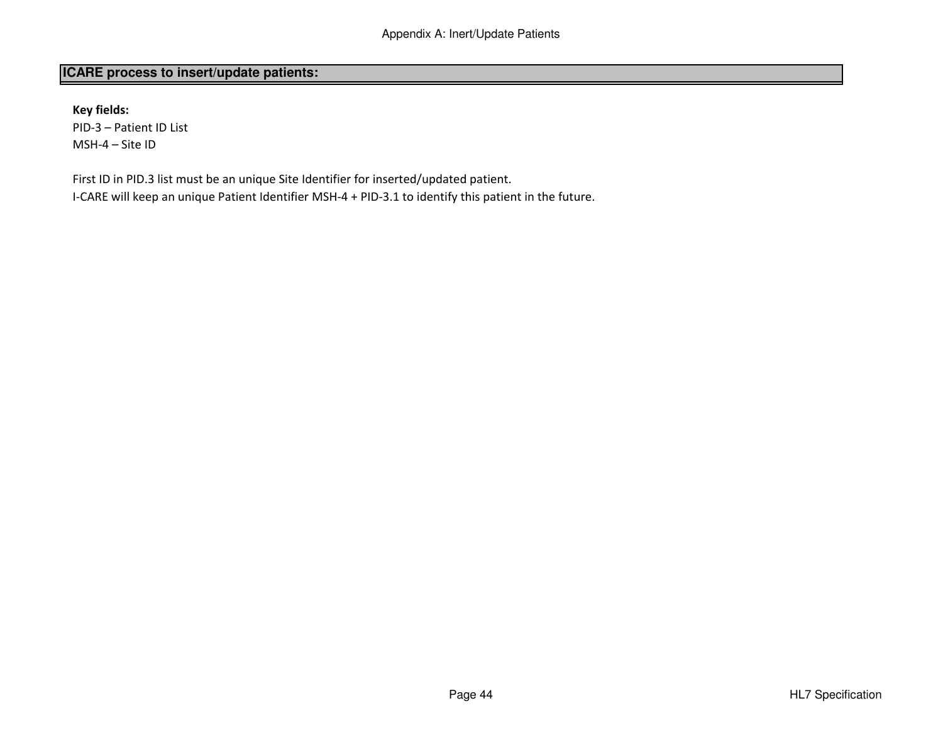# **ICARE process to insert/update patients:**

Key fields:PID-3 – Patient ID ListMSH-4 – Site ID

First ID in PID.3 list must be an unique Site Identifier for inserted/updated patient.I-CARE will keep an unique Patient Identifier MSH-4 + PID-3.1 to identify this patient in the future.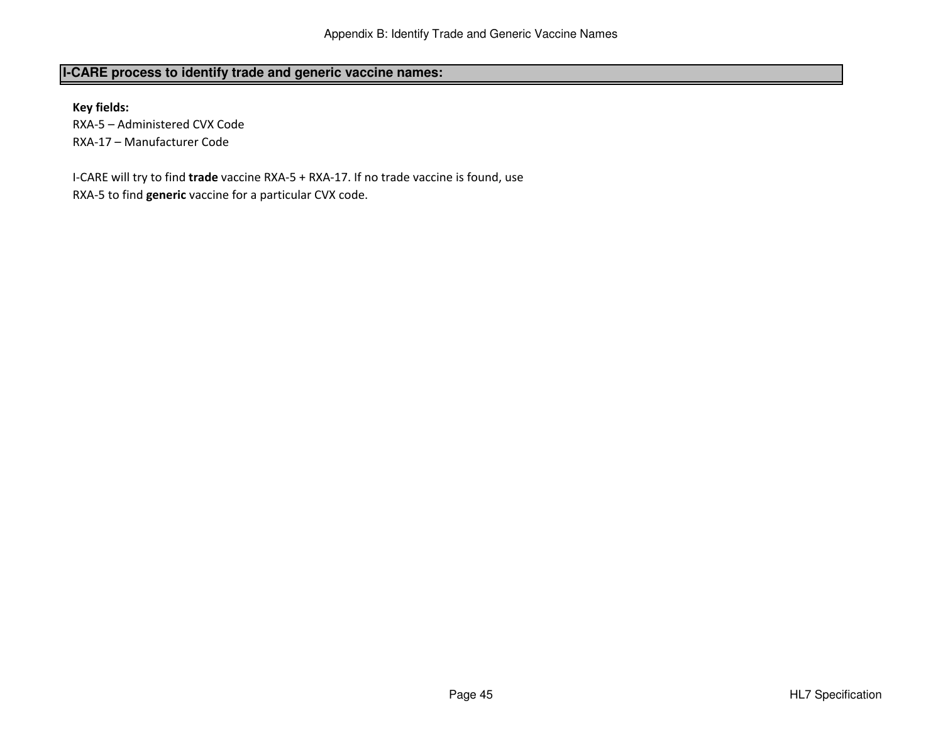# **I-CARE process to identify trade and generic vaccine names:**

Key fields:

 RXA-5 – Administered CVX CodeRXA-17 – Manufacturer Code

I-CARE will try to find trade vaccine RXA-5 + RXA-17. If no trade vaccine is found, use RXA-5 to find generic vaccine for a particular CVX code.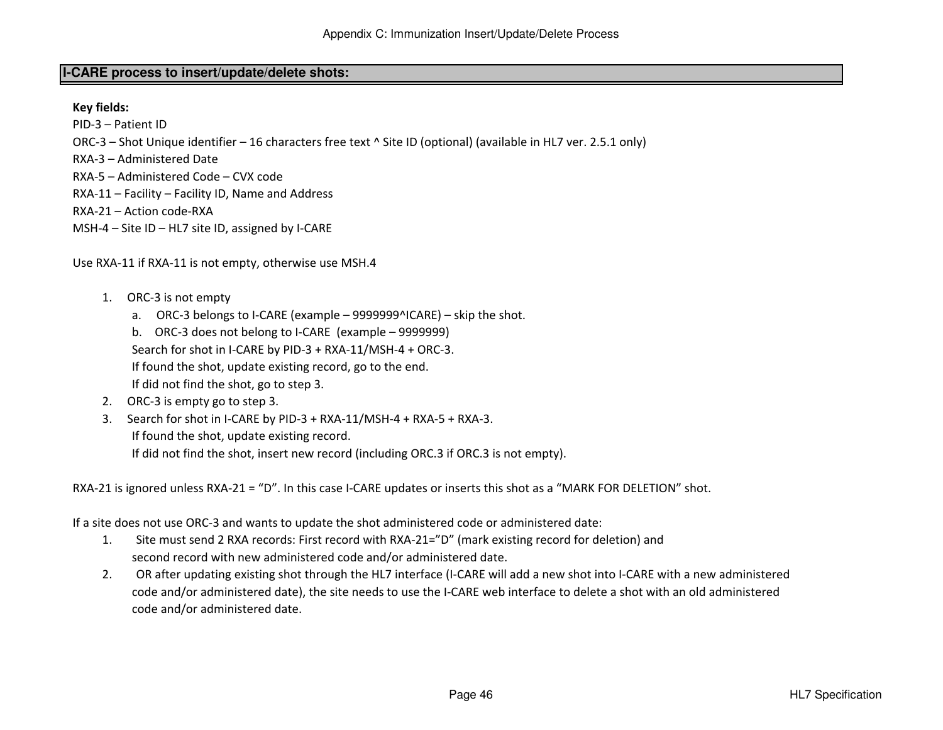## **I-CARE process to insert/update/delete shots:**

Key fields:

PID-3 – Patient ID

ORC-3 – Shot Unique identifier – 16 characters free text ^ Site ID (optional) (available in HL7 ver. 2.5.1 only)

RXA-3 – Administered Date

RXA-5 – Administered Code – CVX code

RXA-11 – Facility – Facility ID, Name and Address

RXA-21 – Action code-RXA

MSH-4 – Site ID – HL7 site ID, assigned by I-CARE

Use RXA-11 if RXA-11 is not empty, otherwise use MSH.4

- 1. ORC-3 is not empty
	- a. ORC-3 belongs to I-CARE (example 9999999^ICARE) skip the shot.
	- b. ORC-3 does not belong to I-CARE (example 9999999)

Search for shot in I-CARE by PID-3 + RXA-11/MSH-4 + ORC-3.

If found the shot, update existing record, go to the end.

If did not find the shot, go to step 3.

- 2. ORC-3 is empty go to step 3.
- 3. Search for shot in I-CARE by PID-3 + RXA-11/MSH-4 + RXA-5 + RXA-3. If found the shot, update existing record.If did not find the shot, insert new record (including ORC.3 if ORC.3 is not empty).

RXA-21 is ignored unless RXA-21 = "D". In this case I-CARE updates or inserts this shot as a "MARK FOR DELETION" shot.

If a site does not use ORC-3 and wants to update the shot administered code or administered date:

- 1. Site must send 2 RXA records: First record with RXA-21="D" (mark existing record for deletion) andsecond record with new administered code and/or administered date.
- 2. OR after updating existing shot through the HL7 interface (I-CARE will add a new shot into I-CARE with a new administered code and/or administered date), the site needs to use the I-CARE web interface to delete a shot with an old administeredcode and/or administered date.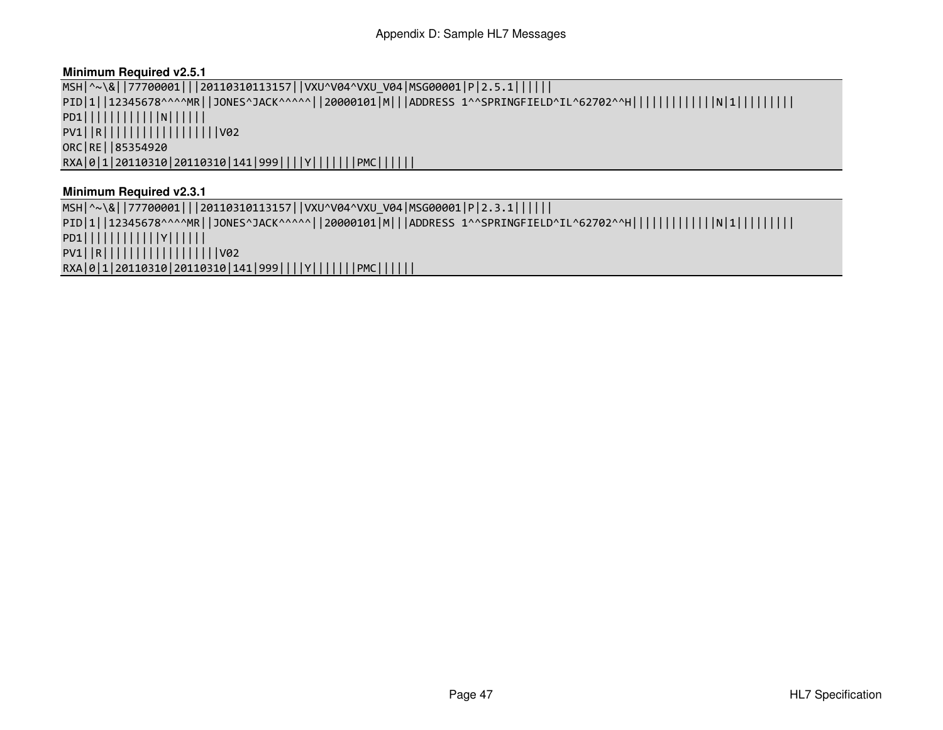## **Minimum Required v2.5.1**

MSH|^~\&||77700001|||20110310113157||VXU^V04^VXU\_V04|MSG00001|P|2.5.1|||||| PID|1||12345678^^^^MR||JONES^JACK^^^^^||20000101|M|||ADDRESS 1^^SPRINGFIELD^IL^62702^^H|||||||||||||||||||||||| PD1||||||||||||N|||||| PV1||R||||||||||||||||||V02ORC|RE||85354920RXA|0|1|20110310|20110310|141|999||||Y|||||||PMC||||||

## **Minimum Required v2.3.1**

 MSH|^~\&||77700001|||20110310113157||VXU^V04^VXU\_V04|MSG00001|P|2.3.1|||||| PID|1||12345678^^^^MR||JONES^JACK^^^^^||20000101|M|||ADDRESS 1^^SPRINGFIELD^IL^62702^^H|||||||||||||N|1|||||||||PD1||||||||||||Y|||||| PV1||R||||||||||||||||||V02RXA|0|1|20110310|20110310|141|999||||Y|||||||PMC||||||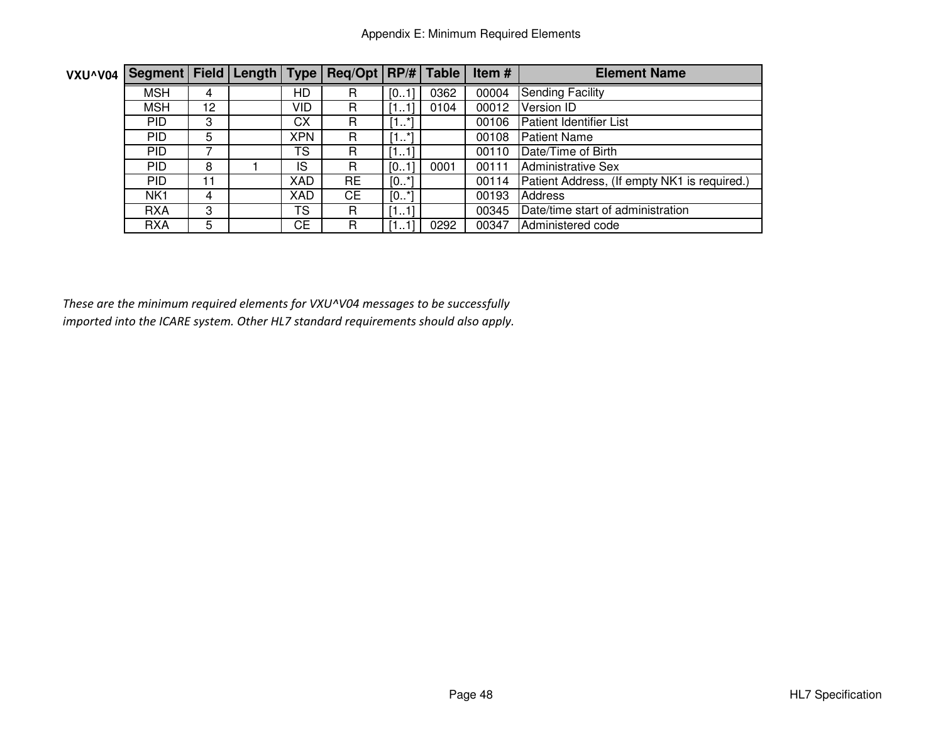| VXU^V04 | Segment   Field   Length   Type   Req/Opt   RP/#   Table |    |            |           |                       |      | Item# | <b>Element Name</b>                          |
|---------|----------------------------------------------------------|----|------------|-----------|-----------------------|------|-------|----------------------------------------------|
|         | <b>MSH</b>                                               | 4  | HD         | R         | [01]                  | 0362 | 00004 | <b>Sending Facility</b>                      |
|         | <b>MSH</b>                                               | 12 | VID        | R         | [11]                  | 0104 | 00012 | Version ID                                   |
|         | PID.                                                     | 3  | CX         | R         | [11]                  |      | 00106 | <b>Patient Identifier List</b>               |
|         | PID.                                                     | 5  | <b>XPN</b> | R         | *1<br>Г4<br><b>L.</b> |      | 00108 | <b>Patient Name</b>                          |
|         | PID.                                                     |    | TS         | R         | [11]                  |      | 00110 | Date/Time of Birth                           |
|         | <b>PID</b>                                               | 8  | IS         | R         | [01]                  | 0001 | 00111 | <b>Administrative Sex</b>                    |
|         | <b>PID</b>                                               | 11 | XAD        | <b>RE</b> | $[0*]$                |      | 00114 | Patient Address, (If empty NK1 is required.) |
|         | NK <sub>1</sub>                                          | 4  | XAD        | CE        | $[0*]$                |      | 00193 | <b>Address</b>                               |
|         | <b>RXA</b>                                               | 3  | TS         | R         | [11]                  |      | 00345 | Date/time start of administration            |
|         | <b>RXA</b>                                               | 5  | СE         | R         | [11]                  | 0292 | 00347 | Administered code                            |

These are the minimum required elements for VXU^V04 messages to be successfully imported into the ICARE system. Other HL7 standard requirements should also apply.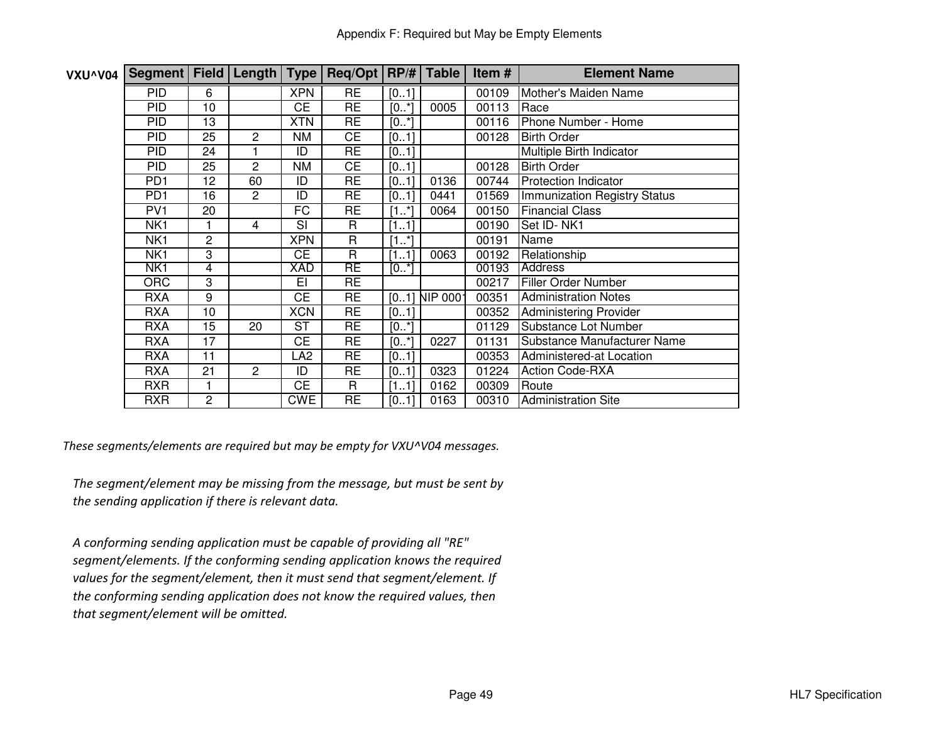| VXU^V04 | Segment   Field   Length   Type   Req/Opt   RP/#   Table |                |                |            |              |         |                 | Item# | <b>Element Name</b>           |
|---------|----------------------------------------------------------|----------------|----------------|------------|--------------|---------|-----------------|-------|-------------------------------|
|         | <b>PID</b>                                               | 6              |                | <b>XPN</b> | <b>RE</b>    | [01]    |                 | 00109 | Mother's Maiden Name          |
|         | <b>PID</b>                                               | 10             |                | <b>CE</b>  | <b>RE</b>    | $[0*]$  | 0005            | 00113 | Race                          |
|         | <b>PID</b>                                               | 13             |                | <b>XTN</b> | <b>RE</b>    | $[0^*]$ |                 | 00116 | Phone Number - Home           |
|         | <b>PID</b>                                               | 25             | 2              | NM         | <b>CE</b>    | [01]    |                 | 00128 | <b>Birth Order</b>            |
|         | <b>PID</b>                                               | 24             |                | ID         | <b>RE</b>    | [01]    |                 |       | Multiple Birth Indicator      |
|         | <b>PID</b>                                               | 25             | 2              | NM         | <b>CE</b>    | [01]    |                 | 00128 | <b>Birth Order</b>            |
|         | PD <sub>1</sub>                                          | 12             | 60             | ID         | <b>RE</b>    | [01]    | 0136            | 00744 | <b>Protection Indicator</b>   |
|         | PD <sub>1</sub>                                          | 16             | $\overline{2}$ | ID         | <b>RE</b>    | [01]    | 0441            | 01569 | Immunization Registry Status  |
|         | PV <sub>1</sub>                                          | 20             |                | FC         | <b>RE</b>    | $[1^*]$ | 0064            | 00150 | <b>Financial Class</b>        |
|         | NK <sub>1</sub>                                          |                | 4              | SI         | R            | [11]    |                 | 00190 | Set ID-NK1                    |
|         | NK <sub>1</sub>                                          | $\overline{2}$ |                | <b>XPN</b> | $\mathsf{R}$ | $[1*]$  |                 | 00191 | Name                          |
|         | NK <sub>1</sub>                                          | 3              |                | <b>CE</b>  | $\mathsf{R}$ | [11]    | 0063            | 00192 | Relationship                  |
|         | NK1                                                      | 4              |                | XAD        | RE           | [0.1]   |                 | 00193 | <b>Address</b>                |
|         | <b>ORC</b>                                               | 3              |                | EI         | <b>RE</b>    |         |                 | 00217 | Filler Order Number           |
|         | <b>RXA</b>                                               | 9              |                | <b>CE</b>  | <b>RE</b>    |         | $[01]$ NIP 0001 | 00351 | <b>Administration Notes</b>   |
|         | <b>RXA</b>                                               | 10             |                | <b>XCN</b> | <b>RE</b>    | [01]    |                 | 00352 | <b>Administering Provider</b> |
|         | <b>RXA</b>                                               | 15             | 20             | <b>ST</b>  | <b>RE</b>    | $[0^*]$ |                 | 01129 | Substance Lot Number          |
|         | <b>RXA</b>                                               | 17             |                | <b>CE</b>  | <b>RE</b>    | [0.1]   | 0227            | 01131 | Substance Manufacturer Name   |
|         | <b>RXA</b>                                               | 11             |                | LA2        | RE           | [01]    |                 | 00353 | Administered-at Location      |
|         | <b>RXA</b>                                               | 21             | $\overline{2}$ | ID         | <b>RE</b>    | [01]    | 0323            | 01224 | <b>Action Code-RXA</b>        |
|         | <b>RXR</b>                                               |                |                | <b>CE</b>  | R.           | [11]    | 0162            | 00309 | Route                         |
|         | <b>RXR</b>                                               | 2              |                | <b>CWE</b> | <b>RE</b>    | [01]    | 0163            | 00310 | <b>Administration Site</b>    |

These segments/elements are required but may be empty for VXU^V04 messages.

The segment/element may be missing from the message, but must be sent by the sending application if there is relevant data.

A conforming sending application must be capable of providing all "RE" segment/elements. If the conforming sending application knows the required values for the segment/element, then it must send that segment/element. If the conforming sending application does not know the required values, then that segment/element will be omitted.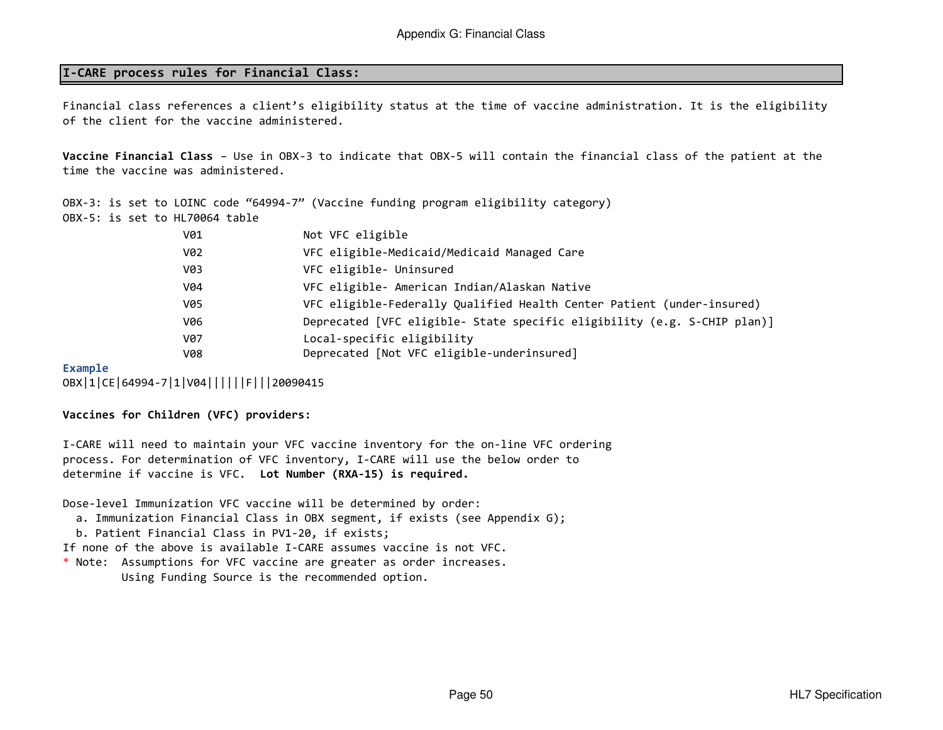## I-CARE process rules for Financial Class:

Financial class references a client's eligibility status at the time of vaccine administration. It is the eligibility of the client for the vaccine administered.

Vaccine Financial Class – Use in OBX-3 to indicate that OBX-5 will contain the financial class of the patient at the time the vaccine was administered.

OBX-5: is set to HL70064 tableOBX-3: is set to LOINC code "64994-7" (Vaccine funding program eligibility category)

| V01        | Not VFC eligible                                                         |
|------------|--------------------------------------------------------------------------|
| V02        | VFC eligible-Medicaid/Medicaid Managed Care                              |
| V03        | VFC eligible- Uninsured                                                  |
| V04        | VFC eligible- American Indian/Alaskan Native                             |
| V05        | VFC eligible-Federally Qualified Health Center Patient (under-insured)   |
| V06        | Deprecated [VFC eligible- State specific eligibility (e.g. S-CHIP plan)] |
| V07        | Local-specific eligibility                                               |
| <b>V08</b> | Deprecated [Not VFC eligible-underinsured]                               |

#### Example

OBX|1|CE|64994-7|1|V04||||||F|||20090415

#### Vaccines for Children (VFC) providers:

I-CARE will need to maintain your VFC vaccine inventory for the on-line VFC ordering process. For determination of VFC inventory, I-CARE will use the below order to determine if vaccine is VFC. Lot Number (RXA-15) is required.

Dose-level Immunization VFC vaccine will be determined by order:

- a. Immunization Financial Class in OBX segment, if exists (see Appendix G);
- b. Patient Financial Class in PV1-20, if exists;

If none of the above is available I-CARE assumes vaccine is not VFC.

 \* Note: Assumptions for VFC vaccine are greater as order increases. Using Funding Source is the recommended option.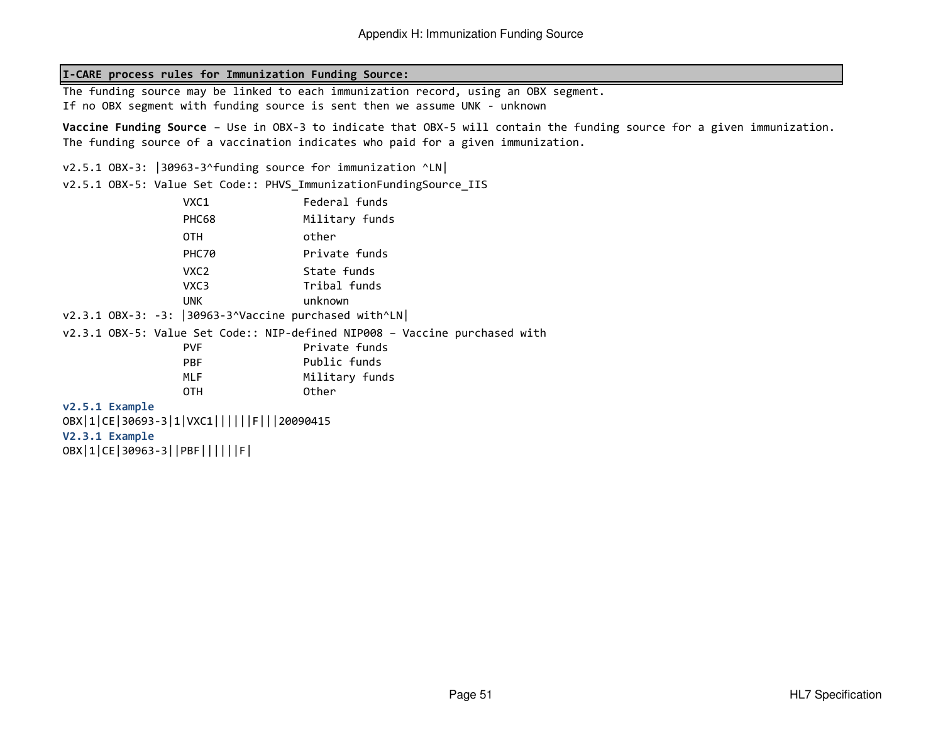#### I-CARE process rules for Immunization Funding Source:

The funding source may be linked to each immunization record, using an OBX segment. If no OBX segment with funding source is sent then we assume UNK - unknown

Vaccine Funding Source – Use in OBX-3 to indicate that OBX-5 will contain the funding source for a given immunization. The funding source of a vaccination indicates who paid for a given immunization.

v2.5.1 OBX-3: |30963-3^funding source for immunization ^LN|

v2.5.1 OBX-5: Value Set Code:: PHVS\_ImmunizationFundingSource\_IIS

|  | VXC1             | Federal funds                                                              |  |
|--|------------------|----------------------------------------------------------------------------|--|
|  | PHC68            | Military funds                                                             |  |
|  | 0TH              | other                                                                      |  |
|  | PHC70            | Private funds                                                              |  |
|  | VXC <sub>2</sub> | State funds                                                                |  |
|  | VXC3             | Tribal funds                                                               |  |
|  | <b>UNK</b>       | unknown                                                                    |  |
|  |                  | $v2.3.1$ OBX-3: -3: 30963-3^Vaccine purchased with^LN                      |  |
|  |                  | v2.3.1 OBX-5: Value Set Code:: NIP-defined NIP008 - Vaccine purchased with |  |

| <b>PVF</b> | Private funds  |
|------------|----------------|
| <b>PBF</b> | Public funds   |
| ML F       | Military funds |
| 0TH        | Other          |

#### v2.5.1 Example

 OBX|1|CE|30693-3|1|VXC1||||||F|||20090415V2.3.1 ExampleOBX|1|CE|30963-3||PBF||||||F|